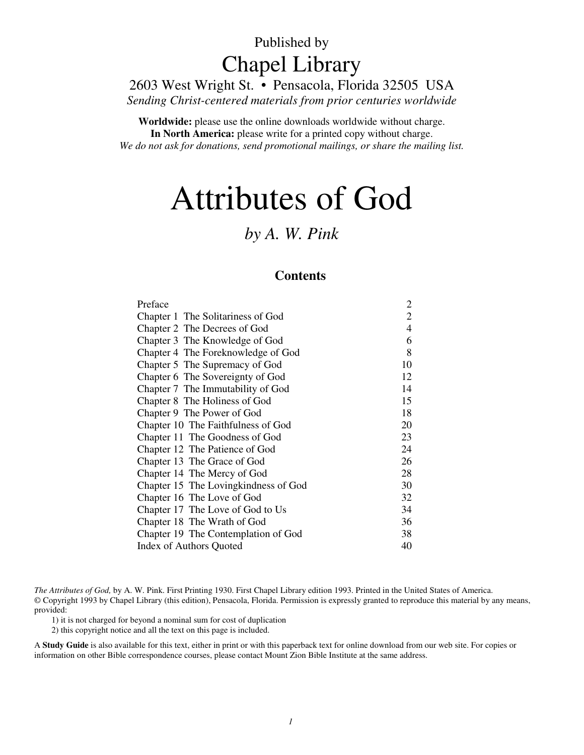# Published by Chapel Library

2603 West Wright St. • Pensacola, Florida 32505 USA *Sending Christ-centered materials from prior centuries worldwide* 

**Worldwide:** please use the online downloads worldwide without charge. **In North America:** please write for a printed copy without charge. *We do not ask for donations, send promotional mailings, or share the mailing list.* 

# Attributes of God

# *by A. W. Pink*

# **Contents**

| Preface                              | 2              |
|--------------------------------------|----------------|
| Chapter 1 The Solitariness of God    | $\overline{2}$ |
| Chapter 2 The Decrees of God         | 4              |
| Chapter 3 The Knowledge of God       | 6              |
| Chapter 4 The Foreknowledge of God   | 8              |
| Chapter 5 The Supremacy of God       | 10             |
| Chapter 6 The Sovereignty of God     | 12             |
| Chapter 7 The Immutability of God    | 14             |
| Chapter 8 The Holiness of God        | 15             |
| Chapter 9 The Power of God           | 18             |
| Chapter 10 The Faithfulness of God   | 20             |
| Chapter 11 The Goodness of God       | 23             |
| Chapter 12 The Patience of God       | 24             |
| Chapter 13 The Grace of God          | 26             |
| Chapter 14 The Mercy of God          | 28             |
| Chapter 15 The Lovingkindness of God | 30             |
| Chapter 16 The Love of God           | 32             |
| Chapter 17 The Love of God to Us     | 34             |
| Chapter 18 The Wrath of God          | 36             |
| Chapter 19 The Contemplation of God  | 38             |
| Index of Authors Quoted              | 40             |

*The Attributes of God,* by A. W. Pink. First Printing 1930. First Chapel Library edition 1993. Printed in the United States of America. © Copyright 1993 by Chapel Library (this edition), Pensacola, Florida. Permission is expressly granted to reproduce this material by any means, provided:

1) it is not charged for beyond a nominal sum for cost of duplication

2) this copyright notice and all the text on this page is included.

A **Study Guide** is also available for this text, either in print or with this paperback text for online download from our web site. For copies or information on other Bible correspondence courses, please contact Mount Zion Bible Institute at the same address.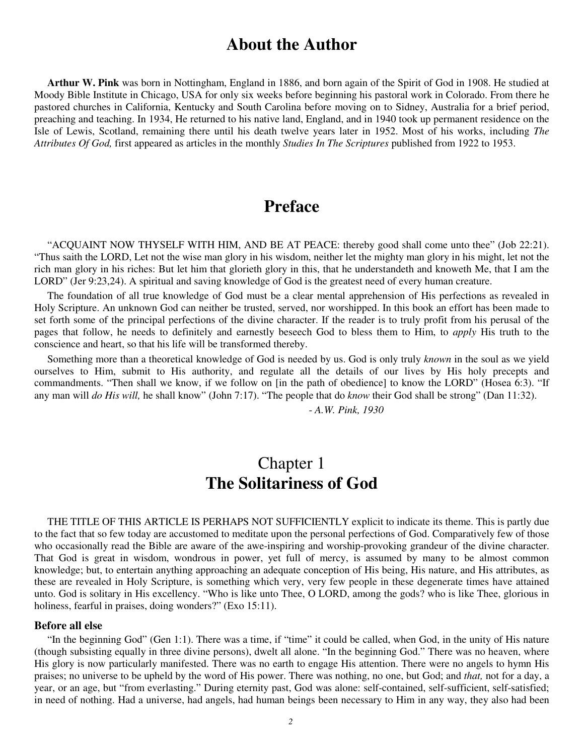# **About the Author**

**Arthur W. Pink** was born in Nottingham, England in 1886, and born again of the Spirit of God in 1908. He studied at Moody Bible Institute in Chicago, USA for only six weeks before beginning his pastoral work in Colorado. From there he pastored churches in California, Kentucky and South Carolina before moving on to Sidney, Australia for a brief period, preaching and teaching. In 1934, He returned to his native land, England, and in 1940 took up permanent residence on the Isle of Lewis, Scotland, remaining there until his death twelve years later in 1952. Most of his works, including *The Attributes Of God,* first appeared as articles in the monthly *Studies In The Scriptures* published from 1922 to 1953.

# **Preface**

"ACQUAINT NOW THYSELF WITH HIM, AND BE AT PEACE: thereby good shall come unto thee" (Job 22:21). "Thus saith the LORD, Let not the wise man glory in his wisdom, neither let the mighty man glory in his might, let not the rich man glory in his riches: But let him that glorieth glory in this, that he understandeth and knoweth Me, that I am the LORD" (Jer 9:23,24). A spiritual and saving knowledge of God is the greatest need of every human creature.

The foundation of all true knowledge of God must be a clear mental apprehension of His perfections as revealed in Holy Scripture. An unknown God can neither be trusted, served, nor worshipped. In this book an effort has been made to set forth some of the principal perfections of the divine character. If the reader is to truly profit from his perusal of the pages that follow, he needs to definitely and earnestly beseech God to bless them to Him, to *apply* His truth to the conscience and heart, so that his life will be transformed thereby.

Something more than a theoretical knowledge of God is needed by us. God is only truly *known* in the soul as we yield ourselves to Him, submit to His authority, and regulate all the details of our lives by His holy precepts and commandments. "Then shall we know, if we follow on [in the path of obedience] to know the LORD" (Hosea 6:3). "If any man will *do His will,* he shall know" (John 7:17). "The people that do *know* their God shall be strong" (Dan 11:32).

- *A.W. Pink, 1930* 

# Chapter 1 **The Solitariness of God**

THE TITLE OF THIS ARTICLE IS PERHAPS NOT SUFFICIENTLY explicit to indicate its theme. This is partly due to the fact that so few today are accustomed to meditate upon the personal perfections of God. Comparatively few of those who occasionally read the Bible are aware of the awe-inspiring and worship-provoking grandeur of the divine character. That God is great in wisdom, wondrous in power, yet full of mercy, is assumed by many to be almost common knowledge; but, to entertain anything approaching an adequate conception of His being, His nature, and His attributes, as these are revealed in Holy Scripture, is something which very, very few people in these degenerate times have attained unto. God is solitary in His excellency. "Who is like unto Thee, O LORD, among the gods? who is like Thee, glorious in holiness, fearful in praises, doing wonders?" (Exo 15:11).

#### **Before all else**

"In the beginning God" (Gen 1:1). There was a time, if "time" it could be called, when God, in the unity of His nature (though subsisting equally in three divine persons), dwelt all alone. "In the beginning God." There was no heaven, where His glory is now particularly manifested. There was no earth to engage His attention. There were no angels to hymn His praises; no universe to be upheld by the word of His power. There was nothing, no one, but God; and *that,* not for a day, a year, or an age, but "from everlasting." During eternity past, God was alone: self-contained, self-sufficient, self-satisfied; in need of nothing. Had a universe, had angels, had human beings been necessary to Him in any way, they also had been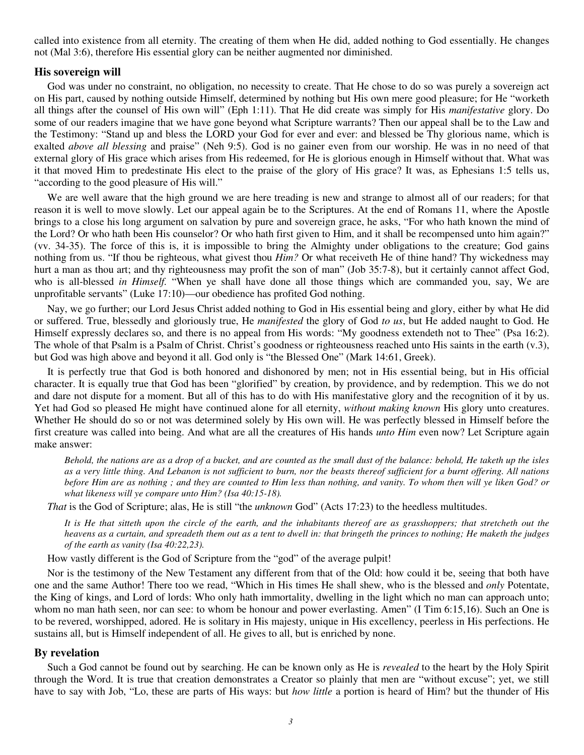called into existence from all eternity. The creating of them when He did, added nothing to God essentially. He changes not (Mal 3:6), therefore His essential glory can be neither augmented nor diminished.

### **His sovereign will**

God was under no constraint, no obligation, no necessity to create. That He chose to do so was purely a sovereign act on His part, caused by nothing outside Himself, determined by nothing but His own mere good pleasure; for He "worketh all things after the counsel of His own will" (Eph 1:11). That He did create was simply for His *manifestative* glory. Do some of our readers imagine that we have gone beyond what Scripture warrants? Then our appeal shall be to the Law and the Testimony: "Stand up and bless the LORD your God for ever and ever: and blessed be Thy glorious name, which is exalted *above all blessing* and praise" (Neh 9:5). God is no gainer even from our worship. He was in no need of that external glory of His grace which arises from His redeemed, for He is glorious enough in Himself without that. What was it that moved Him to predestinate His elect to the praise of the glory of His grace? It was, as Ephesians 1:5 tells us, "according to the good pleasure of His will."

We are well aware that the high ground we are here treading is new and strange to almost all of our readers; for that reason it is well to move slowly. Let our appeal again be to the Scriptures. At the end of Romans 11, where the Apostle brings to a close his long argument on salvation by pure and sovereign grace, he asks, "For who hath known the mind of the Lord? Or who hath been His counselor? Or who hath first given to Him, and it shall be recompensed unto him again?" (vv. 34-35). The force of this is, it is impossible to bring the Almighty under obligations to the creature; God gains nothing from us. "If thou be righteous, what givest thou *Him?* Or what receiveth He of thine hand? Thy wickedness may hurt a man as thou art; and thy righteousness may profit the son of man" (Job 35:7-8), but it certainly cannot affect God, who is all-blessed *in Himself*. "When ye shall have done all those things which are commanded you, say, We are unprofitable servants" (Luke 17:10)—our obedience has profited God nothing.

Nay, we go further; our Lord Jesus Christ added nothing to God in His essential being and glory, either by what He did or suffered. True, blessedly and gloriously true, He *manifested* the glory of God *to us*, but He added naught to God. He Himself expressly declares so, and there is no appeal from His words: "My goodness extendeth not to Thee" (Psa 16:2). The whole of that Psalm is a Psalm of Christ. Christ's goodness or righteousness reached unto His saints in the earth (v.3), but God was high above and beyond it all. God only is "the Blessed One" (Mark 14:61, Greek).

It is perfectly true that God is both honored and dishonored by men; not in His essential being, but in His official character. It is equally true that God has been "glorified" by creation, by providence, and by redemption. This we do not and dare not dispute for a moment. But all of this has to do with His manifestative glory and the recognition of it by us. Yet had God so pleased He might have continued alone for all eternity, *without making known* His glory unto creatures. Whether He should do so or not was determined solely by His own will. He was perfectly blessed in Himself before the first creature was called into being. And what are all the creatures of His hands *unto Him* even now? Let Scripture again make answer:

*Behold, the nations are as a drop of a bucket, and are counted as the small dust of the balance: behold, He taketh up the isles as a very little thing. And Lebanon is not sufficient to burn, nor the beasts thereof sufficient for a burnt offering. All nations before Him are as nothing ; and they are counted to Him less than nothing, and vanity. To whom then will ye liken God? or what likeness will ye compare unto Him? (Isa 40:15-18).* 

*That* is the God of Scripture; alas, He is still "the *unknown* God" (Acts 17:23) to the heedless multitudes.

It is He that sitteth upon the circle of the earth, and the inhabitants thereof are as grasshoppers; that stretcheth out the *heavens as a curtain, and spreadeth them out as a tent to dwell in: that bringeth the princes to nothing; He maketh the judges of the earth as vanity (Isa 40:22,23).* 

How vastly different is the God of Scripture from the "god" of the average pulpit!

Nor is the testimony of the New Testament any different from that of the Old: how could it be, seeing that both have one and the same Author! There too we read, "Which in His times He shall shew, who is the blessed and *only* Potentate, the King of kings, and Lord of lords: Who only hath immortality, dwelling in the light which no man can approach unto; whom no man hath seen, nor can see: to whom be honour and power everlasting. Amen" (I Tim 6:15,16). Such an One is to be revered, worshipped, adored. He is solitary in His majesty, unique in His excellency, peerless in His perfections. He sustains all, but is Himself independent of all. He gives to all, but is enriched by none.

#### **By revelation**

Such a God cannot be found out by searching. He can be known only as He is *revealed* to the heart by the Holy Spirit through the Word. It is true that creation demonstrates a Creator so plainly that men are "without excuse"; yet, we still have to say with Job, "Lo, these are parts of His ways: but *how little* a portion is heard of Him? but the thunder of His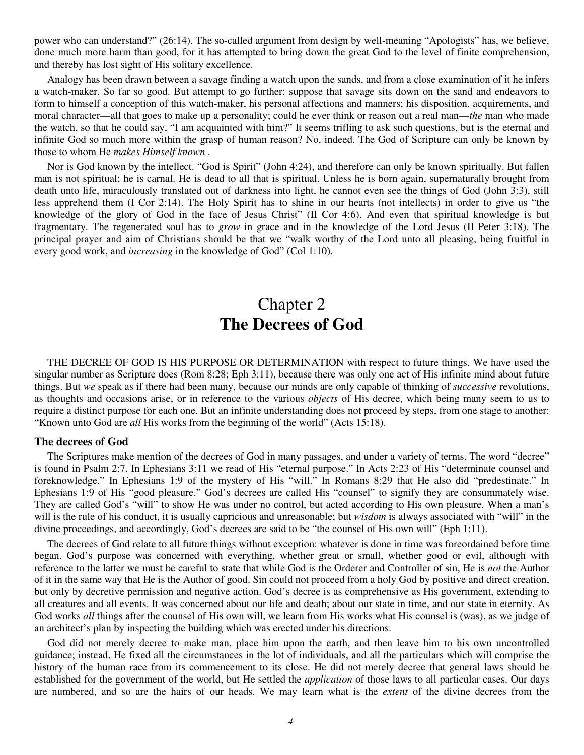power who can understand?" (26:14). The so-called argument from design by well-meaning "Apologists" has, we believe, done much more harm than good, for it has attempted to bring down the great God to the level of finite comprehension, and thereby has lost sight of His solitary excellence.

Analogy has been drawn between a savage finding a watch upon the sands, and from a close examination of it he infers a watch-maker. So far so good. But attempt to go further: suppose that savage sits down on the sand and endeavors to form to himself a conception of this watch-maker, his personal affections and manners; his disposition, acquirements, and moral character—all that goes to make up a personality; could he ever think or reason out a real man—*the* man who made the watch, so that he could say, "I am acquainted with him?" It seems trifling to ask such questions, but is the eternal and infinite God so much more within the grasp of human reason? No, indeed. The God of Scripture can only be known by those to whom He *makes Himself known* .

Nor is God known by the intellect. "God is Spirit" (John 4:24), and therefore can only be known spiritually. But fallen man is not spiritual; he is carnal. He is dead to all that is spiritual. Unless he is born again, supernaturally brought from death unto life, miraculously translated out of darkness into light, he cannot even see the things of God (John 3:3), still less apprehend them (I Cor 2:14). The Holy Spirit has to shine in our hearts (not intellects) in order to give us "the knowledge of the glory of God in the face of Jesus Christ" (II Cor 4:6). And even that spiritual knowledge is but fragmentary. The regenerated soul has to *grow* in grace and in the knowledge of the Lord Jesus (II Peter 3:18). The principal prayer and aim of Christians should be that we "walk worthy of the Lord unto all pleasing, being fruitful in every good work, and *increasing* in the knowledge of God" (Col 1:10).

# Chapter 2 **The Decrees of God**

THE DECREE OF GOD IS HIS PURPOSE OR DETERMINATION with respect to future things. We have used the singular number as Scripture does (Rom 8:28; Eph 3:11), because there was only one act of His infinite mind about future things. But *we* speak as if there had been many, because our minds are only capable of thinking of *successive* revolutions, as thoughts and occasions arise, or in reference to the various *objects* of His decree, which being many seem to us to require a distinct purpose for each one. But an infinite understanding does not proceed by steps, from one stage to another: "Known unto God are *all* His works from the beginning of the world" (Acts 15:18).

#### **The decrees of God**

The Scriptures make mention of the decrees of God in many passages, and under a variety of terms. The word "decree" is found in Psalm 2:7. In Ephesians 3:11 we read of His "eternal purpose." In Acts 2:23 of His "determinate counsel and foreknowledge." In Ephesians 1:9 of the mystery of His "will." In Romans 8:29 that He also did "predestinate." In Ephesians 1:9 of His "good pleasure." God's decrees are called His "counsel" to signify they are consummately wise. They are called God's "will" to show He was under no control, but acted according to His own pleasure. When a man's will is the rule of his conduct, it is usually capricious and unreasonable; but *wisdom* is always associated with "will" in the divine proceedings, and accordingly, God's decrees are said to be "the counsel of His own will" (Eph 1:11).

The decrees of God relate to all future things without exception: whatever is done in time was foreordained before time began. God's purpose was concerned with everything, whether great or small, whether good or evil, although with reference to the latter we must be careful to state that while God is the Orderer and Controller of sin, He is *not* the Author of it in the same way that He is the Author of good. Sin could not proceed from a holy God by positive and direct creation, but only by decretive permission and negative action. God's decree is as comprehensive as His government, extending to all creatures and all events. It was concerned about our life and death; about our state in time, and our state in eternity. As God works *all* things after the counsel of His own will, we learn from His works what His counsel is (was), as we judge of an architect's plan by inspecting the building which was erected under his directions.

God did not merely decree to make man, place him upon the earth, and then leave him to his own uncontrolled guidance; instead, He fixed all the circumstances in the lot of individuals, and all the particulars which will comprise the history of the human race from its commencement to its close. He did not merely decree that general laws should be established for the government of the world, but He settled the *application* of those laws to all particular cases. Our days are numbered, and so are the hairs of our heads. We may learn what is the *extent* of the divine decrees from the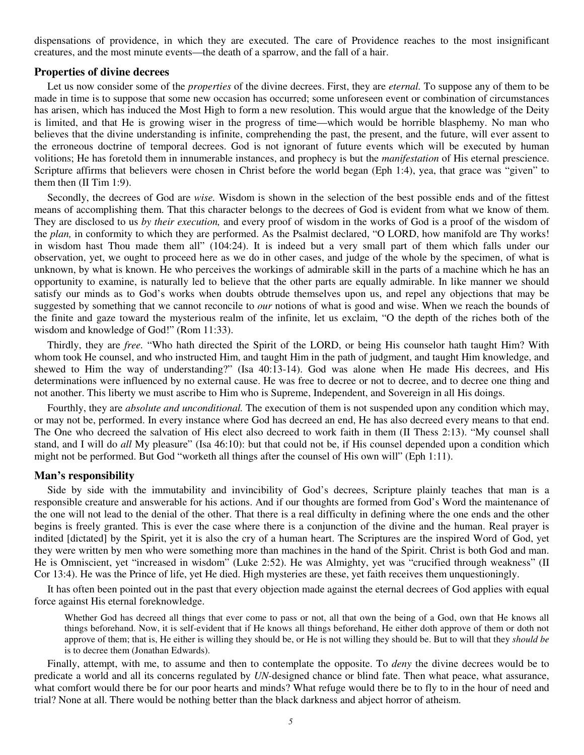dispensations of providence, in which they are executed. The care of Providence reaches to the most insignificant creatures, and the most minute events—the death of a sparrow, and the fall of a hair.

#### **Properties of divine decrees**

Let us now consider some of the *properties* of the divine decrees. First, they are *eternal.* To suppose any of them to be made in time is to suppose that some new occasion has occurred; some unforeseen event or combination of circumstances has arisen, which has induced the Most High to form a new resolution. This would argue that the knowledge of the Deity is limited, and that He is growing wiser in the progress of time—which would be horrible blasphemy. No man who believes that the divine understanding is infinite, comprehending the past, the present, and the future, will ever assent to the erroneous doctrine of temporal decrees. God is not ignorant of future events which will be executed by human volitions; He has foretold them in innumerable instances, and prophecy is but the *manifestation* of His eternal prescience. Scripture affirms that believers were chosen in Christ before the world began (Eph 1:4), yea, that grace was "given" to them then (II Tim 1:9).

Secondly, the decrees of God are *wise.* Wisdom is shown in the selection of the best possible ends and of the fittest means of accomplishing them. That this character belongs to the decrees of God is evident from what we know of them. They are disclosed to us *by their execution,* and every proof of wisdom in the works of God is a proof of the wisdom of the *plan,* in conformity to which they are performed. As the Psalmist declared, "O LORD, how manifold are Thy works! in wisdom hast Thou made them all" (104:24). It is indeed but a very small part of them which falls under our observation, yet, we ought to proceed here as we do in other cases, and judge of the whole by the specimen, of what is unknown, by what is known. He who perceives the workings of admirable skill in the parts of a machine which he has an opportunity to examine, is naturally led to believe that the other parts are equally admirable. In like manner we should satisfy our minds as to God's works when doubts obtrude themselves upon us, and repel any objections that may be suggested by something that we cannot reconcile to *our* notions of what is good and wise. When we reach the bounds of the finite and gaze toward the mysterious realm of the infinite, let us exclaim, "O the depth of the riches both of the wisdom and knowledge of God!" (Rom 11:33).

Thirdly, they are *free.* "Who hath directed the Spirit of the LORD, or being His counselor hath taught Him? With whom took He counsel, and who instructed Him, and taught Him in the path of judgment, and taught Him knowledge, and shewed to Him the way of understanding?" (Isa 40:13-14). God was alone when He made His decrees, and His determinations were influenced by no external cause. He was free to decree or not to decree, and to decree one thing and not another. This liberty we must ascribe to Him who is Supreme, Independent, and Sovereign in all His doings.

Fourthly, they are *absolute and unconditional.* The execution of them is not suspended upon any condition which may, or may not be, performed. In every instance where God has decreed an end, He has also decreed every means to that end. The One who decreed the salvation of His elect also decreed to work faith in them (II Thess 2:13). "My counsel shall stand, and I will do *all* My pleasure" (Isa 46:10): but that could not be, if His counsel depended upon a condition which might not be performed. But God "worketh all things after the counsel of His own will" (Eph 1:11).

#### **Man's responsibility**

Side by side with the immutability and invincibility of God's decrees, Scripture plainly teaches that man is a responsible creature and answerable for his actions. And if our thoughts are formed from God's Word the maintenance of the one will not lead to the denial of the other. That there is a real difficulty in defining where the one ends and the other begins is freely granted. This is ever the case where there is a conjunction of the divine and the human. Real prayer is indited [dictated] by the Spirit, yet it is also the cry of a human heart. The Scriptures are the inspired Word of God, yet they were written by men who were something more than machines in the hand of the Spirit. Christ is both God and man. He is Omniscient, yet "increased in wisdom" (Luke 2:52). He was Almighty, yet was "crucified through weakness" (II Cor 13:4). He was the Prince of life, yet He died. High mysteries are these, yet faith receives them unquestioningly.

It has often been pointed out in the past that every objection made against the eternal decrees of God applies with equal force against His eternal foreknowledge.

Whether God has decreed all things that ever come to pass or not, all that own the being of a God, own that He knows all things beforehand. Now, it is self-evident that if He knows all things beforehand, He either doth approve of them or doth not approve of them; that is, He either is willing they should be, or He is not willing they should be. But to will that they *should be*  is to decree them (Jonathan Edwards).

Finally, attempt, with me, to assume and then to contemplate the opposite. To *deny* the divine decrees would be to predicate a world and all its concerns regulated by *UN-*designed chance or blind fate. Then what peace, what assurance, what comfort would there be for our poor hearts and minds? What refuge would there be to fly to in the hour of need and trial? None at all. There would be nothing better than the black darkness and abject horror of atheism.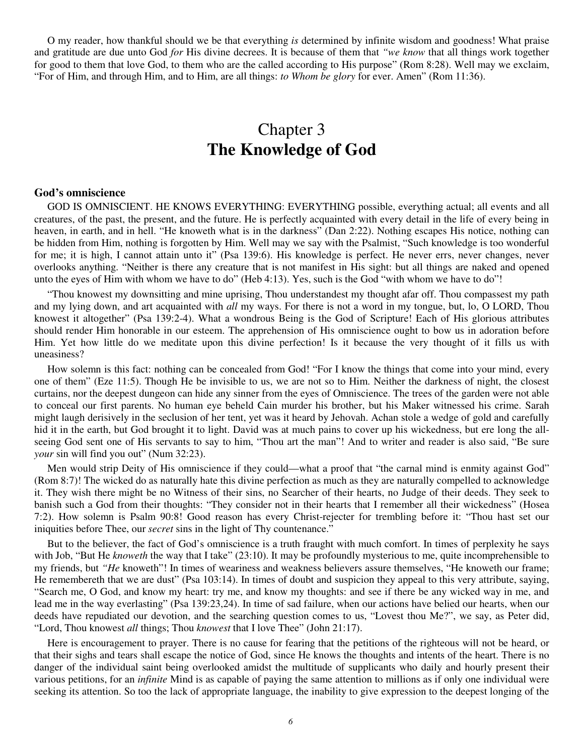O my reader, how thankful should we be that everything *is* determined by infinite wisdom and goodness! What praise and gratitude are due unto God *for* His divine decrees. It is because of them that *"we know* that all things work together for good to them that love God, to them who are the called according to His purpose" (Rom 8:28). Well may we exclaim, "For of Him, and through Him, and to Him, are all things: *to Whom be glory* for ever. Amen" (Rom 11:36).

# Chapter 3 **The Knowledge of God**

#### **God's omniscience**

GOD IS OMNISCIENT. HE KNOWS EVERYTHING: EVERYTHING possible, everything actual; all events and all creatures, of the past, the present, and the future. He is perfectly acquainted with every detail in the life of every being in heaven, in earth, and in hell. "He knoweth what is in the darkness" (Dan 2:22). Nothing escapes His notice, nothing can be hidden from Him, nothing is forgotten by Him. Well may we say with the Psalmist, "Such knowledge is too wonderful for me; it is high, I cannot attain unto it" (Psa 139:6). His knowledge is perfect. He never errs, never changes, never overlooks anything. "Neither is there any creature that is not manifest in His sight: but all things are naked and opened unto the eyes of Him with whom we have to do" (Heb 4:13). Yes, such is the God "with whom we have to do"!

"Thou knowest my downsitting and mine uprising, Thou understandest my thought afar off. Thou compassest my path and my lying down, and art acquainted with *all* my ways. For there is not a word in my tongue, but, lo, O LORD, Thou knowest it altogether" (Psa 139:2-4). What a wondrous Being is the God of Scripture! Each of His glorious attributes should render Him honorable in our esteem. The apprehension of His omniscience ought to bow us in adoration before Him. Yet how little do we meditate upon this divine perfection! Is it because the very thought of it fills us with uneasiness?

How solemn is this fact: nothing can be concealed from God! "For I know the things that come into your mind, every one of them" (Eze 11:5). Though He be invisible to us, we are not so to Him. Neither the darkness of night, the closest curtains, nor the deepest dungeon can hide any sinner from the eyes of Omniscience. The trees of the garden were not able to conceal our first parents. No human eye beheld Cain murder his brother, but his Maker witnessed his crime. Sarah might laugh derisively in the seclusion of her tent, yet was it heard by Jehovah. Achan stole a wedge of gold and carefully hid it in the earth, but God brought it to light. David was at much pains to cover up his wickedness, but ere long the allseeing God sent one of His servants to say to him, "Thou art the man"! And to writer and reader is also said, "Be sure *your* sin will find you out" (Num 32:23).

Men would strip Deity of His omniscience if they could—what a proof that "the carnal mind is enmity against God" (Rom 8:7)! The wicked do as naturally hate this divine perfection as much as they are naturally compelled to acknowledge it. They wish there might be no Witness of their sins, no Searcher of their hearts, no Judge of their deeds. They seek to banish such a God from their thoughts: "They consider not in their hearts that I remember all their wickedness" (Hosea 7:2). How solemn is Psalm 90:8! Good reason has every Christ-rejecter for trembling before it: "Thou hast set our iniquities before Thee, our *secret* sins in the light of Thy countenance."

But to the believer, the fact of God's omniscience is a truth fraught with much comfort. In times of perplexity he says with Job, "But He *knoweth* the way that I take" (23:10). It may be profoundly mysterious to me, quite incomprehensible to my friends, but *"He* knoweth"! In times of weariness and weakness believers assure themselves, "He knoweth our frame; He remembereth that we are dust" (Psa 103:14). In times of doubt and suspicion they appeal to this very attribute, saying, "Search me, O God, and know my heart: try me, and know my thoughts: and see if there be any wicked way in me, and lead me in the way everlasting" (Psa 139:23,24). In time of sad failure, when our actions have belied our hearts, when our deeds have repudiated our devotion, and the searching question comes to us, "Lovest thou Me?", we say, as Peter did, "Lord, Thou knowest *all* things; Thou *knowest* that I love Thee" (John 21:17).

Here is encouragement to prayer. There is no cause for fearing that the petitions of the righteous will not be heard, or that their sighs and tears shall escape the notice of God, since He knows the thoughts and intents of the heart. There is no danger of the individual saint being overlooked amidst the multitude of supplicants who daily and hourly present their various petitions, for an *infinite* Mind is as capable of paying the same attention to millions as if only one individual were seeking its attention. So too the lack of appropriate language, the inability to give expression to the deepest longing of the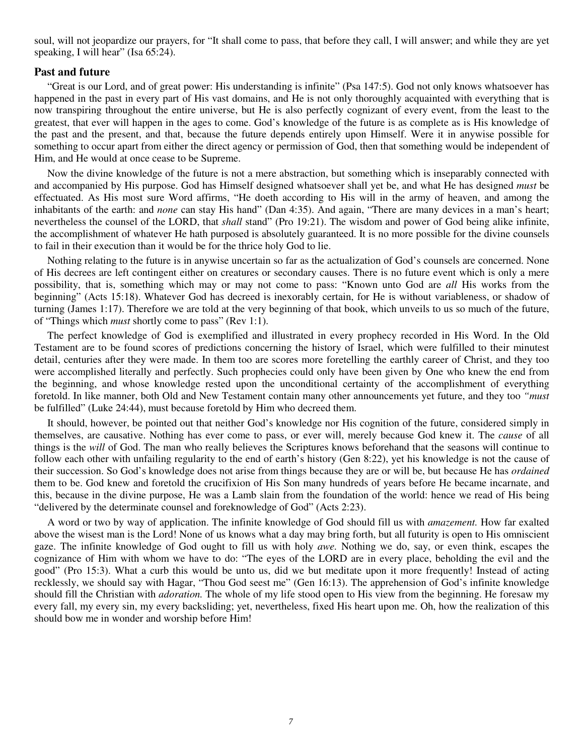soul, will not jeopardize our prayers, for "It shall come to pass, that before they call, I will answer; and while they are yet speaking, I will hear" (Isa 65:24).

### **Past and future**

"Great is our Lord, and of great power: His understanding is infinite" (Psa 147:5). God not only knows whatsoever has happened in the past in every part of His vast domains, and He is not only thoroughly acquainted with everything that is now transpiring throughout the entire universe, but He is also perfectly cognizant of every event, from the least to the greatest, that ever will happen in the ages to come. God's knowledge of the future is as complete as is His knowledge of the past and the present, and that, because the future depends entirely upon Himself. Were it in anywise possible for something to occur apart from either the direct agency or permission of God, then that something would be independent of Him, and He would at once cease to be Supreme.

Now the divine knowledge of the future is not a mere abstraction, but something which is inseparably connected with and accompanied by His purpose. God has Himself designed whatsoever shall yet be, and what He has designed *must* be effectuated. As His most sure Word affirms, "He doeth according to His will in the army of heaven, and among the inhabitants of the earth: and *none* can stay His hand" (Dan 4:35). And again, "There are many devices in a man's heart; nevertheless the counsel of the LORD, that *shall* stand" (Pro 19:21). The wisdom and power of God being alike infinite, the accomplishment of whatever He hath purposed is absolutely guaranteed. It is no more possible for the divine counsels to fail in their execution than it would be for the thrice holy God to lie.

Nothing relating to the future is in anywise uncertain so far as the actualization of God's counsels are concerned. None of His decrees are left contingent either on creatures or secondary causes. There is no future event which is only a mere possibility, that is, something which may or may not come to pass: "Known unto God are *all* His works from the beginning" (Acts 15:18). Whatever God has decreed is inexorably certain, for He is without variableness, or shadow of turning (James 1:17). Therefore we are told at the very beginning of that book, which unveils to us so much of the future, of "Things which *must* shortly come to pass" (Rev 1:1).

The perfect knowledge of God is exemplified and illustrated in every prophecy recorded in His Word. In the Old Testament are to be found scores of predictions concerning the history of Israel, which were fulfilled to their minutest detail, centuries after they were made. In them too are scores more foretelling the earthly career of Christ, and they too were accomplished literally and perfectly. Such prophecies could only have been given by One who knew the end from the beginning, and whose knowledge rested upon the unconditional certainty of the accomplishment of everything foretold. In like manner, both Old and New Testament contain many other announcements yet future, and they too *"must*  be fulfilled" (Luke 24:44), must because foretold by Him who decreed them.

It should, however, be pointed out that neither God's knowledge nor His cognition of the future, considered simply in themselves, are causative. Nothing has ever come to pass, or ever will, merely because God knew it. The *cause* of all things is the *will* of God. The man who really believes the Scriptures knows beforehand that the seasons will continue to follow each other with unfailing regularity to the end of earth's history (Gen 8:22), yet his knowledge is not the cause of their succession. So God's knowledge does not arise from things because they are or will be, but because He has *ordained*  them to be. God knew and foretold the crucifixion of His Son many hundreds of years before He became incarnate, and this, because in the divine purpose, He was a Lamb slain from the foundation of the world: hence we read of His being "delivered by the determinate counsel and foreknowledge of God" (Acts 2:23).

A word or two by way of application. The infinite knowledge of God should fill us with *amazement.* How far exalted above the wisest man is the Lord! None of us knows what a day may bring forth, but all futurity is open to His omniscient gaze. The infinite knowledge of God ought to fill us with holy *awe.* Nothing we do, say, or even think, escapes the cognizance of Him with whom we have to do: "The eyes of the LORD are in every place, beholding the evil and the good" (Pro 15:3). What a curb this would be unto us, did we but meditate upon it more frequently! Instead of acting recklessly, we should say with Hagar, "Thou God seest me" (Gen 16:13). The apprehension of God's infinite knowledge should fill the Christian with *adoration.* The whole of my life stood open to His view from the beginning. He foresaw my every fall, my every sin, my every backsliding; yet, nevertheless, fixed His heart upon me. Oh, how the realization of this should bow me in wonder and worship before Him!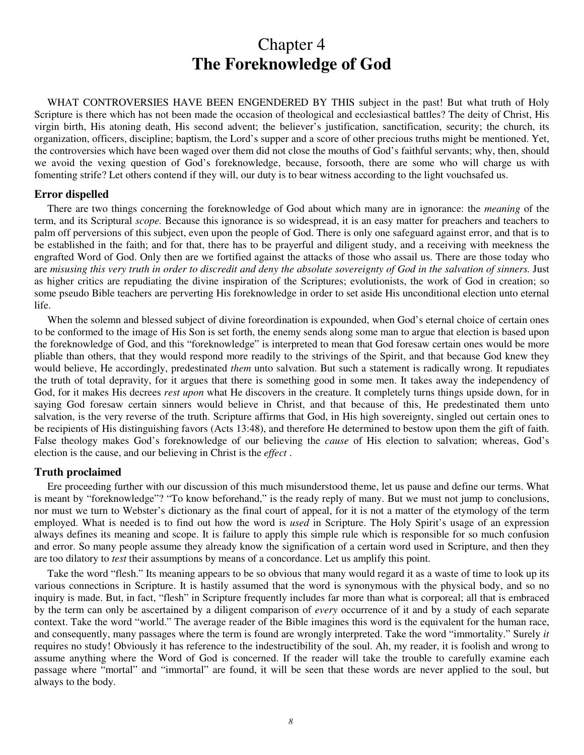# Chapter 4 **The Foreknowledge of God**

WHAT CONTROVERSIES HAVE BEEN ENGENDERED BY THIS subject in the past! But what truth of Holy Scripture is there which has not been made the occasion of theological and ecclesiastical battles? The deity of Christ, His virgin birth, His atoning death, His second advent; the believer's justification, sanctification, security; the church, its organization, officers, discipline; baptism, the Lord's supper and a score of other precious truths might be mentioned. Yet, the controversies which have been waged over them did not close the mouths of God's faithful servants; why, then, should we avoid the vexing question of God's foreknowledge, because, forsooth, there are some who will charge us with fomenting strife? Let others contend if they will, our duty is to bear witness according to the light vouchsafed us.

### **Error dispelled**

There are two things concerning the foreknowledge of God about which many are in ignorance: the *meaning* of the term, and its Scriptural *scope.* Because this ignorance is so widespread, it is an easy matter for preachers and teachers to palm off perversions of this subject, even upon the people of God. There is only one safeguard against error, and that is to be established in the faith; and for that, there has to be prayerful and diligent study, and a receiving with meekness the engrafted Word of God. Only then are we fortified against the attacks of those who assail us. There are those today who are *misusing this very truth in order to discredit and deny the absolute sovereignty of God in the salvation of sinners.* Just as higher critics are repudiating the divine inspiration of the Scriptures; evolutionists, the work of God in creation; so some pseudo Bible teachers are perverting His foreknowledge in order to set aside His unconditional election unto eternal life.

When the solemn and blessed subject of divine foreordination is expounded, when God's eternal choice of certain ones to be conformed to the image of His Son is set forth, the enemy sends along some man to argue that election is based upon the foreknowledge of God, and this "foreknowledge" is interpreted to mean that God foresaw certain ones would be more pliable than others, that they would respond more readily to the strivings of the Spirit, and that because God knew they would believe, He accordingly, predestinated *them* unto salvation. But such a statement is radically wrong. It repudiates the truth of total depravity, for it argues that there is something good in some men. It takes away the independency of God, for it makes His decrees *rest upon* what He discovers in the creature. It completely turns things upside down, for in saying God foresaw certain sinners would believe in Christ, and that because of this, He predestinated them unto salvation, is the very reverse of the truth. Scripture affirms that God, in His high sovereignty, singled out certain ones to be recipients of His distinguishing favors (Acts 13:48), and therefore He determined to bestow upon them the gift of faith. False theology makes God's foreknowledge of our believing the *cause* of His election to salvation; whereas, God's election is the cause, and our believing in Christ is the *effect* .

### **Truth proclaimed**

Ere proceeding further with our discussion of this much misunderstood theme, let us pause and define our terms. What is meant by "foreknowledge"? "To know beforehand," is the ready reply of many. But we must not jump to conclusions, nor must we turn to Webster's dictionary as the final court of appeal, for it is not a matter of the etymology of the term employed. What is needed is to find out how the word is *used* in Scripture. The Holy Spirit's usage of an expression always defines its meaning and scope. It is failure to apply this simple rule which is responsible for so much confusion and error. So many people assume they already know the signification of a certain word used in Scripture, and then they are too dilatory to *test* their assumptions by means of a concordance. Let us amplify this point.

Take the word "flesh." Its meaning appears to be so obvious that many would regard it as a waste of time to look up its various connections in Scripture. It is hastily assumed that the word is synonymous with the physical body, and so no inquiry is made. But, in fact, "flesh" in Scripture frequently includes far more than what is corporeal; all that is embraced by the term can only be ascertained by a diligent comparison of *every* occurrence of it and by a study of each separate context. Take the word "world." The average reader of the Bible imagines this word is the equivalent for the human race, and consequently, many passages where the term is found are wrongly interpreted. Take the word "immortality." Surely *it*  requires no study! Obviously it has reference to the indestructibility of the soul. Ah, my reader, it is foolish and wrong to assume anything where the Word of God is concerned. If the reader will take the trouble to carefully examine each passage where "mortal" and "immortal" are found, it will be seen that these words are never applied to the soul, but always to the body.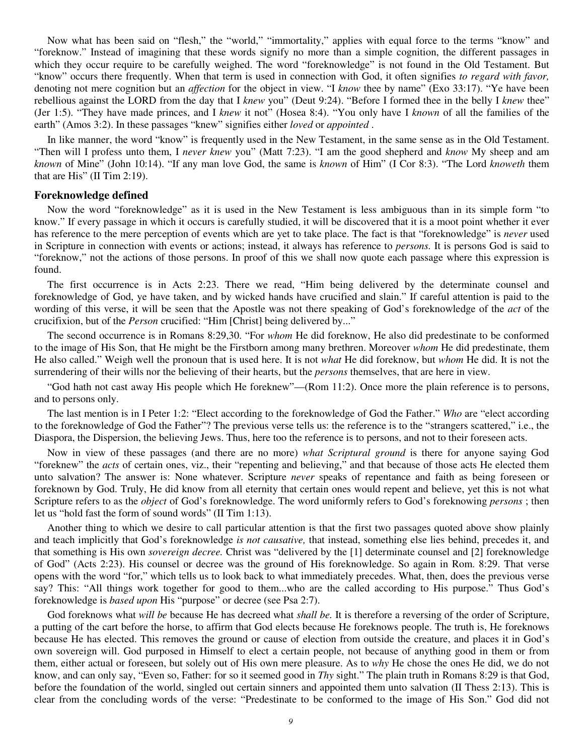Now what has been said on "flesh," the "world," "immortality," applies with equal force to the terms "know" and "foreknow." Instead of imagining that these words signify no more than a simple cognition, the different passages in which they occur require to be carefully weighed. The word "foreknowledge" is not found in the Old Testament. But "know" occurs there frequently. When that term is used in connection with God, it often signifies *to regard with favor,*  denoting not mere cognition but an *affection* for the object in view. "I *know* thee by name" (Exo 33:17). "Ye have been rebellious against the LORD from the day that I *knew* you" (Deut 9:24). "Before I formed thee in the belly I *knew* thee" (Jer 1:5). "They have made princes, and I *knew* it not" (Hosea 8:4). "You only have I *known* of all the families of the earth" (Amos 3:2). In these passages "knew" signifies either *loved* or *appointed* .

In like manner, the word "know" is frequently used in the New Testament, in the same sense as in the Old Testament. "Then will I profess unto them, I *never knew* you" (Matt 7:23). "I am the good shepherd and *know* My sheep and am *known* of Mine" (John 10:14). "If any man love God, the same is *known* of Him" (I Cor 8:3). "The Lord *knoweth* them that are His" (II Tim 2:19).

### **Foreknowledge defined**

Now the word "foreknowledge" as it is used in the New Testament is less ambiguous than in its simple form "to know." If every passage in which it occurs is carefully studied, it will be discovered that it is a moot point whether it ever has reference to the mere perception of events which are yet to take place. The fact is that "foreknowledge" is *never* used in Scripture in connection with events or actions; instead, it always has reference to *persons.* It is persons God is said to "foreknow," not the actions of those persons. In proof of this we shall now quote each passage where this expression is found.

The first occurrence is in Acts 2:23. There we read, "Him being delivered by the determinate counsel and foreknowledge of God, ye have taken, and by wicked hands have crucified and slain." If careful attention is paid to the wording of this verse, it will be seen that the Apostle was not there speaking of God's foreknowledge of the *act* of the crucifixion, but of the *Person* crucified: "Him [Christ] being delivered by..."

The second occurrence is in Romans 8:29,30. "For *whom* He did foreknow, He also did predestinate to be conformed to the image of His Son, that He might be the Firstborn among many brethren. Moreover *whom* He did predestinate, them He also called." Weigh well the pronoun that is used here. It is not *what* He did foreknow, but *whom* He did. It is not the surrendering of their wills nor the believing of their hearts, but the *persons* themselves, that are here in view.

"God hath not cast away His people which He foreknew"—(Rom 11:2). Once more the plain reference is to persons, and to persons only.

The last mention is in I Peter 1:2: "Elect according to the foreknowledge of God the Father." *Who* are "elect according to the foreknowledge of God the Father"? The previous verse tells us: the reference is to the "strangers scattered," i.e., the Diaspora, the Dispersion, the believing Jews. Thus, here too the reference is to persons, and not to their foreseen acts.

Now in view of these passages (and there are no more) *what Scriptural ground* is there for anyone saying God "foreknew" the *acts* of certain ones, viz., their "repenting and believing," and that because of those acts He elected them unto salvation? The answer is: None whatever. Scripture *never* speaks of repentance and faith as being foreseen or foreknown by God. Truly, He did know from all eternity that certain ones would repent and believe, yet this is not what Scripture refers to as the *object* of God's foreknowledge. The word uniformly refers to God's foreknowing *persons* ; then let us "hold fast the form of sound words" (II Tim 1:13).

Another thing to which we desire to call particular attention is that the first two passages quoted above show plainly and teach implicitly that God's foreknowledge *is not causative,* that instead, something else lies behind, precedes it, and that something is His own *sovereign decree.* Christ was "delivered by the [1] determinate counsel and [2] foreknowledge of God" (Acts 2:23). His counsel or decree was the ground of His foreknowledge. So again in Rom. 8:29. That verse opens with the word "for," which tells us to look back to what immediately precedes. What, then, does the previous verse say? This: "All things work together for good to them...who are the called according to His purpose." Thus God's foreknowledge is *based upon* His "purpose" or decree (see Psa 2:7).

God foreknows what *will be* because He has decreed what *shall be.* It is therefore a reversing of the order of Scripture, a putting of the cart before the horse, to affirm that God elects because He foreknows people. The truth is, He foreknows because He has elected. This removes the ground or cause of election from outside the creature, and places it in God's own sovereign will. God purposed in Himself to elect a certain people, not because of anything good in them or from them, either actual or foreseen, but solely out of His own mere pleasure. As to *why* He chose the ones He did, we do not know, and can only say, "Even so, Father: for so it seemed good in *Thy* sight." The plain truth in Romans 8:29 is that God, before the foundation of the world, singled out certain sinners and appointed them unto salvation (II Thess 2:13). This is clear from the concluding words of the verse: "Predestinate to be conformed to the image of His Son." God did not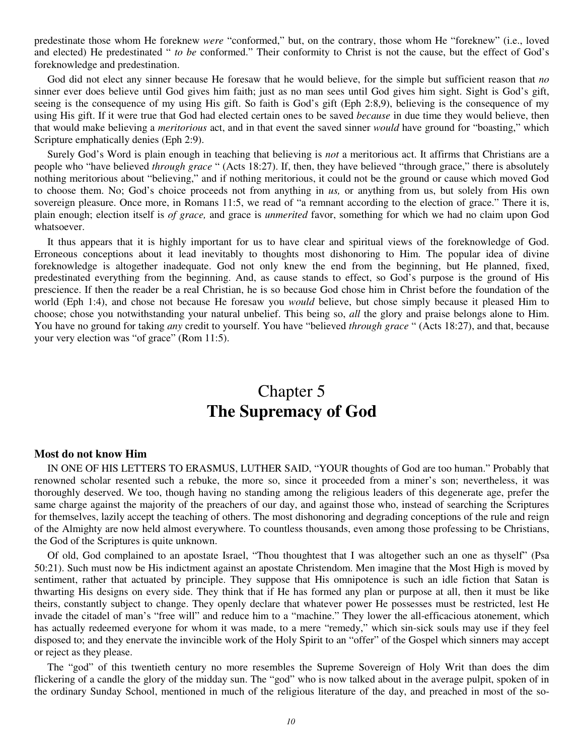predestinate those whom He foreknew *were* "conformed," but, on the contrary, those whom He "foreknew" (i.e., loved and elected) He predestinated " *to be* conformed." Their conformity to Christ is not the cause, but the effect of God's foreknowledge and predestination.

God did not elect any sinner because He foresaw that he would believe, for the simple but sufficient reason that *no*  sinner ever does believe until God gives him faith; just as no man sees until God gives him sight. Sight is God's gift, seeing is the consequence of my using His gift. So faith is God's gift (Eph 2:8,9), believing is the consequence of my using His gift. If it were true that God had elected certain ones to be saved *because* in due time they would believe, then that would make believing a *meritorious* act, and in that event the saved sinner *would* have ground for "boasting," which Scripture emphatically denies (Eph 2:9).

Surely God's Word is plain enough in teaching that believing is *not* a meritorious act. It affirms that Christians are a people who "have believed *through grace* " (Acts 18:27). If, then, they have believed "through grace," there is absolutely nothing meritorious about "believing," and if nothing meritorious, it could not be the ground or cause which moved God to choose them. No; God's choice proceeds not from anything in *us,* or anything from us, but solely from His own sovereign pleasure. Once more, in Romans 11:5, we read of "a remnant according to the election of grace." There it is, plain enough; election itself is *of grace,* and grace is *unmerited* favor, something for which we had no claim upon God whatsoever.

It thus appears that it is highly important for us to have clear and spiritual views of the foreknowledge of God. Erroneous conceptions about it lead inevitably to thoughts most dishonoring to Him. The popular idea of divine foreknowledge is altogether inadequate. God not only knew the end from the beginning, but He planned, fixed, predestinated everything from the beginning. And, as cause stands to effect, so God's purpose is the ground of His prescience. If then the reader be a real Christian, he is so because God chose him in Christ before the foundation of the world (Eph 1:4), and chose not because He foresaw you *would* believe, but chose simply because it pleased Him to choose; chose you notwithstanding your natural unbelief. This being so, *all* the glory and praise belongs alone to Him. You have no ground for taking *any* credit to yourself. You have "believed *through grace* " (Acts 18:27), and that, because your very election was "of grace" (Rom 11:5).

# Chapter 5 **The Supremacy of God**

#### **Most do not know Him**

IN ONE OF HIS LETTERS TO ERASMUS, LUTHER SAID, "YOUR thoughts of God are too human." Probably that renowned scholar resented such a rebuke, the more so, since it proceeded from a miner's son; nevertheless, it was thoroughly deserved. We too, though having no standing among the religious leaders of this degenerate age, prefer the same charge against the majority of the preachers of our day, and against those who, instead of searching the Scriptures for themselves, lazily accept the teaching of others. The most dishonoring and degrading conceptions of the rule and reign of the Almighty are now held almost everywhere. To countless thousands, even among those professing to be Christians, the God of the Scriptures is quite unknown.

Of old, God complained to an apostate Israel, "Thou thoughtest that I was altogether such an one as thyself" (Psa 50:21). Such must now be His indictment against an apostate Christendom. Men imagine that the Most High is moved by sentiment, rather that actuated by principle. They suppose that His omnipotence is such an idle fiction that Satan is thwarting His designs on every side. They think that if He has formed any plan or purpose at all, then it must be like theirs, constantly subject to change. They openly declare that whatever power He possesses must be restricted, lest He invade the citadel of man's "free will" and reduce him to a "machine." They lower the all-efficacious atonement, which has actually redeemed everyone for whom it was made, to a mere "remedy," which sin-sick souls may use if they feel disposed to; and they enervate the invincible work of the Holy Spirit to an "offer" of the Gospel which sinners may accept or reject as they please.

The "god" of this twentieth century no more resembles the Supreme Sovereign of Holy Writ than does the dim flickering of a candle the glory of the midday sun. The "god" who is now talked about in the average pulpit, spoken of in the ordinary Sunday School, mentioned in much of the religious literature of the day, and preached in most of the so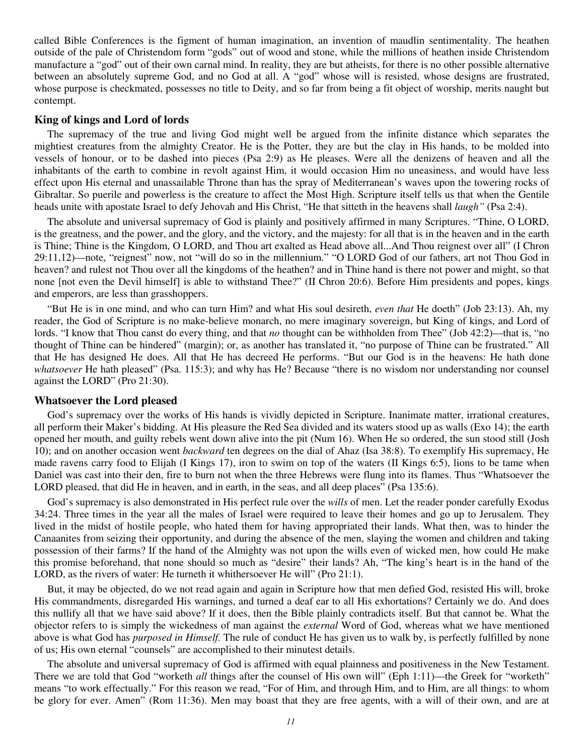called Bible Conferences is the figment of human imagination, an invention of maudlin sentimentality. The heathen outside of the pale of Christendom form "gods" out of wood and stone, while the millions of heathen inside Christendom manufacture a "god" out of their own carnal mind. In reality, they are but atheists, for there is no other possible alternative between an absolutely supreme God, and no God at all. A "god" whose will is resisted, whose designs are frustrated, whose purpose is checkmated, possesses no title to Deity, and so far from being a fit object of worship, merits naught but contempt.

#### **King of kings and Lord of lords**

The supremacy of the true and living God might well be argued from the infinite distance which separates the mightiest creatures from the almighty Creator. He is the Potter, they are but the clay in His hands, to be molded into vessels of honour, or to be dashed into pieces (Psa 2:9) as He pleases. Were all the denizens of heaven and all the inhabitants of the earth to combine in revolt against Him, it would occasion Him no uneasiness, and would have less effect upon His eternal and unassailable Throne than has the spray of Mediterranean's waves upon the towering rocks of Gibraltar. So puerile and powerless is the creature to affect the Most High. Scripture itself tells us that when the Gentile heads unite with apostate Israel to defy Jehovah and His Christ, "He that sitteth in the heavens shall *laugh"* (Psa 2:4).

The absolute and universal supremacy of God is plainly and positively affirmed in many Scriptures. "Thine, O LORD, is the greatness, and the power, and the glory, and the victory, and the majesty: for all that is in the heaven and in the earth is Thine; Thine is the Kingdom, O LORD, and Thou art exalted as Head above all...And Thou reignest over all" (I Chron 29:11,12)—note, "reignest" now, not "will do so in the millennium." "O LORD God of our fathers, art not Thou God in heaven? and rulest not Thou over all the kingdoms of the heathen? and in Thine hand is there not power and might, so that none [not even the Devil himself] is able to withstand Thee?" (II Chron 20:6). Before Him presidents and popes, kings and emperors, are less than grasshoppers.

"But He is in one mind, and who can turn Him? and what His soul desireth, *even that* He doeth" (Job 23:13). Ah, my reader, the God of Scripture is no make-believe monarch, no mere imaginary sovereign, but King of kings, and Lord of lords. "I know that Thou canst do every thing, and that *no* thought can be withholden from Thee" (Job 42:2)—that is, "no thought of Thine can be hindered" (margin); or, as another has translated it, "no purpose of Thine can be frustrated." All that He has designed He does. All that He has decreed He performs. "But our God is in the heavens: He hath done *whatsoever* He hath pleased" (Psa. 115:3); and why has He? Because "there is no wisdom nor understanding nor counsel against the LORD" (Pro 21:30).

#### **Whatsoever the Lord pleased**

God's supremacy over the works of His hands is vividly depicted in Scripture. Inanimate matter, irrational creatures, all perform their Maker's bidding. At His pleasure the Red Sea divided and its waters stood up as walls (Exo 14); the earth opened her mouth, and guilty rebels went down alive into the pit (Num 16). When He so ordered, the sun stood still (Josh 10); and on another occasion went *backward* ten degrees on the dial of Ahaz (Isa 38:8). To exemplify His supremacy, He made ravens carry food to Elijah (I Kings 17), iron to swim on top of the waters (II Kings 6:5), lions to be tame when Daniel was cast into their den, fire to burn not when the three Hebrews were flung into its flames. Thus "Whatsoever the LORD pleased, that did He in heaven, and in earth, in the seas, and all deep places" (Psa 135:6).

God's supremacy is also demonstrated in His perfect rule over the *wills* of men. Let the reader ponder carefully Exodus 34:24. Three times in the year all the males of Israel were required to leave their homes and go up to Jerusalem. They lived in the midst of hostile people, who hated them for having appropriated their lands. What then, was to hinder the Canaanites from seizing their opportunity, and during the absence of the men, slaying the women and children and taking possession of their farms? If the hand of the Almighty was not upon the wills even of wicked men, how could He make this promise beforehand, that none should so much as "desire" their lands? Ah, "The king's heart is in the hand of the LORD, as the rivers of water: He turneth it whithersoever He will" (Pro 21:1).

But, it may be objected, do we not read again and again in Scripture how that men defied God, resisted His will, broke His commandments, disregarded His warnings, and turned a deaf ear to all His exhortations? Certainly we do. And does this nullify all that we have said above? If it does, then the Bible plainly contradicts itself. But that cannot be. What the objector refers to is simply the wickedness of man against the *external* Word of God, whereas what we have mentioned above is what God has *purposed in Himself.* The rule of conduct He has given us to walk by, is perfectly fulfilled by none of us; His own eternal "counsels" are accomplished to their minutest details.

The absolute and universal supremacy of God is affirmed with equal plainness and positiveness in the New Testament. There we are told that God "worketh *all* things after the counsel of His own will" (Eph 1:11)—the Greek for "worketh" means "to work effectually." For this reason we read, "For of Him, and through Him, and to Him, are all things: to whom be glory for ever. Amen" (Rom 11:36). Men may boast that they are free agents, with a will of their own, and are at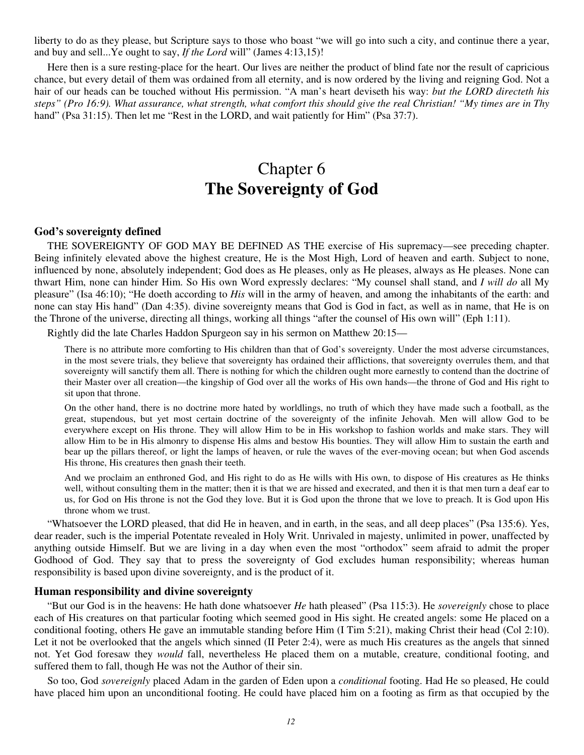liberty to do as they please, but Scripture says to those who boast "we will go into such a city, and continue there a year, and buy and sell...Ye ought to say, *If the Lord* will" (James 4:13,15)!

Here then is a sure resting-place for the heart. Our lives are neither the product of blind fate nor the result of capricious chance, but every detail of them was ordained from all eternity, and is now ordered by the living and reigning God. Not a hair of our heads can be touched without His permission. "A man's heart deviseth his way: *but the LORD directeth his steps" (Pro 16:9). What assurance, what strength, what comfort this should give the real Christian! "My times are in Thy*  hand" (Psa 31:15). Then let me "Rest in the LORD, and wait patiently for Him" (Psa 37:7).

# Chapter 6 **The Sovereignty of God**

### **God's sovereignty defined**

THE SOVEREIGNTY OF GOD MAY BE DEFINED AS THE exercise of His supremacy—see preceding chapter. Being infinitely elevated above the highest creature, He is the Most High, Lord of heaven and earth. Subject to none, influenced by none, absolutely independent; God does as He pleases, only as He pleases, always as He pleases. None can thwart Him, none can hinder Him. So His own Word expressly declares: "My counsel shall stand, and *I will do* all My pleasure" (Isa 46:10); "He doeth according to *His* will in the army of heaven, and among the inhabitants of the earth: and none can stay His hand" (Dan 4:35). divine sovereignty means that God is God in fact, as well as in name, that He is on the Throne of the universe, directing all things, working all things "after the counsel of His own will" (Eph 1:11).

Rightly did the late Charles Haddon Spurgeon say in his sermon on Matthew 20:15—

There is no attribute more comforting to His children than that of God's sovereignty. Under the most adverse circumstances, in the most severe trials, they believe that sovereignty has ordained their afflictions, that sovereignty overrules them, and that sovereignty will sanctify them all. There is nothing for which the children ought more earnestly to contend than the doctrine of their Master over all creation—the kingship of God over all the works of His own hands—the throne of God and His right to sit upon that throne.

On the other hand, there is no doctrine more hated by worldlings, no truth of which they have made such a football, as the great, stupendous, but yet most certain doctrine of the sovereignty of the infinite Jehovah. Men will allow God to be everywhere except on His throne. They will allow Him to be in His workshop to fashion worlds and make stars. They will allow Him to be in His almonry to dispense His alms and bestow His bounties. They will allow Him to sustain the earth and bear up the pillars thereof, or light the lamps of heaven, or rule the waves of the ever-moving ocean; but when God ascends His throne, His creatures then gnash their teeth.

And we proclaim an enthroned God, and His right to do as He wills with His own, to dispose of His creatures as He thinks well, without consulting them in the matter; then it is that we are hissed and execrated, and then it is that men turn a deaf ear to us, for God on His throne is not the God they love. But it is God upon the throne that we love to preach. It is God upon His throne whom we trust.

"Whatsoever the LORD pleased, that did He in heaven, and in earth, in the seas, and all deep places" (Psa 135:6). Yes, dear reader, such is the imperial Potentate revealed in Holy Writ. Unrivaled in majesty, unlimited in power, unaffected by anything outside Himself. But we are living in a day when even the most "orthodox" seem afraid to admit the proper Godhood of God. They say that to press the sovereignty of God excludes human responsibility; whereas human responsibility is based upon divine sovereignty, and is the product of it.

#### **Human responsibility and divine sovereignty**

"But our God is in the heavens: He hath done whatsoever *He* hath pleased" (Psa 115:3). He *sovereignly* chose to place each of His creatures on that particular footing which seemed good in His sight. He created angels: some He placed on a conditional footing, others He gave an immutable standing before Him (I Tim 5:21), making Christ their head (Col 2:10). Let it not be overlooked that the angels which sinned (II Peter 2:4), were as much His creatures as the angels that sinned not. Yet God foresaw they *would* fall, nevertheless He placed them on a mutable, creature, conditional footing, and suffered them to fall, though He was not the Author of their sin.

So too, God *sovereignly* placed Adam in the garden of Eden upon a *conditional* footing. Had He so pleased, He could have placed him upon an unconditional footing. He could have placed him on a footing as firm as that occupied by the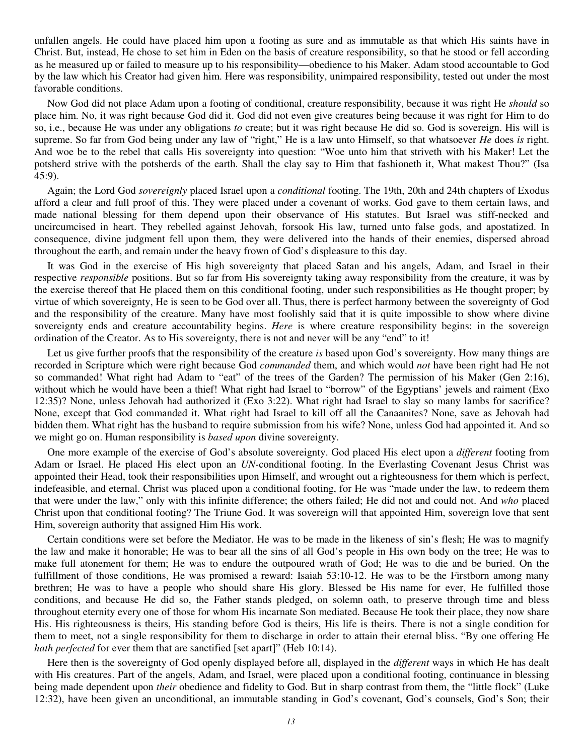unfallen angels. He could have placed him upon a footing as sure and as immutable as that which His saints have in Christ. But, instead, He chose to set him in Eden on the basis of creature responsibility, so that he stood or fell according as he measured up or failed to measure up to his responsibility—obedience to his Maker. Adam stood accountable to God by the law which his Creator had given him. Here was responsibility, unimpaired responsibility, tested out under the most favorable conditions.

Now God did not place Adam upon a footing of conditional, creature responsibility, because it was right He *should* so place him. No, it was right because God did it. God did not even give creatures being because it was right for Him to do so, i.e., because He was under any obligations *to* create; but it was right because He did so. God is sovereign. His will is supreme. So far from God being under any law of "right," He is a law unto Himself, so that whatsoever *He* does *is* right. And woe be to the rebel that calls His sovereignty into question: "Woe unto him that striveth with his Maker! Let the potsherd strive with the potsherds of the earth. Shall the clay say to Him that fashioneth it, What makest Thou?" (Isa 45:9).

Again; the Lord God *sovereignly* placed Israel upon a *conditional* footing. The 19th, 20th and 24th chapters of Exodus afford a clear and full proof of this. They were placed under a covenant of works. God gave to them certain laws, and made national blessing for them depend upon their observance of His statutes. But Israel was stiff-necked and uncircumcised in heart. They rebelled against Jehovah, forsook His law, turned unto false gods, and apostatized. In consequence, divine judgment fell upon them, they were delivered into the hands of their enemies, dispersed abroad throughout the earth, and remain under the heavy frown of God's displeasure to this day.

It was God in the exercise of His high sovereignty that placed Satan and his angels, Adam, and Israel in their respective *responsible* positions. But so far from His sovereignty taking away responsibility from the creature, it was by the exercise thereof that He placed them on this conditional footing, under such responsibilities as He thought proper; by virtue of which sovereignty, He is seen to be God over all. Thus, there is perfect harmony between the sovereignty of God and the responsibility of the creature. Many have most foolishly said that it is quite impossible to show where divine sovereignty ends and creature accountability begins. *Here* is where creature responsibility begins: in the sovereign ordination of the Creator. As to His sovereignty, there is not and never will be any "end" to it!

Let us give further proofs that the responsibility of the creature *is* based upon God's sovereignty. How many things are recorded in Scripture which were right because God *commanded* them, and which would *not* have been right had He not so commanded! What right had Adam to "eat" of the trees of the Garden? The permission of his Maker (Gen 2:16), without which he would have been a thief! What right had Israel to "borrow" of the Egyptians' jewels and raiment (Exo 12:35)? None, unless Jehovah had authorized it (Exo 3:22). What right had Israel to slay so many lambs for sacrifice? None, except that God commanded it. What right had Israel to kill off all the Canaanites? None, save as Jehovah had bidden them. What right has the husband to require submission from his wife? None, unless God had appointed it. And so we might go on. Human responsibility is *based upon* divine sovereignty.

One more example of the exercise of God's absolute sovereignty. God placed His elect upon a *different* footing from Adam or Israel. He placed His elect upon an *UN-*conditional footing. In the Everlasting Covenant Jesus Christ was appointed their Head, took their responsibilities upon Himself, and wrought out a righteousness for them which is perfect, indefeasible, and eternal. Christ was placed upon a conditional footing, for He was "made under the law, to redeem them that were under the law," only with this infinite difference; the others failed; He did not and could not. And *who* placed Christ upon that conditional footing? The Triune God. It was sovereign will that appointed Him, sovereign love that sent Him, sovereign authority that assigned Him His work.

Certain conditions were set before the Mediator. He was to be made in the likeness of sin's flesh; He was to magnify the law and make it honorable; He was to bear all the sins of all God's people in His own body on the tree; He was to make full atonement for them; He was to endure the outpoured wrath of God; He was to die and be buried. On the fulfillment of those conditions, He was promised a reward: Isaiah 53:10-12. He was to be the Firstborn among many brethren; He was to have a people who should share His glory. Blessed be His name for ever, He fulfilled those conditions, and because He did so, the Father stands pledged, on solemn oath, to preserve through time and bless throughout eternity every one of those for whom His incarnate Son mediated. Because He took their place, they now share His. His righteousness is theirs, His standing before God is theirs, His life is theirs. There is not a single condition for them to meet, not a single responsibility for them to discharge in order to attain their eternal bliss. "By one offering He *hath perfected* for ever them that are sanctified [set apart]" (Heb 10:14).

Here then is the sovereignty of God openly displayed before all, displayed in the *different* ways in which He has dealt with His creatures. Part of the angels, Adam, and Israel, were placed upon a conditional footing, continuance in blessing being made dependent upon *their* obedience and fidelity to God. But in sharp contrast from them, the "little flock" (Luke 12:32), have been given an unconditional, an immutable standing in God's covenant, God's counsels, God's Son; their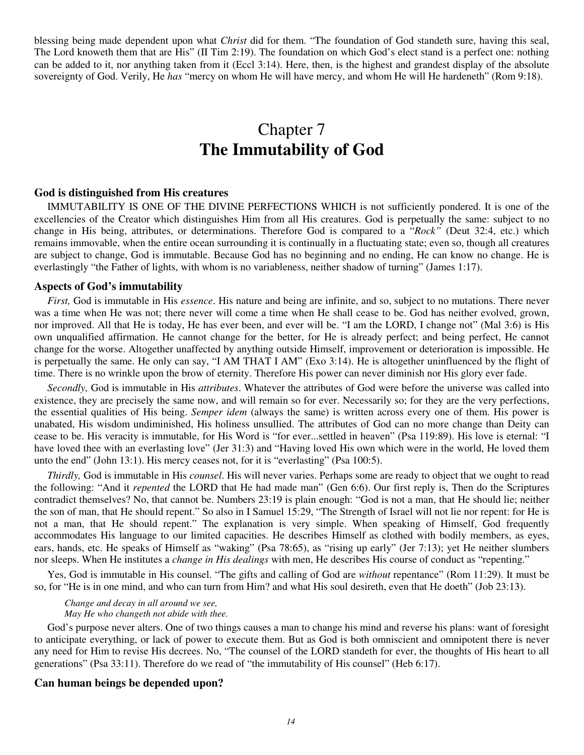blessing being made dependent upon what *Christ* did for them. "The foundation of God standeth sure, having this seal, The Lord knoweth them that are His" (II Tim 2:19). The foundation on which God's elect stand is a perfect one: nothing can be added to it, nor anything taken from it (Eccl 3:14). Here, then, is the highest and grandest display of the absolute sovereignty of God. Verily, He *has* "mercy on whom He will have mercy, and whom He will He hardeneth" (Rom 9:18).

# Chapter 7 **The Immutability of God**

#### **God is distinguished from His creatures**

IMMUTABILITY IS ONE OF THE DIVINE PERFECTIONS WHICH is not sufficiently pondered. It is one of the excellencies of the Creator which distinguishes Him from all His creatures. God is perpetually the same: subject to no change in His being, attributes, or determinations. Therefore God is compared to a "*Rock"* (Deut 32:4, etc.) which remains immovable, when the entire ocean surrounding it is continually in a fluctuating state; even so, though all creatures are subject to change, God is immutable. Because God has no beginning and no ending, He can know no change. He is everlastingly "the Father of lights, with whom is no variableness, neither shadow of turning" (James 1:17).

#### **Aspects of God's immutability**

*First,* God is immutable in His *essence*. His nature and being are infinite, and so, subject to no mutations. There never was a time when He was not; there never will come a time when He shall cease to be. God has neither evolved, grown, nor improved. All that He is today, He has ever been, and ever will be. "I am the LORD, I change not" (Mal 3:6) is His own unqualified affirmation. He cannot change for the better, for He is already perfect; and being perfect, He cannot change for the worse. Altogether unaffected by anything outside Himself, improvement or deterioration is impossible. He is perpetually the same. He only can say, "I AM THAT I AM" (Exo 3:14). He is altogether uninfluenced by the flight of time. There is no wrinkle upon the brow of eternity. Therefore His power can never diminish nor His glory ever fade.

*Secondly,* God is immutable in His *attributes*. Whatever the attributes of God were before the universe was called into existence, they are precisely the same now, and will remain so for ever. Necessarily so; for they are the very perfections, the essential qualities of His being. *Semper idem* (always the same) is written across every one of them. His power is unabated, His wisdom undiminished, His holiness unsullied. The attributes of God can no more change than Deity can cease to be. His veracity is immutable, for His Word is "for ever...settled in heaven" (Psa 119:89). His love is eternal: "I have loved thee with an everlasting love" (Jer 31:3) and "Having loved His own which were in the world, He loved them unto the end" (John 13:1). His mercy ceases not, for it is "everlasting" (Psa 100:5).

*Thirdly,* God is immutable in His *counsel*. His will never varies. Perhaps some are ready to object that we ought to read the following: "And it *repented* the LORD that He had made man" (Gen 6:6). Our first reply is, Then do the Scriptures contradict themselves? No, that cannot be. Numbers 23:19 is plain enough: "God is not a man, that He should lie; neither the son of man, that He should repent." So also in I Samuel 15:29, "The Strength of Israel will not lie nor repent: for He is not a man, that He should repent." The explanation is very simple. When speaking of Himself, God frequently accommodates His language to our limited capacities. He describes Himself as clothed with bodily members, as eyes, ears, hands, etc. He speaks of Himself as "waking" (Psa 78:65), as "rising up early" (Jer 7:13); yet He neither slumbers nor sleeps. When He institutes a *change in His dealings* with men, He describes His course of conduct as "repenting."

Yes, God is immutable in His counsel. "The gifts and calling of God are *without* repentance" (Rom 11:29). It must be so, for "He is in one mind, and who can turn from Him? and what His soul desireth, even that He doeth" (Job 23:13).

*Change and decay in all around we see,* 

*May He who changeth not abide with thee.* 

God's purpose never alters. One of two things causes a man to change his mind and reverse his plans: want of foresight to anticipate everything, or lack of power to execute them. But as God is both omniscient and omnipotent there is never any need for Him to revise His decrees. No, "The counsel of the LORD standeth for ever, the thoughts of His heart to all generations" (Psa 33:11). Therefore do we read of "the immutability of His counsel" (Heb 6:17).

### **Can human beings be depended upon?**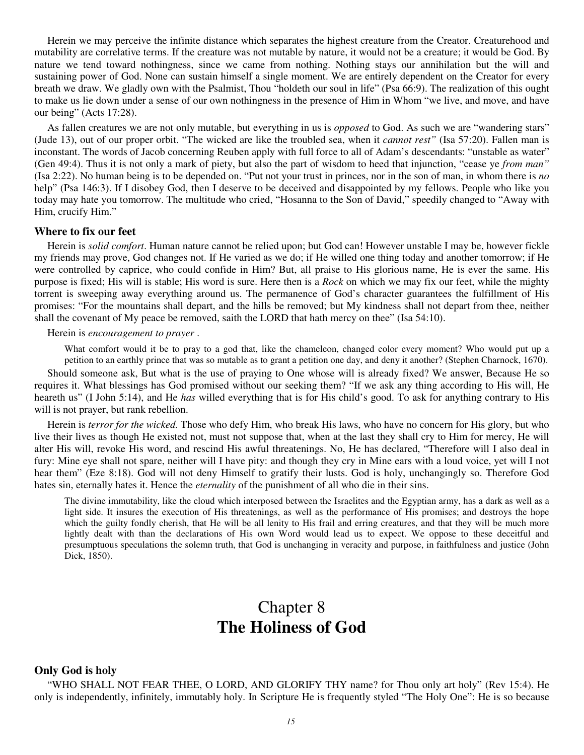Herein we may perceive the infinite distance which separates the highest creature from the Creator. Creaturehood and mutability are correlative terms. If the creature was not mutable by nature, it would not be a creature; it would be God. By nature we tend toward nothingness, since we came from nothing. Nothing stays our annihilation but the will and sustaining power of God. None can sustain himself a single moment. We are entirely dependent on the Creator for every breath we draw. We gladly own with the Psalmist, Thou "holdeth our soul in life" (Psa 66:9). The realization of this ought to make us lie down under a sense of our own nothingness in the presence of Him in Whom "we live, and move, and have our being" (Acts 17:28).

As fallen creatures we are not only mutable, but everything in us is *opposed* to God. As such we are "wandering stars" (Jude 13), out of our proper orbit. "The wicked are like the troubled sea, when it *cannot rest"* (Isa 57:20). Fallen man is inconstant. The words of Jacob concerning Reuben apply with full force to all of Adam's descendants: "unstable as water" (Gen 49:4). Thus it is not only a mark of piety, but also the part of wisdom to heed that injunction, "cease ye *from man"*  (Isa 2:22). No human being is to be depended on. "Put not your trust in princes, nor in the son of man, in whom there is *no*  help" (Psa 146:3). If I disobey God, then I deserve to be deceived and disappointed by my fellows. People who like you today may hate you tomorrow. The multitude who cried, "Hosanna to the Son of David," speedily changed to "Away with Him, crucify Him."

#### **Where to fix our feet**

Herein is *solid comfort*. Human nature cannot be relied upon; but God can! However unstable I may be, however fickle my friends may prove, God changes not. If He varied as we do; if He willed one thing today and another tomorrow; if He were controlled by caprice, who could confide in Him? But, all praise to His glorious name, He is ever the same. His purpose is fixed; His will is stable; His word is sure. Here then is a *Rock* on which we may fix our feet, while the mighty torrent is sweeping away everything around us. The permanence of God's character guarantees the fulfillment of His promises: "For the mountains shall depart, and the hills be removed; but My kindness shall not depart from thee, neither shall the covenant of My peace be removed, saith the LORD that hath mercy on thee" (Isa 54:10).

#### Herein is *encouragement to prayer* .

What comfort would it be to pray to a god that, like the chameleon, changed color every moment? Who would put up a petition to an earthly prince that was so mutable as to grant a petition one day, and deny it another? (Stephen Charnock, 1670). Should someone ask, But what is the use of praying to One whose will is already fixed? We answer, Because He so requires it. What blessings has God promised without our seeking them? "If we ask any thing according to His will, He heareth us" (I John 5:14), and He *has* willed everything that is for His child's good. To ask for anything contrary to His

will is not prayer, but rank rebellion.

Herein is *terror for the wicked.* Those who defy Him, who break His laws, who have no concern for His glory, but who live their lives as though He existed not, must not suppose that, when at the last they shall cry to Him for mercy, He will alter His will, revoke His word, and rescind His awful threatenings. No, He has declared, "Therefore will I also deal in fury: Mine eye shall not spare, neither will I have pity: and though they cry in Mine ears with a loud voice, yet will I not hear them" (Eze 8:18). God will not deny Himself to gratify their lusts. God is holy, unchangingly so. Therefore God hates sin, eternally hates it. Hence the *eternality* of the punishment of all who die in their sins.

The divine immutability, like the cloud which interposed between the Israelites and the Egyptian army, has a dark as well as a light side. It insures the execution of His threatenings, as well as the performance of His promises; and destroys the hope which the guilty fondly cherish, that He will be all lenity to His frail and erring creatures, and that they will be much more lightly dealt with than the declarations of His own Word would lead us to expect. We oppose to these deceitful and presumptuous speculations the solemn truth, that God is unchanging in veracity and purpose, in faithfulness and justice (John Dick, 1850).

# Chapter 8 **The Holiness of God**

### **Only God is holy**

"WHO SHALL NOT FEAR THEE, O LORD, AND GLORIFY THY name? for Thou only art holy" (Rev 15:4). He only is independently, infinitely, immutably holy. In Scripture He is frequently styled "The Holy One": He is so because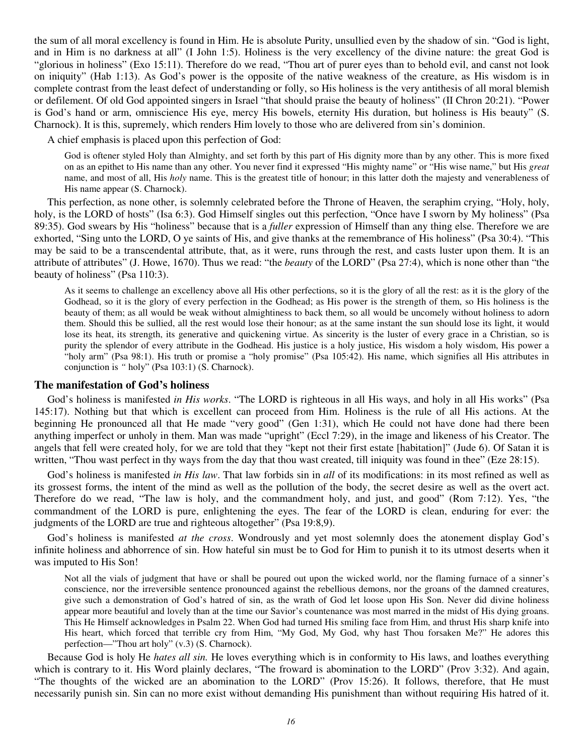the sum of all moral excellency is found in Him. He is absolute Purity, unsullied even by the shadow of sin. "God is light, and in Him is no darkness at all" (I John 1:5). Holiness is the very excellency of the divine nature: the great God is "glorious in holiness" (Exo 15:11). Therefore do we read, "Thou art of purer eyes than to behold evil, and canst not look on iniquity" (Hab 1:13). As God's power is the opposite of the native weakness of the creature, as His wisdom is in complete contrast from the least defect of understanding or folly, so His holiness is the very antithesis of all moral blemish or defilement. Of old God appointed singers in Israel "that should praise the beauty of holiness" (II Chron 20:21). "Power is God's hand or arm, omniscience His eye, mercy His bowels, eternity His duration, but holiness is His beauty" (S. Charnock). It is this, supremely, which renders Him lovely to those who are delivered from sin's dominion.

A chief emphasis is placed upon this perfection of God:

God is oftener styled Holy than Almighty, and set forth by this part of His dignity more than by any other. This is more fixed on as an epithet to His name than any other. You never find it expressed "His mighty name" or "His wise name," but His *great*  name, and most of all, His *holy* name. This is the greatest title of honour; in this latter doth the majesty and venerableness of His name appear (S. Charnock).

This perfection, as none other, is solemnly celebrated before the Throne of Heaven, the seraphim crying, "Holy, holy, holy, is the LORD of hosts" (Isa 6:3). God Himself singles out this perfection, "Once have I sworn by My holiness" (Psa 89:35). God swears by His "holiness" because that is a *fuller* expression of Himself than any thing else. Therefore we are exhorted, "Sing unto the LORD, O ye saints of His, and give thanks at the remembrance of His holiness" (Psa 30:4). "This may be said to be a transcendental attribute, that, as it were, runs through the rest, and casts luster upon them. It is an attribute of attributes" (J. Howe, 1670). Thus we read: "the *beauty* of the LORD" (Psa 27:4), which is none other than "the beauty of holiness" (Psa 110:3).

As it seems to challenge an excellency above all His other perfections, so it is the glory of all the rest: as it is the glory of the Godhead, so it is the glory of every perfection in the Godhead; as His power is the strength of them, so His holiness is the beauty of them; as all would be weak without almightiness to back them, so all would be uncomely without holiness to adorn them. Should this be sullied, all the rest would lose their honour; as at the same instant the sun should lose its light, it would lose its heat, its strength, its generative and quickening virtue. As sincerity is the luster of every grace in a Christian, so is purity the splendor of every attribute in the Godhead. His justice is a holy justice, His wisdom a holy wisdom, His power a "holy arm" (Psa 98:1). His truth or promise a "holy promise" (Psa 105:42). His name, which signifies all His attributes in conjunction is *"* holy" (Psa 103:1) (S. Charnock).

#### **The manifestation of God's holiness**

God's holiness is manifested *in His works*. "The LORD is righteous in all His ways, and holy in all His works" (Psa 145:17). Nothing but that which is excellent can proceed from Him. Holiness is the rule of all His actions. At the beginning He pronounced all that He made "very good" (Gen 1:31), which He could not have done had there been anything imperfect or unholy in them. Man was made "upright" (Eccl 7:29), in the image and likeness of his Creator. The angels that fell were created holy, for we are told that they "kept not their first estate [habitation]" (Jude 6). Of Satan it is written, "Thou wast perfect in thy ways from the day that thou wast created, till iniquity was found in thee" (Eze 28:15).

God's holiness is manifested *in His law*. That law forbids sin in *all* of its modifications: in its most refined as well as its grossest forms, the intent of the mind as well as the pollution of the body, the secret desire as well as the overt act. Therefore do we read, "The law is holy, and the commandment holy, and just, and good" (Rom 7:12). Yes, "the commandment of the LORD is pure, enlightening the eyes. The fear of the LORD is clean, enduring for ever: the judgments of the LORD are true and righteous altogether" (Psa 19:8,9).

God's holiness is manifested *at the cross*. Wondrously and yet most solemnly does the atonement display God's infinite holiness and abhorrence of sin. How hateful sin must be to God for Him to punish it to its utmost deserts when it was imputed to His Son!

Not all the vials of judgment that have or shall be poured out upon the wicked world, nor the flaming furnace of a sinner's conscience, nor the irreversible sentence pronounced against the rebellious demons, nor the groans of the damned creatures, give such a demonstration of God's hatred of sin, as the wrath of God let loose upon His Son. Never did divine holiness appear more beautiful and lovely than at the time our Savior's countenance was most marred in the midst of His dying groans. This He Himself acknowledges in Psalm 22. When God had turned His smiling face from Him, and thrust His sharp knife into His heart, which forced that terrible cry from Him, "My God, My God, why hast Thou forsaken Me?" He adores this perfection—"Thou art holy" (v.3) (S. Charnock).

Because God is holy He *hates all sin.* He loves everything which is in conformity to His laws, and loathes everything which is contrary to it. His Word plainly declares, "The froward is abomination to the LORD" (Prov 3:32). And again, "The thoughts of the wicked are an abomination to the LORD" (Prov 15:26). It follows, therefore, that He must necessarily punish sin. Sin can no more exist without demanding His punishment than without requiring His hatred of it.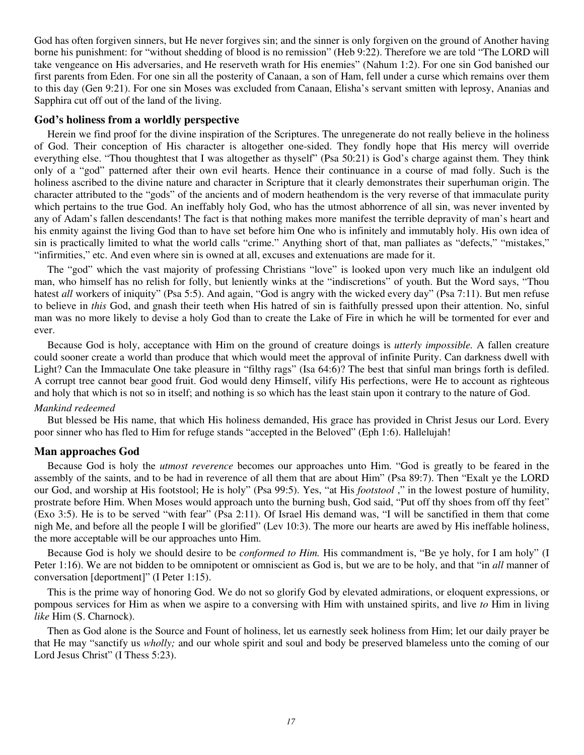God has often forgiven sinners, but He never forgives sin; and the sinner is only forgiven on the ground of Another having borne his punishment: for "without shedding of blood is no remission" (Heb 9:22). Therefore we are told "The LORD will take vengeance on His adversaries, and He reserveth wrath for His enemies" (Nahum 1:2). For one sin God banished our first parents from Eden. For one sin all the posterity of Canaan, a son of Ham, fell under a curse which remains over them to this day (Gen 9:21). For one sin Moses was excluded from Canaan, Elisha's servant smitten with leprosy, Ananias and Sapphira cut off out of the land of the living.

### **God's holiness from a worldly perspective**

Herein we find proof for the divine inspiration of the Scriptures. The unregenerate do not really believe in the holiness of God. Their conception of His character is altogether one-sided. They fondly hope that His mercy will override everything else. "Thou thoughtest that I was altogether as thyself" (Psa 50:21) is God's charge against them. They think only of a "god" patterned after their own evil hearts. Hence their continuance in a course of mad folly. Such is the holiness ascribed to the divine nature and character in Scripture that it clearly demonstrates their superhuman origin. The character attributed to the "gods" of the ancients and of modern heathendom is the very reverse of that immaculate purity which pertains to the true God. An ineffably holy God, who has the utmost abhorrence of all sin, was never invented by any of Adam's fallen descendants! The fact is that nothing makes more manifest the terrible depravity of man's heart and his enmity against the living God than to have set before him One who is infinitely and immutably holy. His own idea of sin is practically limited to what the world calls "crime." Anything short of that, man palliates as "defects," "mistakes," "infirmities," etc. And even where sin is owned at all, excuses and extenuations are made for it.

The "god" which the vast majority of professing Christians "love" is looked upon very much like an indulgent old man, who himself has no relish for folly, but leniently winks at the "indiscretions" of youth. But the Word says, "Thou hatest *all* workers of iniquity" (Psa 5:5). And again, "God is angry with the wicked every day" (Psa 7:11). But men refuse to believe in *this* God, and gnash their teeth when His hatred of sin is faithfully pressed upon their attention. No, sinful man was no more likely to devise a holy God than to create the Lake of Fire in which he will be tormented for ever and ever.

Because God is holy, acceptance with Him on the ground of creature doings is *utterly impossible.* A fallen creature could sooner create a world than produce that which would meet the approval of infinite Purity. Can darkness dwell with Light? Can the Immaculate One take pleasure in "filthy rags" (Isa 64:6)? The best that sinful man brings forth is defiled. A corrupt tree cannot bear good fruit. God would deny Himself, vilify His perfections, were He to account as righteous and holy that which is not so in itself; and nothing is so which has the least stain upon it contrary to the nature of God.

## *Mankind redeemed*

But blessed be His name, that which His holiness demanded, His grace has provided in Christ Jesus our Lord. Every poor sinner who has fled to Him for refuge stands "accepted in the Beloved" (Eph 1:6). Hallelujah!

#### **Man approaches God**

Because God is holy the *utmost reverence* becomes our approaches unto Him. "God is greatly to be feared in the assembly of the saints, and to be had in reverence of all them that are about Him" (Psa 89:7). Then "Exalt ye the LORD our God, and worship at His footstool; He is holy" (Psa 99:5). Yes, "at His *footstool* ," in the lowest posture of humility, prostrate before Him. When Moses would approach unto the burning bush, God said, "Put off thy shoes from off thy feet" (Exo 3:5). He is to be served "with fear" (Psa 2:11). Of Israel His demand was, "I will be sanctified in them that come nigh Me, and before all the people I will be glorified" (Lev 10:3). The more our hearts are awed by His ineffable holiness, the more acceptable will be our approaches unto Him.

Because God is holy we should desire to be *conformed to Him.* His commandment is, "Be ye holy, for I am holy" (I Peter 1:16). We are not bidden to be omnipotent or omniscient as God is, but we are to be holy, and that "in *all* manner of conversation [deportment]" (I Peter 1:15).

This is the prime way of honoring God. We do not so glorify God by elevated admirations, or eloquent expressions, or pompous services for Him as when we aspire to a conversing with Him with unstained spirits, and live *to* Him in living *like* Him (S. Charnock).

Then as God alone is the Source and Fount of holiness, let us earnestly seek holiness from Him; let our daily prayer be that He may "sanctify us *wholly;* and our whole spirit and soul and body be preserved blameless unto the coming of our Lord Jesus Christ" (I Thess 5:23).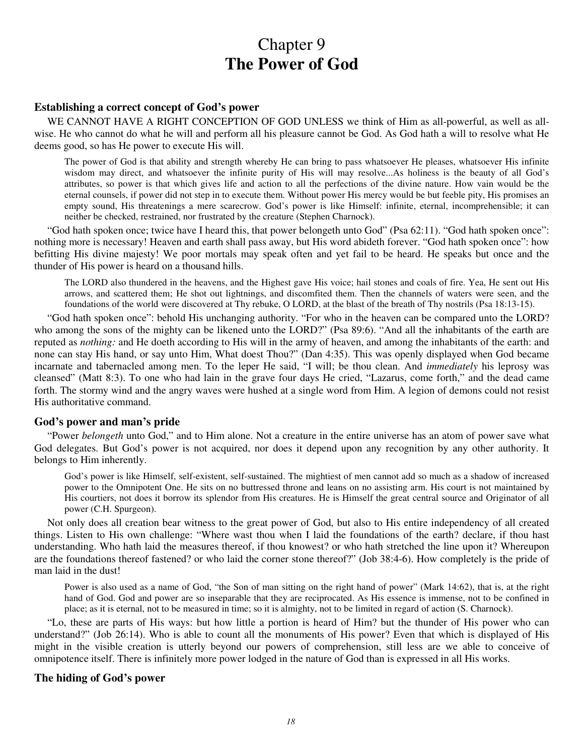# Chapter 9 **The Power of God**

### **Establishing a correct concept of God's power**

WE CANNOT HAVE A RIGHT CONCEPTION OF GOD UNLESS we think of Him as all-powerful, as well as allwise. He who cannot do what he will and perform all his pleasure cannot be God. As God hath a will to resolve what He deems good, so has He power to execute His will.

The power of God is that ability and strength whereby He can bring to pass whatsoever He pleases, whatsoever His infinite wisdom may direct, and whatsoever the infinite purity of His will may resolve...As holiness is the beauty of all God's attributes, so power is that which gives life and action to all the perfections of the divine nature. How vain would be the eternal counsels, if power did not step in to execute them. Without power His mercy would be but feeble pity, His promises an empty sound, His threatenings a mere scarecrow. God's power is like Himself: infinite, eternal, incomprehensible; it can neither be checked, restrained, nor frustrated by the creature (Stephen Charnock).

"God hath spoken once; twice have I heard this, that power belongeth unto God" (Psa 62:11). "God hath spoken once": nothing more is necessary! Heaven and earth shall pass away, but His word abideth forever. "God hath spoken once": how befitting His divine majesty! We poor mortals may speak often and yet fail to be heard. He speaks but once and the thunder of His power is heard on a thousand hills.

The LORD also thundered in the heavens, and the Highest gave His voice; hail stones and coals of fire. Yea, He sent out His arrows, and scattered them; He shot out lightnings, and discomfited them. Then the channels of waters were seen, and the foundations of the world were discovered at Thy rebuke, O LORD, at the blast of the breath of Thy nostrils (Psa 18:13-15).

"God hath spoken once": behold His unchanging authority. "For who in the heaven can be compared unto the LORD? who among the sons of the mighty can be likened unto the LORD?" (Psa 89:6). "And all the inhabitants of the earth are reputed as *nothing:* and He doeth according to His will in the army of heaven, and among the inhabitants of the earth: and none can stay His hand, or say unto Him, What doest Thou?" (Dan 4:35). This was openly displayed when God became incarnate and tabernacled among men. To the leper He said, "I will; be thou clean. And *immediately* his leprosy was cleansed" (Matt 8:3). To one who had lain in the grave four days He cried, "Lazarus, come forth," and the dead came forth. The stormy wind and the angry waves were hushed at a single word from Him. A legion of demons could not resist His authoritative command.

### **God's power and man's pride**

"Power *belongeth* unto God," and to Him alone. Not a creature in the entire universe has an atom of power save what God delegates. But God's power is not acquired, nor does it depend upon any recognition by any other authority. It belongs to Him inherently.

God's power is like Himself, self-existent, self-sustained. The mightiest of men cannot add so much as a shadow of increased power to the Omnipotent One. He sits on no buttressed throne and leans on no assisting arm. His court is not maintained by His courtiers, not does it borrow its splendor from His creatures. He is Himself the great central source and Originator of all power (C.H. Spurgeon).

Not only does all creation bear witness to the great power of God, but also to His entire independency of all created things. Listen to His own challenge: "Where wast thou when I laid the foundations of the earth? declare, if thou hast understanding. Who hath laid the measures thereof, if thou knowest? or who hath stretched the line upon it? Whereupon are the foundations thereof fastened? or who laid the corner stone thereof?" (Job 38:4-6). How completely is the pride of man laid in the dust!

Power is also used as a name of God, "the Son of man sitting on the right hand of power" (Mark 14:62), that is, at the right hand of God. God and power are so inseparable that they are reciprocated. As His essence is immense, not to be confined in place; as it is eternal, not to be measured in time; so it is almighty, not to be limited in regard of action (S. Charnock).

"Lo, these are parts of His ways: but how little a portion is heard of Him? but the thunder of His power who can understand?" (Job 26:14). Who is able to count all the monuments of His power? Even that which is displayed of His might in the visible creation is utterly beyond our powers of comprehension, still less are we able to conceive of omnipotence itself. There is infinitely more power lodged in the nature of God than is expressed in all His works.

### **The hiding of God's power**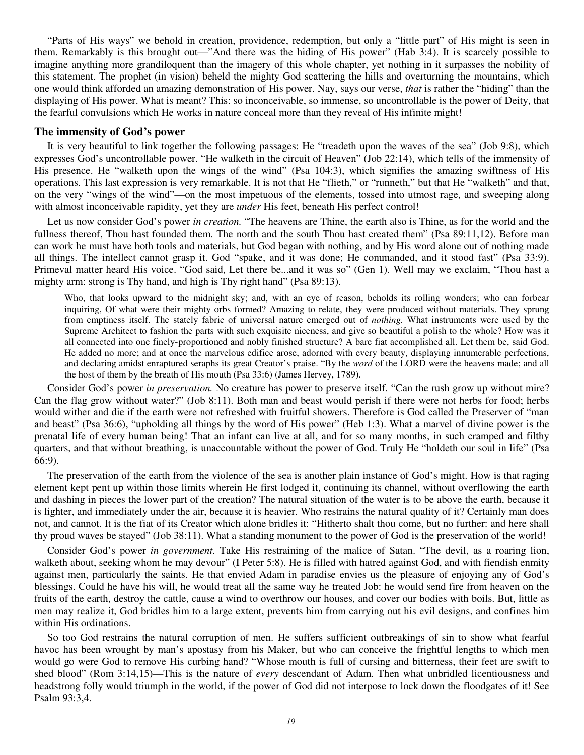"Parts of His ways" we behold in creation, providence, redemption, but only a "little part" of His might is seen in them. Remarkably is this brought out—"And there was the hiding of His power" (Hab 3:4). It is scarcely possible to imagine anything more grandiloquent than the imagery of this whole chapter, yet nothing in it surpasses the nobility of this statement. The prophet (in vision) beheld the mighty God scattering the hills and overturning the mountains, which one would think afforded an amazing demonstration of His power. Nay, says our verse, *that* is rather the "hiding" than the displaying of His power. What is meant? This: so inconceivable, so immense, so uncontrollable is the power of Deity, that the fearful convulsions which He works in nature conceal more than they reveal of His infinite might!

### **The immensity of God's power**

It is very beautiful to link together the following passages: He "treadeth upon the waves of the sea" (Job 9:8), which expresses God's uncontrollable power. "He walketh in the circuit of Heaven" (Job 22:14), which tells of the immensity of His presence. He "walketh upon the wings of the wind" (Psa 104:3), which signifies the amazing swiftness of His operations. This last expression is very remarkable. It is not that He "flieth," or "runneth," but that He "walketh" and that, on the very "wings of the wind"—on the most impetuous of the elements, tossed into utmost rage, and sweeping along with almost inconceivable rapidity, yet they are *under* His feet, beneath His perfect control!

Let us now consider God's power *in creation.* "The heavens are Thine, the earth also is Thine, as for the world and the fullness thereof, Thou hast founded them. The north and the south Thou hast created them" (Psa 89:11,12). Before man can work he must have both tools and materials, but God began with nothing, and by His word alone out of nothing made all things. The intellect cannot grasp it. God "spake, and it was done; He commanded, and it stood fast" (Psa 33:9). Primeval matter heard His voice. "God said, Let there be...and it was so" (Gen 1). Well may we exclaim, "Thou hast a mighty arm: strong is Thy hand, and high is Thy right hand" (Psa 89:13).

Who, that looks upward to the midnight sky; and, with an eye of reason, beholds its rolling wonders; who can forbear inquiring, Of what were their mighty orbs formed? Amazing to relate, they were produced without materials. They sprung from emptiness itself. The stately fabric of universal nature emerged out of *nothing.* What instruments were used by the Supreme Architect to fashion the parts with such exquisite niceness, and give so beautiful a polish to the whole? How was it all connected into one finely-proportioned and nobly finished structure? A bare fiat accomplished all. Let them be, said God. He added no more; and at once the marvelous edifice arose, adorned with every beauty, displaying innumerable perfections, and declaring amidst enraptured seraphs its great Creator's praise. "By the *word* of the LORD were the heavens made; and all the host of them by the breath of His mouth (Psa 33:6) (James Hervey, 1789).

Consider God's power *in preservation.* No creature has power to preserve itself. "Can the rush grow up without mire? Can the flag grow without water?" (Job 8:11). Both man and beast would perish if there were not herbs for food; herbs would wither and die if the earth were not refreshed with fruitful showers. Therefore is God called the Preserver of "man and beast" (Psa 36:6), "upholding all things by the word of His power" (Heb 1:3). What a marvel of divine power is the prenatal life of every human being! That an infant can live at all, and for so many months, in such cramped and filthy quarters, and that without breathing, is unaccountable without the power of God. Truly He "holdeth our soul in life" (Psa 66:9).

The preservation of the earth from the violence of the sea is another plain instance of God's might. How is that raging element kept pent up within those limits wherein He first lodged it, continuing its channel, without overflowing the earth and dashing in pieces the lower part of the creation? The natural situation of the water is to be above the earth, because it is lighter, and immediately under the air, because it is heavier. Who restrains the natural quality of it? Certainly man does not, and cannot. It is the fiat of its Creator which alone bridles it: "Hitherto shalt thou come, but no further: and here shall thy proud waves be stayed" (Job 38:11). What a standing monument to the power of God is the preservation of the world!

Consider God's power *in government.* Take His restraining of the malice of Satan. "The devil, as a roaring lion, walketh about, seeking whom he may devour" (I Peter 5:8). He is filled with hatred against God, and with fiendish enmity against men, particularly the saints. He that envied Adam in paradise envies us the pleasure of enjoying any of God's blessings. Could he have his will, he would treat all the same way he treated Job: he would send fire from heaven on the fruits of the earth, destroy the cattle, cause a wind to overthrow our houses, and cover our bodies with boils. But, little as men may realize it, God bridles him to a large extent, prevents him from carrying out his evil designs, and confines him within His ordinations.

So too God restrains the natural corruption of men. He suffers sufficient outbreakings of sin to show what fearful havoc has been wrought by man's apostasy from his Maker, but who can conceive the frightful lengths to which men would go were God to remove His curbing hand? "Whose mouth is full of cursing and bitterness, their feet are swift to shed blood" (Rom 3:14,15)—This is the nature of *every* descendant of Adam. Then what unbridled licentiousness and headstrong folly would triumph in the world, if the power of God did not interpose to lock down the floodgates of it! See Psalm 93:3,4.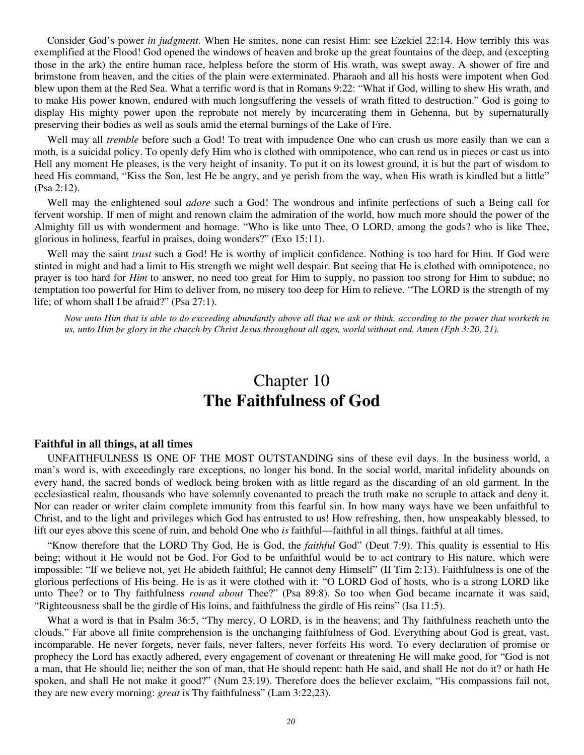Consider God's power *in judgment.* When He smites, none can resist Him: see Ezekiel 22:14. How terribly this was exemplified at the Flood! God opened the windows of heaven and broke up the great fountains of the deep, and (excepting those in the ark) the entire human race, helpless before the storm of His wrath, was swept away. A shower of fire and brimstone from heaven, and the cities of the plain were exterminated. Pharaoh and all his hosts were impotent when God blew upon them at the Red Sea. What a terrific word is that in Romans 9:22: "What if God, willing to shew His wrath, and to make His power known, endured with much longsuffering the vessels of wrath fitted to destruction." God is going to display His mighty power upon the reprobate not merely by incarcerating them in Gehenna, but by supernaturally preserving their bodies as well as souls amid the eternal burnings of the Lake of Fire.

Well may all *tremble* before such a God! To treat with impudence One who can crush us more easily than we can a moth, is a suicidal policy. To openly defy Him who is clothed with omnipotence, who can rend us in pieces or cast us into Hell any moment He pleases, is the very height of insanity. To put it on its lowest ground, it is but the part of wisdom to heed His command, "Kiss the Son, lest He be angry, and ye perish from the way, when His wrath is kindled but a little" (Psa 2:12).

Well may the enlightened soul *adore* such a God! The wondrous and infinite perfections of such a Being call for fervent worship. If men of might and renown claim the admiration of the world, how much more should the power of the Almighty fill us with wonderment and homage. "Who is like unto Thee, O LORD, among the gods? who is like Thee, glorious in holiness, fearful in praises, doing wonders?" (Exo 15:11).

Well may the saint *trust* such a God! He is worthy of implicit confidence. Nothing is too hard for Him. If God were stinted in might and had a limit to His strength we might well despair. But seeing that He is clothed with omnipotence, no prayer is too hard for *Him* to answer, no need too great for Him to supply, no passion too strong for Him to subdue; no temptation too powerful for Him to deliver from, no misery too deep for Him to relieve. "The LORD is the strength of my life; of whom shall I be afraid?" (Psa 27:1).

*Now unto Him that is able to do exceeding abundantly above all that we ask or think, according to the power that worketh in us, unto Him be glory in the church by Christ Jesus throughout all ages, world without end. Amen (Eph 3:20, 21).* 

# Chapter 10 **The Faithfulness of God**

#### **Faithful in all things, at all times**

UNFAITHFULNESS IS ONE OF THE MOST OUTSTANDING sins of these evil days. In the business world, a man's word is, with exceedingly rare exceptions, no longer his bond. In the social world, marital infidelity abounds on every hand, the sacred bonds of wedlock being broken with as little regard as the discarding of an old garment. In the ecclesiastical realm, thousands who have solemnly covenanted to preach the truth make no scruple to attack and deny it. Nor can reader or writer claim complete immunity from this fearful sin. In how many ways have we been unfaithful to Christ, and to the light and privileges which God has entrusted to us! How refreshing, then, how unspeakably blessed, to lift our eyes above this scene of ruin, and behold One who *is* faithful—faithful in all things, faithful at all times.

"Know therefore that the LORD Thy God, He is God, the *faithful* God" (Deut 7:9). This quality is essential to His being; without it He would not be God. For God to be unfaithful would be to act contrary to His nature, which were impossible: "If we believe not, yet He abideth faithful; He cannot deny Himself" (II Tim 2:13). Faithfulness is one of the glorious perfections of His being. He is as it were clothed with it: "O LORD God of hosts, who is a strong LORD like unto Thee? or to Thy faithfulness *round about* Thee?" (Psa 89:8). So too when God became incarnate it was said, "Righteousness shall be the girdle of His loins, and faithfulness the girdle of His reins" (Isa 11:5).

What a word is that in Psalm 36:5, "Thy mercy, O LORD, is in the heavens; and Thy faithfulness reacheth unto the clouds." Far above all finite comprehension is the unchanging faithfulness of God. Everything about God is great, vast, incomparable. He never forgets, never fails, never falters, never forfeits His word. To every declaration of promise or prophecy the Lord has exactly adhered, every engagement of covenant or threatening He will make good, for "God is not a man, that He should lie; neither the son of man, that He should repent: hath He said, and shall He not do it? or hath He spoken, and shall He not make it good?" (Num 23:19). Therefore does the believer exclaim, "His compassions fail not, they are new every morning: *great* is Thy faithfulness" (Lam 3:22,23).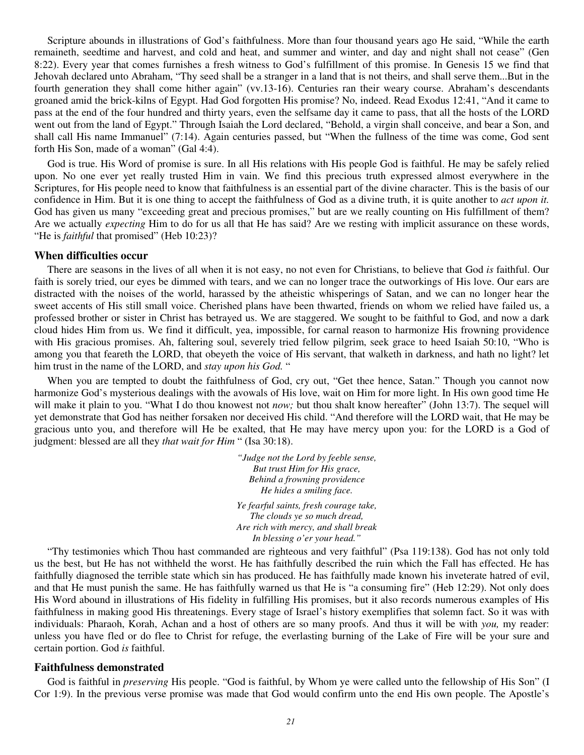Scripture abounds in illustrations of God's faithfulness. More than four thousand years ago He said, "While the earth remaineth, seedtime and harvest, and cold and heat, and summer and winter, and day and night shall not cease" (Gen 8:22). Every year that comes furnishes a fresh witness to God's fulfillment of this promise. In Genesis 15 we find that Jehovah declared unto Abraham, "Thy seed shall be a stranger in a land that is not theirs, and shall serve them...But in the fourth generation they shall come hither again" (vv.13-16). Centuries ran their weary course. Abraham's descendants groaned amid the brick-kilns of Egypt. Had God forgotten His promise? No, indeed. Read Exodus 12:41, "And it came to pass at the end of the four hundred and thirty years, even the selfsame day it came to pass, that all the hosts of the LORD went out from the land of Egypt." Through Isaiah the Lord declared, "Behold, a virgin shall conceive, and bear a Son, and shall call His name Immanuel" (7:14). Again centuries passed, but "When the fullness of the time was come, God sent forth His Son, made of a woman" (Gal 4:4).

God is true. His Word of promise is sure. In all His relations with His people God is faithful. He may be safely relied upon. No one ever yet really trusted Him in vain. We find this precious truth expressed almost everywhere in the Scriptures, for His people need to know that faithfulness is an essential part of the divine character. This is the basis of our confidence in Him. But it is one thing to accept the faithfulness of God as a divine truth, it is quite another to *act upon it.*  God has given us many "exceeding great and precious promises," but are we really counting on His fulfillment of them? Are we actually *expecting* Him to do for us all that He has said? Are we resting with implicit assurance on these words, "He is *faithful* that promised" (Heb 10:23)?

#### **When difficulties occur**

There are seasons in the lives of all when it is not easy, no not even for Christians, to believe that God *is* faithful. Our faith is sorely tried, our eyes be dimmed with tears, and we can no longer trace the outworkings of His love. Our ears are distracted with the noises of the world, harassed by the atheistic whisperings of Satan, and we can no longer hear the sweet accents of His still small voice. Cherished plans have been thwarted, friends on whom we relied have failed us, a professed brother or sister in Christ has betrayed us. We are staggered. We sought to be faithful to God, and now a dark cloud hides Him from us. We find it difficult, yea, impossible, for carnal reason to harmonize His frowning providence with His gracious promises. Ah, faltering soul, severely tried fellow pilgrim, seek grace to heed Isaiah 50:10, "Who is among you that feareth the LORD, that obeyeth the voice of His servant, that walketh in darkness, and hath no light? let him trust in the name of the LORD, and *stay upon his God.* "

When you are tempted to doubt the faithfulness of God, cry out, "Get thee hence, Satan." Though you cannot now harmonize God's mysterious dealings with the avowals of His love, wait on Him for more light. In His own good time He will make it plain to you. "What I do thou knowest not *now*; but thou shalt know hereafter" (John 13:7). The sequel will yet demonstrate that God has neither forsaken nor deceived His child. "And therefore will the LORD wait, that He may be gracious unto you, and therefore will He be exalted, that He may have mercy upon you: for the LORD is a God of judgment: blessed are all they *that wait for Him* " (Isa 30:18).

> *"Judge not the Lord by feeble sense, But trust Him for His grace, Behind a frowning providence He hides a smiling face.*

*Ye fearful saints, fresh courage take, The clouds ye so much dread, Are rich with mercy, and shall break In blessing o'er your head."* 

"Thy testimonies which Thou hast commanded are righteous and very faithful" (Psa 119:138). God has not only told us the best, but He has not withheld the worst. He has faithfully described the ruin which the Fall has effected. He has faithfully diagnosed the terrible state which sin has produced. He has faithfully made known his inveterate hatred of evil, and that He must punish the same. He has faithfully warned us that He is "a consuming fire" (Heb 12:29). Not only does His Word abound in illustrations of His fidelity in fulfilling His promises, but it also records numerous examples of His faithfulness in making good His threatenings. Every stage of Israel's history exemplifies that solemn fact. So it was with individuals: Pharaoh, Korah, Achan and a host of others are so many proofs. And thus it will be with *you,* my reader: unless you have fled or do flee to Christ for refuge, the everlasting burning of the Lake of Fire will be your sure and certain portion. God *is* faithful.

### **Faithfulness demonstrated**

God is faithful in *preserving* His people. "God is faithful, by Whom ye were called unto the fellowship of His Son" (I Cor 1:9). In the previous verse promise was made that God would confirm unto the end His own people. The Apostle's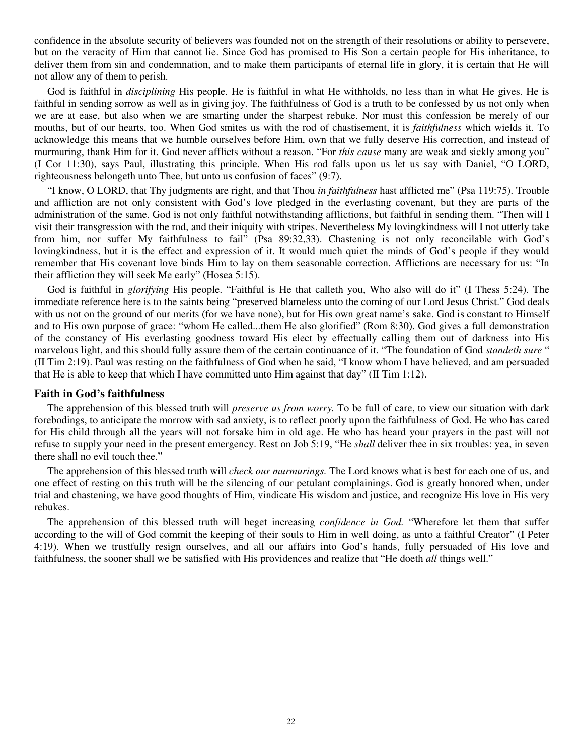confidence in the absolute security of believers was founded not on the strength of their resolutions or ability to persevere, but on the veracity of Him that cannot lie. Since God has promised to His Son a certain people for His inheritance, to deliver them from sin and condemnation, and to make them participants of eternal life in glory, it is certain that He will not allow any of them to perish.

God is faithful in *disciplining* His people. He is faithful in what He withholds, no less than in what He gives. He is faithful in sending sorrow as well as in giving joy. The faithfulness of God is a truth to be confessed by us not only when we are at ease, but also when we are smarting under the sharpest rebuke. Nor must this confession be merely of our mouths, but of our hearts, too. When God smites us with the rod of chastisement, it is *faithfulness* which wields it. To acknowledge this means that we humble ourselves before Him, own that we fully deserve His correction, and instead of murmuring, thank Him for it. God never afflicts without a reason. "For *this cause* many are weak and sickly among you" (I Cor 11:30), says Paul, illustrating this principle. When His rod falls upon us let us say with Daniel, "O LORD, righteousness belongeth unto Thee, but unto us confusion of faces" (9:7).

"I know, O LORD, that Thy judgments are right, and that Thou *in faithfulness* hast afflicted me" (Psa 119:75). Trouble and affliction are not only consistent with God's love pledged in the everlasting covenant, but they are parts of the administration of the same. God is not only faithful notwithstanding afflictions, but faithful in sending them. "Then will I visit their transgression with the rod, and their iniquity with stripes. Nevertheless My lovingkindness will I not utterly take from him, nor suffer My faithfulness to fail" (Psa 89:32,33). Chastening is not only reconcilable with God's lovingkindness, but it is the effect and expression of it. It would much quiet the minds of God's people if they would remember that His covenant love binds Him to lay on them seasonable correction. Afflictions are necessary for us: "In their affliction they will seek Me early" (Hosea 5:15).

God is faithful in *glorifying* His people. "Faithful is He that calleth you, Who also will do it" (I Thess 5:24). The immediate reference here is to the saints being "preserved blameless unto the coming of our Lord Jesus Christ." God deals with us not on the ground of our merits (for we have none), but for His own great name's sake. God is constant to Himself and to His own purpose of grace: "whom He called...them He also glorified" (Rom 8:30). God gives a full demonstration of the constancy of His everlasting goodness toward His elect by effectually calling them out of darkness into His marvelous light, and this should fully assure them of the certain continuance of it. "The foundation of God *standeth sure* " (II Tim 2:19). Paul was resting on the faithfulness of God when he said, "I know whom I have believed, and am persuaded that He is able to keep that which I have committed unto Him against that day" (II Tim 1:12).

#### **Faith in God's faithfulness**

The apprehension of this blessed truth will *preserve us from worry.* To be full of care, to view our situation with dark forebodings, to anticipate the morrow with sad anxiety, is to reflect poorly upon the faithfulness of God. He who has cared for His child through all the years will not forsake him in old age. He who has heard your prayers in the past will not refuse to supply your need in the present emergency. Rest on Job 5:19, "He *shall* deliver thee in six troubles: yea, in seven there shall no evil touch thee."

The apprehension of this blessed truth will *check our murmurings.* The Lord knows what is best for each one of us, and one effect of resting on this truth will be the silencing of our petulant complainings. God is greatly honored when, under trial and chastening, we have good thoughts of Him, vindicate His wisdom and justice, and recognize His love in His very rebukes.

The apprehension of this blessed truth will beget increasing *confidence in God.* "Wherefore let them that suffer according to the will of God commit the keeping of their souls to Him in well doing, as unto a faithful Creator" (I Peter 4:19). When we trustfully resign ourselves, and all our affairs into God's hands, fully persuaded of His love and faithfulness, the sooner shall we be satisfied with His providences and realize that "He doeth *all* things well."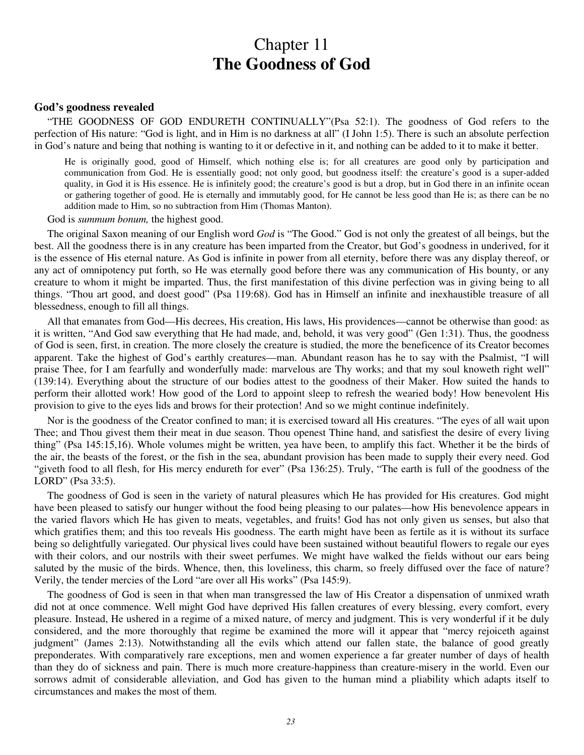# Chapter 11 **The Goodness of God**

### **God's goodness revealed**

"THE GOODNESS OF GOD ENDURETH CONTINUALLY"(Psa 52:1). The goodness of God refers to the perfection of His nature: "God is light, and in Him is no darkness at all" (I John 1:5). There is such an absolute perfection in God's nature and being that nothing is wanting to it or defective in it, and nothing can be added to it to make it better.

He is originally good, good of Himself, which nothing else is; for all creatures are good only by participation and communication from God. He is essentially good; not only good, but goodness itself: the creature's good is a super-added quality, in God it is His essence. He is infinitely good; the creature's good is but a drop, but in God there in an infinite ocean or gathering together of good. He is eternally and immutably good, for He cannot be less good than He is; as there can be no addition made to Him, so no subtraction from Him (Thomas Manton).

God is *summum bonum,* the highest good.

The original Saxon meaning of our English word *God* is "The Good." God is not only the greatest of all beings, but the best. All the goodness there is in any creature has been imparted from the Creator, but God's goodness in underived, for it is the essence of His eternal nature. As God is infinite in power from all eternity, before there was any display thereof, or any act of omnipotency put forth, so He was eternally good before there was any communication of His bounty, or any creature to whom it might be imparted. Thus, the first manifestation of this divine perfection was in giving being to all things. "Thou art good, and doest good" (Psa 119:68). God has in Himself an infinite and inexhaustible treasure of all blessedness, enough to fill all things.

All that emanates from God—His decrees, His creation, His laws, His providences—cannot be otherwise than good: as it is written, "And God saw everything that He had made, and, behold, it was very good" (Gen 1:31). Thus, the goodness of God is seen, first, in creation. The more closely the creature is studied, the more the beneficence of its Creator becomes apparent. Take the highest of God's earthly creatures—man. Abundant reason has he to say with the Psalmist, "I will praise Thee, for I am fearfully and wonderfully made: marvelous are Thy works; and that my soul knoweth right well" (139:14). Everything about the structure of our bodies attest to the goodness of their Maker. How suited the hands to perform their allotted work! How good of the Lord to appoint sleep to refresh the wearied body! How benevolent His provision to give to the eyes lids and brows for their protection! And so we might continue indefinitely.

Nor is the goodness of the Creator confined to man; it is exercised toward all His creatures. "The eyes of all wait upon Thee; and Thou givest them their meat in due season. Thou openest Thine hand, and satisfiest the desire of every living thing" (Psa 145:15,16). Whole volumes might be written, yea have been, to amplify this fact. Whether it be the birds of the air, the beasts of the forest, or the fish in the sea, abundant provision has been made to supply their every need. God "giveth food to all flesh, for His mercy endureth for ever" (Psa 136:25). Truly, "The earth is full of the goodness of the LORD" (Psa 33:5).

The goodness of God is seen in the variety of natural pleasures which He has provided for His creatures. God might have been pleased to satisfy our hunger without the food being pleasing to our palates—how His benevolence appears in the varied flavors which He has given to meats, vegetables, and fruits! God has not only given us senses, but also that which gratifies them; and this too reveals His goodness. The earth might have been as fertile as it is without its surface being so delightfully variegated. Our physical lives could have been sustained without beautiful flowers to regale our eyes with their colors, and our nostrils with their sweet perfumes. We might have walked the fields without our ears being saluted by the music of the birds. Whence, then, this loveliness, this charm, so freely diffused over the face of nature? Verily, the tender mercies of the Lord "are over all His works" (Psa 145:9).

The goodness of God is seen in that when man transgressed the law of His Creator a dispensation of unmixed wrath did not at once commence. Well might God have deprived His fallen creatures of every blessing, every comfort, every pleasure. Instead, He ushered in a regime of a mixed nature, of mercy and judgment. This is very wonderful if it be duly considered, and the more thoroughly that regime be examined the more will it appear that "mercy rejoiceth against judgment" (James 2:13). Notwithstanding all the evils which attend our fallen state, the balance of good greatly preponderates. With comparatively rare exceptions, men and women experience a far greater number of days of health than they do of sickness and pain. There is much more creature-happiness than creature-misery in the world. Even our sorrows admit of considerable alleviation, and God has given to the human mind a pliability which adapts itself to circumstances and makes the most of them.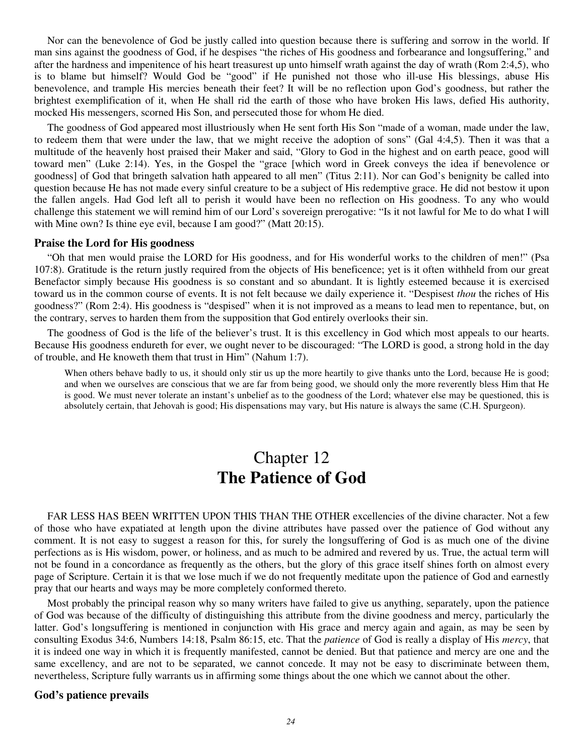Nor can the benevolence of God be justly called into question because there is suffering and sorrow in the world. If man sins against the goodness of God, if he despises "the riches of His goodness and forbearance and longsuffering," and after the hardness and impenitence of his heart treasurest up unto himself wrath against the day of wrath (Rom 2:4,5), who is to blame but himself? Would God be "good" if He punished not those who ill-use His blessings, abuse His benevolence, and trample His mercies beneath their feet? It will be no reflection upon God's goodness, but rather the brightest exemplification of it, when He shall rid the earth of those who have broken His laws, defied His authority, mocked His messengers, scorned His Son, and persecuted those for whom He died.

The goodness of God appeared most illustriously when He sent forth His Son "made of a woman, made under the law, to redeem them that were under the law, that we might receive the adoption of sons" (Gal 4:4,5). Then it was that a multitude of the heavenly host praised their Maker and said, "Glory to God in the highest and on earth peace, good will toward men" (Luke 2:14). Yes, in the Gospel the "grace [which word in Greek conveys the idea if benevolence or goodness] of God that bringeth salvation hath appeared to all men" (Titus 2:11). Nor can God's benignity be called into question because He has not made every sinful creature to be a subject of His redemptive grace. He did not bestow it upon the fallen angels. Had God left all to perish it would have been no reflection on His goodness. To any who would challenge this statement we will remind him of our Lord's sovereign prerogative: "Is it not lawful for Me to do what I will with Mine own? Is thine eye evil, because I am good?" (Matt 20:15).

#### **Praise the Lord for His goodness**

"Oh that men would praise the LORD for His goodness, and for His wonderful works to the children of men!" (Psa 107:8). Gratitude is the return justly required from the objects of His beneficence; yet is it often withheld from our great Benefactor simply because His goodness is so constant and so abundant. It is lightly esteemed because it is exercised toward us in the common course of events. It is not felt because we daily experience it. "Despisest *thou* the riches of His goodness?" (Rom 2:4). His goodness is "despised" when it is not improved as a means to lead men to repentance, but, on the contrary, serves to harden them from the supposition that God entirely overlooks their sin.

The goodness of God is the life of the believer's trust. It is this excellency in God which most appeals to our hearts. Because His goodness endureth for ever, we ought never to be discouraged: "The LORD is good, a strong hold in the day of trouble, and He knoweth them that trust in Him" (Nahum 1:7).

When others behave badly to us, it should only stir us up the more heartily to give thanks unto the Lord, because He is good; and when we ourselves are conscious that we are far from being good, we should only the more reverently bless Him that He is good. We must never tolerate an instant's unbelief as to the goodness of the Lord; whatever else may be questioned, this is absolutely certain, that Jehovah is good; His dispensations may vary, but His nature is always the same (C.H. Spurgeon).

# Chapter 12 **The Patience of God**

FAR LESS HAS BEEN WRITTEN UPON THIS THAN THE OTHER excellencies of the divine character. Not a few of those who have expatiated at length upon the divine attributes have passed over the patience of God without any comment. It is not easy to suggest a reason for this, for surely the longsuffering of God is as much one of the divine perfections as is His wisdom, power, or holiness, and as much to be admired and revered by us. True, the actual term will not be found in a concordance as frequently as the others, but the glory of this grace itself shines forth on almost every page of Scripture. Certain it is that we lose much if we do not frequently meditate upon the patience of God and earnestly pray that our hearts and ways may be more completely conformed thereto.

Most probably the principal reason why so many writers have failed to give us anything, separately, upon the patience of God was because of the difficulty of distinguishing this attribute from the divine goodness and mercy, particularly the latter. God's longsuffering is mentioned in conjunction with His grace and mercy again and again, as may be seen by consulting Exodus 34:6, Numbers 14:18, Psalm 86:15, etc. That the *patience* of God is really a display of His *mercy*, that it is indeed one way in which it is frequently manifested, cannot be denied. But that patience and mercy are one and the same excellency, and are not to be separated, we cannot concede. It may not be easy to discriminate between them, nevertheless, Scripture fully warrants us in affirming some things about the one which we cannot about the other.

#### **God's patience prevails**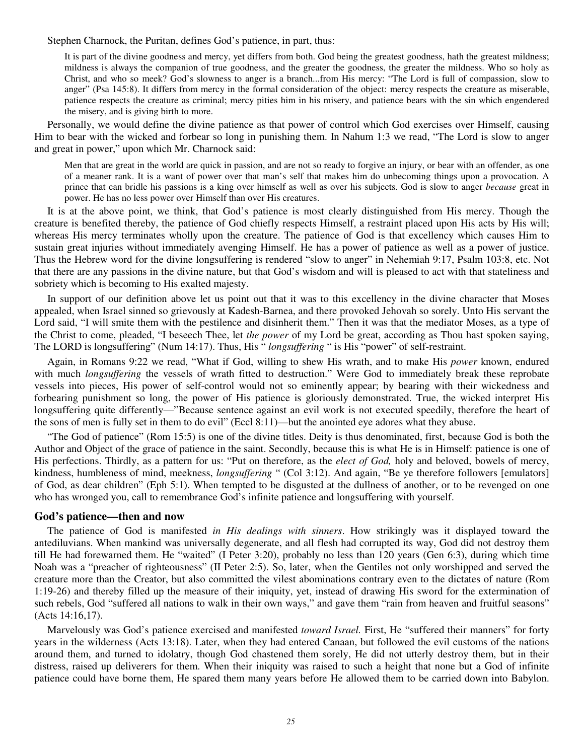Stephen Charnock, the Puritan, defines God's patience, in part, thus:

It is part of the divine goodness and mercy, yet differs from both. God being the greatest goodness, hath the greatest mildness; mildness is always the companion of true goodness, and the greater the goodness, the greater the mildness. Who so holy as Christ, and who so meek? God's slowness to anger is a branch...from His mercy: "The Lord is full of compassion, slow to anger" (Psa 145:8). It differs from mercy in the formal consideration of the object: mercy respects the creature as miserable, patience respects the creature as criminal; mercy pities him in his misery, and patience bears with the sin which engendered the misery, and is giving birth to more.

Personally, we would define the divine patience as that power of control which God exercises over Himself, causing Him to bear with the wicked and forbear so long in punishing them. In Nahum 1:3 we read, "The Lord is slow to anger and great in power," upon which Mr. Charnock said:

Men that are great in the world are quick in passion, and are not so ready to forgive an injury, or bear with an offender, as one of a meaner rank. It is a want of power over that man's self that makes him do unbecoming things upon a provocation. A prince that can bridle his passions is a king over himself as well as over his subjects. God is slow to anger *because* great in power. He has no less power over Himself than over His creatures.

It is at the above point, we think, that God's patience is most clearly distinguished from His mercy. Though the creature is benefited thereby, the patience of God chiefly respects Himself, a restraint placed upon His acts by His will; whereas His mercy terminates wholly upon the creature. The patience of God is that excellency which causes Him to sustain great injuries without immediately avenging Himself. He has a power of patience as well as a power of justice. Thus the Hebrew word for the divine longsuffering is rendered "slow to anger" in Nehemiah 9:17, Psalm 103:8, etc. Not that there are any passions in the divine nature, but that God's wisdom and will is pleased to act with that stateliness and sobriety which is becoming to His exalted majesty.

In support of our definition above let us point out that it was to this excellency in the divine character that Moses appealed, when Israel sinned so grievously at Kadesh-Barnea, and there provoked Jehovah so sorely. Unto His servant the Lord said, "I will smite them with the pestilence and disinherit them." Then it was that the mediator Moses, as a type of the Christ to come, pleaded, "I beseech Thee, let *the power* of my Lord be great, according as Thou hast spoken saying, The LORD is longsuffering" (Num 14:17). Thus, His " *longsuffering* " is His "power" of self-restraint.

Again, in Romans 9:22 we read, "What if God, willing to shew His wrath, and to make His *power* known, endured with much *longsuffering* the vessels of wrath fitted to destruction." Were God to immediately break these reprobate vessels into pieces, His power of self-control would not so eminently appear; by bearing with their wickedness and forbearing punishment so long, the power of His patience is gloriously demonstrated. True, the wicked interpret His longsuffering quite differently—"Because sentence against an evil work is not executed speedily, therefore the heart of the sons of men is fully set in them to do evil" (Eccl 8:11)—but the anointed eye adores what they abuse.

"The God of patience" (Rom 15:5) is one of the divine titles. Deity is thus denominated, first, because God is both the Author and Object of the grace of patience in the saint. Secondly, because this is what He is in Himself: patience is one of His perfections. Thirdly, as a pattern for us: "Put on therefore, as the *elect of God,* holy and beloved, bowels of mercy, kindness, humbleness of mind, meekness, *longsuffering* " (Col 3:12). And again, "Be ye therefore followers [emulators] of God, as dear children" (Eph 5:1). When tempted to be disgusted at the dullness of another, or to be revenged on one who has wronged you, call to remembrance God's infinite patience and longsuffering with yourself.

#### **God's patience—then and now**

The patience of God is manifested *in His dealings with sinners*. How strikingly was it displayed toward the antediluvians. When mankind was universally degenerate, and all flesh had corrupted its way, God did not destroy them till He had forewarned them. He "waited" (I Peter 3:20), probably no less than 120 years (Gen 6:3), during which time Noah was a "preacher of righteousness" (II Peter 2:5). So, later, when the Gentiles not only worshipped and served the creature more than the Creator, but also committed the vilest abominations contrary even to the dictates of nature (Rom 1:19-26) and thereby filled up the measure of their iniquity, yet, instead of drawing His sword for the extermination of such rebels, God "suffered all nations to walk in their own ways," and gave them "rain from heaven and fruitful seasons" (Acts 14:16,17).

Marvelously was God's patience exercised and manifested *toward Israel.* First, He "suffered their manners" for forty years in the wilderness (Acts 13:18). Later, when they had entered Canaan, but followed the evil customs of the nations around them, and turned to idolatry, though God chastened them sorely, He did not utterly destroy them, but in their distress, raised up deliverers for them. When their iniquity was raised to such a height that none but a God of infinite patience could have borne them, He spared them many years before He allowed them to be carried down into Babylon.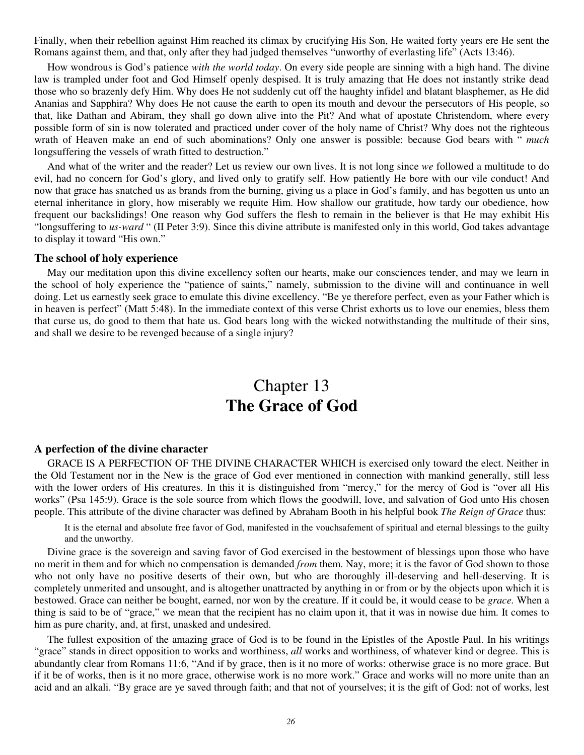Finally, when their rebellion against Him reached its climax by crucifying His Son, He waited forty years ere He sent the Romans against them, and that, only after they had judged themselves "unworthy of everlasting life" (Acts 13:46).

How wondrous is God's patience *with the world today*. On every side people are sinning with a high hand. The divine law is trampled under foot and God Himself openly despised. It is truly amazing that He does not instantly strike dead those who so brazenly defy Him. Why does He not suddenly cut off the haughty infidel and blatant blasphemer, as He did Ananias and Sapphira? Why does He not cause the earth to open its mouth and devour the persecutors of His people, so that, like Dathan and Abiram, they shall go down alive into the Pit? And what of apostate Christendom, where every possible form of sin is now tolerated and practiced under cover of the holy name of Christ? Why does not the righteous wrath of Heaven make an end of such abominations? Only one answer is possible: because God bears with " *much*  longsuffering the vessels of wrath fitted to destruction."

And what of the writer and the reader? Let us review our own lives. It is not long since *we* followed a multitude to do evil, had no concern for God's glory, and lived only to gratify self. How patiently He bore with our vile conduct! And now that grace has snatched us as brands from the burning, giving us a place in God's family, and has begotten us unto an eternal inheritance in glory, how miserably we requite Him. How shallow our gratitude, how tardy our obedience, how frequent our backslidings! One reason why God suffers the flesh to remain in the believer is that He may exhibit His "longsuffering to *us-ward* " (II Peter 3:9). Since this divine attribute is manifested only in this world, God takes advantage to display it toward "His own."

#### **The school of holy experience**

May our meditation upon this divine excellency soften our hearts, make our consciences tender, and may we learn in the school of holy experience the "patience of saints," namely, submission to the divine will and continuance in well doing. Let us earnestly seek grace to emulate this divine excellency. "Be ye therefore perfect, even as your Father which is in heaven is perfect" (Matt 5:48). In the immediate context of this verse Christ exhorts us to love our enemies, bless them that curse us, do good to them that hate us. God bears long with the wicked notwithstanding the multitude of their sins, and shall we desire to be revenged because of a single injury?

# Chapter 13 **The Grace of God**

### **A perfection of the divine character**

GRACE IS A PERFECTION OF THE DIVINE CHARACTER WHICH is exercised only toward the elect. Neither in the Old Testament nor in the New is the grace of God ever mentioned in connection with mankind generally, still less with the lower orders of His creatures. In this it is distinguished from "mercy," for the mercy of God is "over all His works" (Psa 145:9). Grace is the sole source from which flows the goodwill, love, and salvation of God unto His chosen people. This attribute of the divine character was defined by Abraham Booth in his helpful book *The Reign of Grace* thus:

It is the eternal and absolute free favor of God, manifested in the vouchsafement of spiritual and eternal blessings to the guilty and the unworthy.

Divine grace is the sovereign and saving favor of God exercised in the bestowment of blessings upon those who have no merit in them and for which no compensation is demanded *from* them. Nay, more; it is the favor of God shown to those who not only have no positive deserts of their own, but who are thoroughly ill-deserving and hell-deserving. It is completely unmerited and unsought, and is altogether unattracted by anything in or from or by the objects upon which it is bestowed. Grace can neither be bought, earned, nor won by the creature. If it could be, it would cease to be *grace.* When a thing is said to be of "grace," we mean that the recipient has no claim upon it, that it was in nowise due him. It comes to him as pure charity, and, at first, unasked and undesired.

The fullest exposition of the amazing grace of God is to be found in the Epistles of the Apostle Paul. In his writings "grace" stands in direct opposition to works and worthiness, *all* works and worthiness, of whatever kind or degree. This is abundantly clear from Romans 11:6, "And if by grace, then is it no more of works: otherwise grace is no more grace. But if it be of works, then is it no more grace, otherwise work is no more work." Grace and works will no more unite than an acid and an alkali. "By grace are ye saved through faith; and that not of yourselves; it is the gift of God: not of works, lest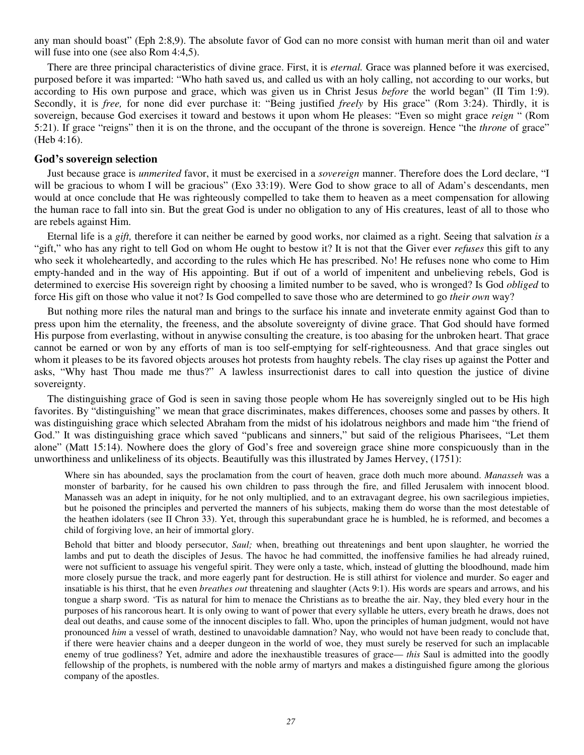any man should boast" (Eph 2:8,9). The absolute favor of God can no more consist with human merit than oil and water will fuse into one (see also Rom 4:4,5).

There are three principal characteristics of divine grace. First, it is *eternal.* Grace was planned before it was exercised, purposed before it was imparted: "Who hath saved us, and called us with an holy calling, not according to our works, but according to His own purpose and grace, which was given us in Christ Jesus *before* the world began" (II Tim 1:9). Secondly, it is *free,* for none did ever purchase it: "Being justified *freely* by His grace" (Rom 3:24). Thirdly, it is sovereign, because God exercises it toward and bestows it upon whom He pleases: "Even so might grace *reign* " (Rom 5:21). If grace "reigns" then it is on the throne, and the occupant of the throne is sovereign. Hence "the *throne* of grace" (Heb 4:16).

### **God's sovereign selection**

Just because grace is *unmerited* favor, it must be exercised in a *sovereign* manner. Therefore does the Lord declare, "I will be gracious to whom I will be gracious" (Exo 33:19). Were God to show grace to all of Adam's descendants, men would at once conclude that He was righteously compelled to take them to heaven as a meet compensation for allowing the human race to fall into sin. But the great God is under no obligation to any of His creatures, least of all to those who are rebels against Him.

Eternal life is a *gift,* therefore it can neither be earned by good works, nor claimed as a right. Seeing that salvation *is* a "gift," who has any right to tell God on whom He ought to bestow it? It is not that the Giver ever *refuses* this gift to any who seek it wholeheartedly, and according to the rules which He has prescribed. No! He refuses none who come to Him empty-handed and in the way of His appointing. But if out of a world of impenitent and unbelieving rebels, God is determined to exercise His sovereign right by choosing a limited number to be saved, who is wronged? Is God *obliged* to force His gift on those who value it not? Is God compelled to save those who are determined to go *their own* way?

But nothing more riles the natural man and brings to the surface his innate and inveterate enmity against God than to press upon him the eternality, the freeness, and the absolute sovereignty of divine grace. That God should have formed His purpose from everlasting, without in anywise consulting the creature, is too abasing for the unbroken heart. That grace cannot be earned or won by any efforts of man is too self-emptying for self-righteousness. And that grace singles out whom it pleases to be its favored objects arouses hot protests from haughty rebels. The clay rises up against the Potter and asks, "Why hast Thou made me thus?" A lawless insurrectionist dares to call into question the justice of divine sovereignty.

The distinguishing grace of God is seen in saving those people whom He has sovereignly singled out to be His high favorites. By "distinguishing" we mean that grace discriminates, makes differences, chooses some and passes by others. It was distinguishing grace which selected Abraham from the midst of his idolatrous neighbors and made him "the friend of God." It was distinguishing grace which saved "publicans and sinners," but said of the religious Pharisees, "Let them alone" (Matt 15:14). Nowhere does the glory of God's free and sovereign grace shine more conspicuously than in the unworthiness and unlikeliness of its objects. Beautifully was this illustrated by James Hervey, (1751):

Where sin has abounded, says the proclamation from the court of heaven, grace doth much more abound. *Manasseh* was a monster of barbarity, for he caused his own children to pass through the fire, and filled Jerusalem with innocent blood. Manasseh was an adept in iniquity, for he not only multiplied, and to an extravagant degree, his own sacrilegious impieties, but he poisoned the principles and perverted the manners of his subjects, making them do worse than the most detestable of the heathen idolaters (see II Chron 33). Yet, through this superabundant grace he is humbled, he is reformed, and becomes a child of forgiving love, an heir of immortal glory.

Behold that bitter and bloody persecutor, *Saul;* when, breathing out threatenings and bent upon slaughter, he worried the lambs and put to death the disciples of Jesus. The havoc he had committed, the inoffensive families he had already ruined, were not sufficient to assuage his vengeful spirit. They were only a taste, which, instead of glutting the bloodhound, made him more closely pursue the track, and more eagerly pant for destruction. He is still athirst for violence and murder. So eager and insatiable is his thirst, that he even *breathes out* threatening and slaughter (Acts 9:1). His words are spears and arrows, and his tongue a sharp sword. 'Tis as natural for him to menace the Christians as to breathe the air. Nay, they bled every hour in the purposes of his rancorous heart. It is only owing to want of power that every syllable he utters, every breath he draws, does not deal out deaths, and cause some of the innocent disciples to fall. Who, upon the principles of human judgment, would not have pronounced *him* a vessel of wrath, destined to unavoidable damnation? Nay, who would not have been ready to conclude that, if there were heavier chains and a deeper dungeon in the world of woe, they must surely be reserved for such an implacable enemy of true godliness? Yet, admire and adore the inexhaustible treasures of grace— *this* Saul is admitted into the goodly fellowship of the prophets, is numbered with the noble army of martyrs and makes a distinguished figure among the glorious company of the apostles.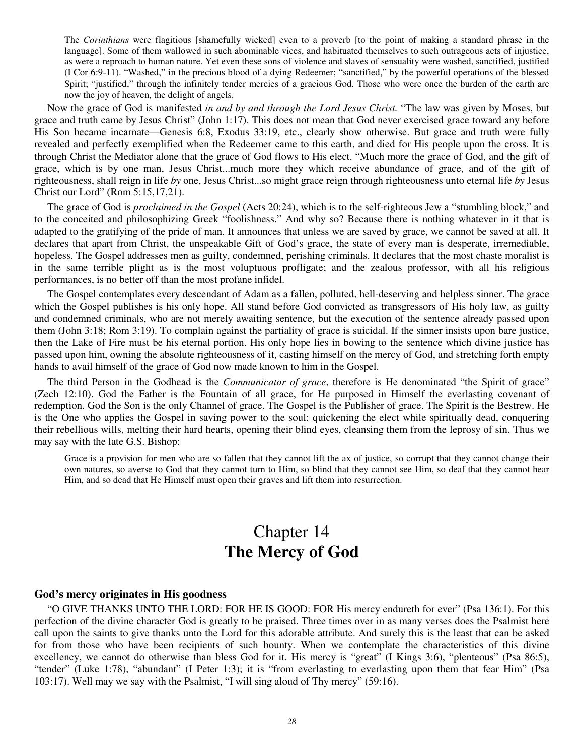The *Corinthians* were flagitious [shamefully wicked] even to a proverb [to the point of making a standard phrase in the language]. Some of them wallowed in such abominable vices, and habituated themselves to such outrageous acts of injustice, as were a reproach to human nature. Yet even these sons of violence and slaves of sensuality were washed, sanctified, justified (I Cor 6:9-11). "Washed," in the precious blood of a dying Redeemer; "sanctified," by the powerful operations of the blessed Spirit; "justified," through the infinitely tender mercies of a gracious God. Those who were once the burden of the earth are now the joy of heaven, the delight of angels.

Now the grace of God is manifested *in and by and through the Lord Jesus Christ.* "The law was given by Moses, but grace and truth came by Jesus Christ" (John 1:17). This does not mean that God never exercised grace toward any before His Son became incarnate—Genesis 6:8, Exodus 33:19, etc., clearly show otherwise. But grace and truth were fully revealed and perfectly exemplified when the Redeemer came to this earth, and died for His people upon the cross. It is through Christ the Mediator alone that the grace of God flows to His elect. "Much more the grace of God, and the gift of grace, which is by one man, Jesus Christ...much more they which receive abundance of grace, and of the gift of righteousness, shall reign in life *by* one, Jesus Christ...so might grace reign through righteousness unto eternal life *by* Jesus Christ our Lord" (Rom 5:15,17,21).

The grace of God is *proclaimed in the Gospel* (Acts 20:24), which is to the self-righteous Jew a "stumbling block," and to the conceited and philosophizing Greek "foolishness." And why so? Because there is nothing whatever in it that is adapted to the gratifying of the pride of man. It announces that unless we are saved by grace, we cannot be saved at all. It declares that apart from Christ, the unspeakable Gift of God's grace, the state of every man is desperate, irremediable, hopeless. The Gospel addresses men as guilty, condemned, perishing criminals. It declares that the most chaste moralist is in the same terrible plight as is the most voluptuous profligate; and the zealous professor, with all his religious performances, is no better off than the most profane infidel.

The Gospel contemplates every descendant of Adam as a fallen, polluted, hell-deserving and helpless sinner. The grace which the Gospel publishes is his only hope. All stand before God convicted as transgressors of His holy law, as guilty and condemned criminals, who are not merely awaiting sentence, but the execution of the sentence already passed upon them (John 3:18; Rom 3:19). To complain against the partiality of grace is suicidal. If the sinner insists upon bare justice, then the Lake of Fire must be his eternal portion. His only hope lies in bowing to the sentence which divine justice has passed upon him, owning the absolute righteousness of it, casting himself on the mercy of God, and stretching forth empty hands to avail himself of the grace of God now made known to him in the Gospel.

The third Person in the Godhead is the *Communicator of grace*, therefore is He denominated "the Spirit of grace" (Zech 12:10). God the Father is the Fountain of all grace, for He purposed in Himself the everlasting covenant of redemption. God the Son is the only Channel of grace. The Gospel is the Publisher of grace. The Spirit is the Bestrew. He is the One who applies the Gospel in saving power to the soul: quickening the elect while spiritually dead, conquering their rebellious wills, melting their hard hearts, opening their blind eyes, cleansing them from the leprosy of sin. Thus we may say with the late G.S. Bishop:

Grace is a provision for men who are so fallen that they cannot lift the ax of justice, so corrupt that they cannot change their own natures, so averse to God that they cannot turn to Him, so blind that they cannot see Him, so deaf that they cannot hear Him, and so dead that He Himself must open their graves and lift them into resurrection.

# Chapter 14 **The Mercy of God**

### **God's mercy originates in His goodness**

"O GIVE THANKS UNTO THE LORD: FOR HE IS GOOD: FOR His mercy endureth for ever" (Psa 136:1). For this perfection of the divine character God is greatly to be praised. Three times over in as many verses does the Psalmist here call upon the saints to give thanks unto the Lord for this adorable attribute. And surely this is the least that can be asked for from those who have been recipients of such bounty. When we contemplate the characteristics of this divine excellency, we cannot do otherwise than bless God for it. His mercy is "great" (I Kings 3:6), "plenteous" (Psa 86:5), "tender" (Luke 1:78), "abundant" (I Peter 1:3); it is "from everlasting to everlasting upon them that fear Him" (Psa 103:17). Well may we say with the Psalmist, "I will sing aloud of Thy mercy" (59:16).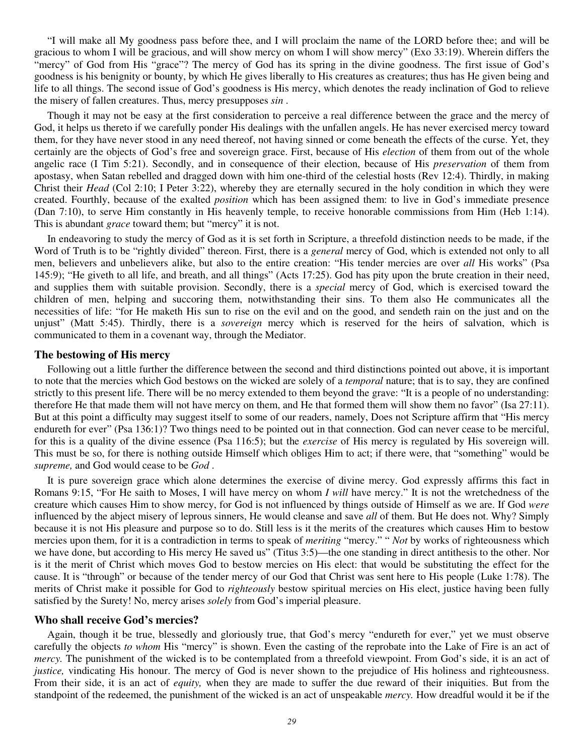"I will make all My goodness pass before thee, and I will proclaim the name of the LORD before thee; and will be gracious to whom I will be gracious, and will show mercy on whom I will show mercy" (Exo 33:19). Wherein differs the "mercy" of God from His "grace"? The mercy of God has its spring in the divine goodness. The first issue of God's goodness is his benignity or bounty, by which He gives liberally to His creatures as creatures; thus has He given being and life to all things. The second issue of God's goodness is His mercy, which denotes the ready inclination of God to relieve the misery of fallen creatures. Thus, mercy presupposes *sin* .

Though it may not be easy at the first consideration to perceive a real difference between the grace and the mercy of God, it helps us thereto if we carefully ponder His dealings with the unfallen angels. He has never exercised mercy toward them, for they have never stood in any need thereof, not having sinned or come beneath the effects of the curse. Yet, they certainly are the objects of God's free and sovereign grace. First, because of His *election* of them from out of the whole angelic race (I Tim 5:21). Secondly, and in consequence of their election, because of His *preservation* of them from apostasy, when Satan rebelled and dragged down with him one-third of the celestial hosts (Rev 12:4). Thirdly, in making Christ their *Head* (Col 2:10; I Peter 3:22), whereby they are eternally secured in the holy condition in which they were created. Fourthly, because of the exalted *position* which has been assigned them: to live in God's immediate presence (Dan 7:10), to serve Him constantly in His heavenly temple, to receive honorable commissions from Him (Heb 1:14). This is abundant *grace* toward them; but "mercy" it is not.

In endeavoring to study the mercy of God as it is set forth in Scripture, a threefold distinction needs to be made, if the Word of Truth is to be "rightly divided" thereon. First, there is a *general* mercy of God, which is extended not only to all men, believers and unbelievers alike, but also to the entire creation: "His tender mercies are over *all* His works" (Psa 145:9); "He giveth to all life, and breath, and all things" (Acts 17:25). God has pity upon the brute creation in their need, and supplies them with suitable provision. Secondly, there is a *special* mercy of God, which is exercised toward the children of men, helping and succoring them, notwithstanding their sins. To them also He communicates all the necessities of life: "for He maketh His sun to rise on the evil and on the good, and sendeth rain on the just and on the unjust" (Matt 5:45). Thirdly, there is a *sovereign* mercy which is reserved for the heirs of salvation, which is communicated to them in a covenant way, through the Mediator.

#### **The bestowing of His mercy**

Following out a little further the difference between the second and third distinctions pointed out above, it is important to note that the mercies which God bestows on the wicked are solely of a *temporal* nature; that is to say, they are confined strictly to this present life. There will be no mercy extended to them beyond the grave: "It is a people of no understanding: therefore He that made them will not have mercy on them, and He that formed them will show them no favor" (Isa 27:11). But at this point a difficulty may suggest itself to some of our readers, namely, Does not Scripture affirm that "His mercy endureth for ever" (Psa 136:1)? Two things need to be pointed out in that connection. God can never cease to be merciful, for this is a quality of the divine essence (Psa 116:5); but the *exercise* of His mercy is regulated by His sovereign will. This must be so, for there is nothing outside Himself which obliges Him to act; if there were, that "something" would be *supreme,* and God would cease to be *God* .

It is pure sovereign grace which alone determines the exercise of divine mercy. God expressly affirms this fact in Romans 9:15, "For He saith to Moses, I will have mercy on whom *I will* have mercy." It is not the wretchedness of the creature which causes Him to show mercy, for God is not influenced by things outside of Himself as we are. If God *were*  influenced by the abject misery of leprous sinners, He would cleanse and save *all* of them. But He does not. Why? Simply because it is not His pleasure and purpose so to do. Still less is it the merits of the creatures which causes Him to bestow mercies upon them, for it is a contradiction in terms to speak of *meriting* "mercy." " *Not* by works of righteousness which we have done, but according to His mercy He saved us" (Titus 3:5)—the one standing in direct antithesis to the other. Nor is it the merit of Christ which moves God to bestow mercies on His elect: that would be substituting the effect for the cause. It is "through" or because of the tender mercy of our God that Christ was sent here to His people (Luke 1:78). The merits of Christ make it possible for God to *righteously* bestow spiritual mercies on His elect, justice having been fully satisfied by the Surety! No, mercy arises *solely* from God's imperial pleasure.

### **Who shall receive God's mercies?**

Again, though it be true, blessedly and gloriously true, that God's mercy "endureth for ever," yet we must observe carefully the objects *to whom* His "mercy" is shown. Even the casting of the reprobate into the Lake of Fire is an act of *mercy*. The punishment of the wicked is to be contemplated from a threefold viewpoint. From God's side, it is an act of *justice,* vindicating His honour. The mercy of God is never shown to the prejudice of His holiness and righteousness. From their side, it is an act of *equity,* when they are made to suffer the due reward of their iniquities. But from the standpoint of the redeemed, the punishment of the wicked is an act of unspeakable *mercy.* How dreadful would it be if the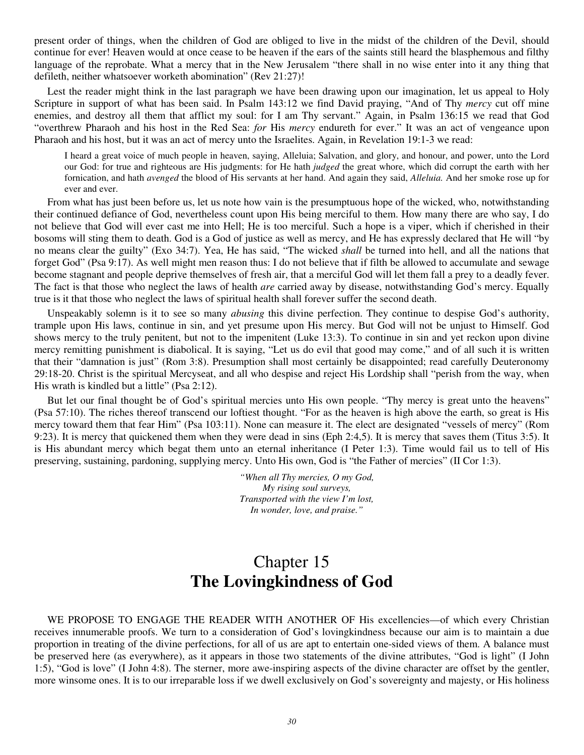present order of things, when the children of God are obliged to live in the midst of the children of the Devil, should continue for ever! Heaven would at once cease to be heaven if the ears of the saints still heard the blasphemous and filthy language of the reprobate. What a mercy that in the New Jerusalem "there shall in no wise enter into it any thing that defileth, neither whatsoever worketh abomination" (Rev 21:27)!

Lest the reader might think in the last paragraph we have been drawing upon our imagination, let us appeal to Holy Scripture in support of what has been said. In Psalm 143:12 we find David praying, "And of Thy *mercy* cut off mine enemies, and destroy all them that afflict my soul: for I am Thy servant." Again, in Psalm 136:15 we read that God "overthrew Pharaoh and his host in the Red Sea: *for* His *mercy* endureth for ever." It was an act of vengeance upon Pharaoh and his host, but it was an act of mercy unto the Israelites. Again, in Revelation 19:1-3 we read:

I heard a great voice of much people in heaven, saying, Alleluia; Salvation, and glory, and honour, and power, unto the Lord our God: for true and righteous are His judgments: for He hath *judged* the great whore, which did corrupt the earth with her fornication, and hath *avenged* the blood of His servants at her hand. And again they said, *Alleluia.* And her smoke rose up for ever and ever.

From what has just been before us, let us note how vain is the presumptuous hope of the wicked, who, notwithstanding their continued defiance of God, nevertheless count upon His being merciful to them. How many there are who say, I do not believe that God will ever cast me into Hell; He is too merciful. Such a hope is a viper, which if cherished in their bosoms will sting them to death. God is a God of justice as well as mercy, and He has expressly declared that He will "by no means clear the guilty" (Exo 34:7). Yea, He has said, "The wicked *shall* be turned into hell, and all the nations that forget God" (Psa 9:17). As well might men reason thus: I do not believe that if filth be allowed to accumulate and sewage become stagnant and people deprive themselves of fresh air, that a merciful God will let them fall a prey to a deadly fever. The fact is that those who neglect the laws of health *are* carried away by disease, notwithstanding God's mercy. Equally true is it that those who neglect the laws of spiritual health shall forever suffer the second death.

Unspeakably solemn is it to see so many *abusing* this divine perfection. They continue to despise God's authority, trample upon His laws, continue in sin, and yet presume upon His mercy. But God will not be unjust to Himself. God shows mercy to the truly penitent, but not to the impenitent (Luke 13:3). To continue in sin and yet reckon upon divine mercy remitting punishment is diabolical. It is saying, "Let us do evil that good may come," and of all such it is written that their "damnation is just" (Rom 3:8). Presumption shall most certainly be disappointed; read carefully Deuteronomy 29:18-20. Christ is the spiritual Mercyseat, and all who despise and reject His Lordship shall "perish from the way, when His wrath is kindled but a little" (Psa 2:12).

But let our final thought be of God's spiritual mercies unto His own people. "Thy mercy is great unto the heavens" (Psa 57:10). The riches thereof transcend our loftiest thought. "For as the heaven is high above the earth, so great is His mercy toward them that fear Him" (Psa 103:11). None can measure it. The elect are designated "vessels of mercy" (Rom 9:23). It is mercy that quickened them when they were dead in sins (Eph 2:4,5). It is mercy that saves them (Titus 3:5). It is His abundant mercy which begat them unto an eternal inheritance (I Peter 1:3). Time would fail us to tell of His preserving, sustaining, pardoning, supplying mercy. Unto His own, God is "the Father of mercies" (II Cor 1:3).

> *"When all Thy mercies, O my God, My rising soul surveys, Transported with the view I'm lost, In wonder, love, and praise."*

# Chapter 15 **The Lovingkindness of God**

WE PROPOSE TO ENGAGE THE READER WITH ANOTHER OF His excellencies—of which every Christian receives innumerable proofs. We turn to a consideration of God's lovingkindness because our aim is to maintain a due proportion in treating of the divine perfections, for all of us are apt to entertain one-sided views of them. A balance must be preserved here (as everywhere), as it appears in those two statements of the divine attributes, "God is light" (I John 1:5), "God is love" (I John 4:8). The sterner, more awe-inspiring aspects of the divine character are offset by the gentler, more winsome ones. It is to our irreparable loss if we dwell exclusively on God's sovereignty and majesty, or His holiness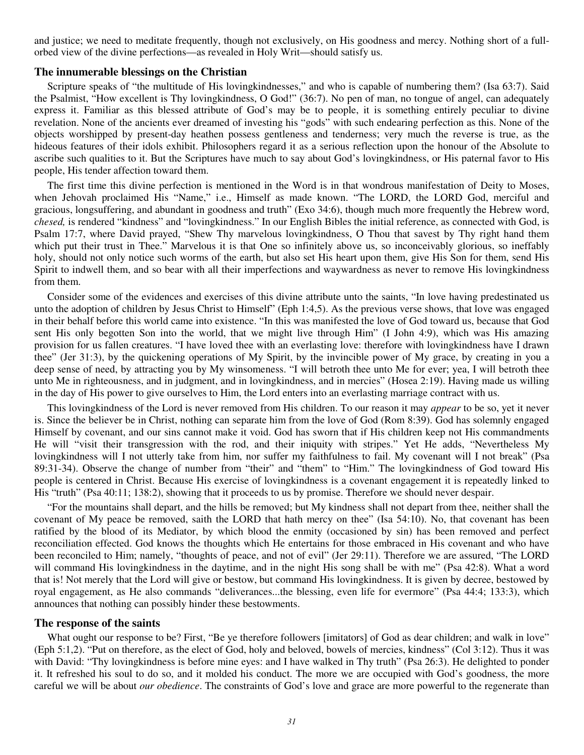and justice; we need to meditate frequently, though not exclusively, on His goodness and mercy. Nothing short of a fullorbed view of the divine perfections—as revealed in Holy Writ—should satisfy us.

#### **The innumerable blessings on the Christian**

Scripture speaks of "the multitude of His lovingkindnesses," and who is capable of numbering them? (Isa 63:7). Said the Psalmist, "How excellent is Thy lovingkindness, O God!" (36:7). No pen of man, no tongue of angel, can adequately express it. Familiar as this blessed attribute of God's may be to people, it is something entirely peculiar to divine revelation. None of the ancients ever dreamed of investing his "gods" with such endearing perfection as this. None of the objects worshipped by present-day heathen possess gentleness and tenderness; very much the reverse is true, as the hideous features of their idols exhibit. Philosophers regard it as a serious reflection upon the honour of the Absolute to ascribe such qualities to it. But the Scriptures have much to say about God's lovingkindness, or His paternal favor to His people, His tender affection toward them.

The first time this divine perfection is mentioned in the Word is in that wondrous manifestation of Deity to Moses, when Jehovah proclaimed His "Name," i.e., Himself as made known. "The LORD, the LORD God, merciful and gracious, longsuffering, and abundant in goodness and truth" (Exo 34:6), though much more frequently the Hebrew word, *chesed,* is rendered "kindness" and "lovingkindness." In our English Bibles the initial reference, as connected with God, is Psalm 17:7, where David prayed, "Shew Thy marvelous lovingkindness, O Thou that savest by Thy right hand them which put their trust in Thee." Marvelous it is that One so infinitely above us, so inconceivably glorious, so ineffably holy, should not only notice such worms of the earth, but also set His heart upon them, give His Son for them, send His Spirit to indwell them, and so bear with all their imperfections and waywardness as never to remove His lovingkindness from them.

Consider some of the evidences and exercises of this divine attribute unto the saints, "In love having predestinated us unto the adoption of children by Jesus Christ to Himself" (Eph 1:4,5). As the previous verse shows, that love was engaged in their behalf before this world came into existence. "In this was manifested the love of God toward us, because that God sent His only begotten Son into the world, that we might live through Him" (I John 4:9), which was His amazing provision for us fallen creatures. "I have loved thee with an everlasting love: therefore with lovingkindness have I drawn thee" (Jer 31:3), by the quickening operations of My Spirit, by the invincible power of My grace, by creating in you a deep sense of need, by attracting you by My winsomeness. "I will betroth thee unto Me for ever; yea, I will betroth thee unto Me in righteousness, and in judgment, and in lovingkindness, and in mercies" (Hosea 2:19). Having made us willing in the day of His power to give ourselves to Him, the Lord enters into an everlasting marriage contract with us.

This lovingkindness of the Lord is never removed from His children. To our reason it may *appear* to be so, yet it never is. Since the believer be in Christ, nothing can separate him from the love of God (Rom 8:39). God has solemnly engaged Himself by covenant, and our sins cannot make it void. God has sworn that if His children keep not His commandments He will "visit their transgression with the rod, and their iniquity with stripes." Yet He adds, "Nevertheless My lovingkindness will I not utterly take from him, nor suffer my faithfulness to fail. My covenant will I not break" (Psa 89:31-34). Observe the change of number from "their" and "them" to "Him." The lovingkindness of God toward His people is centered in Christ. Because His exercise of lovingkindness is a covenant engagement it is repeatedly linked to His "truth" (Psa 40:11; 138:2), showing that it proceeds to us by promise. Therefore we should never despair.

"For the mountains shall depart, and the hills be removed; but My kindness shall not depart from thee, neither shall the covenant of My peace be removed, saith the LORD that hath mercy on thee" (Isa 54:10). No, that covenant has been ratified by the blood of its Mediator, by which blood the enmity (occasioned by sin) has been removed and perfect reconciliation effected. God knows the thoughts which He entertains for those embraced in His covenant and who have been reconciled to Him; namely, "thoughts of peace, and not of evil" (Jer 29:11). Therefore we are assured, "The LORD will command His lovingkindness in the daytime, and in the night His song shall be with me" (Psa 42:8). What a word that is! Not merely that the Lord will give or bestow, but command His lovingkindness. It is given by decree, bestowed by royal engagement, as He also commands "deliverances...the blessing, even life for evermore" (Psa 44:4; 133:3), which announces that nothing can possibly hinder these bestowments.

### **The response of the saints**

What ought our response to be? First, "Be ye therefore followers [imitators] of God as dear children; and walk in love" (Eph 5:1,2). "Put on therefore, as the elect of God, holy and beloved, bowels of mercies, kindness" (Col 3:12). Thus it was with David: "Thy lovingkindness is before mine eyes: and I have walked in Thy truth" (Psa 26:3). He delighted to ponder it. It refreshed his soul to do so, and it molded his conduct. The more we are occupied with God's goodness, the more careful we will be about *our obedience*. The constraints of God's love and grace are more powerful to the regenerate than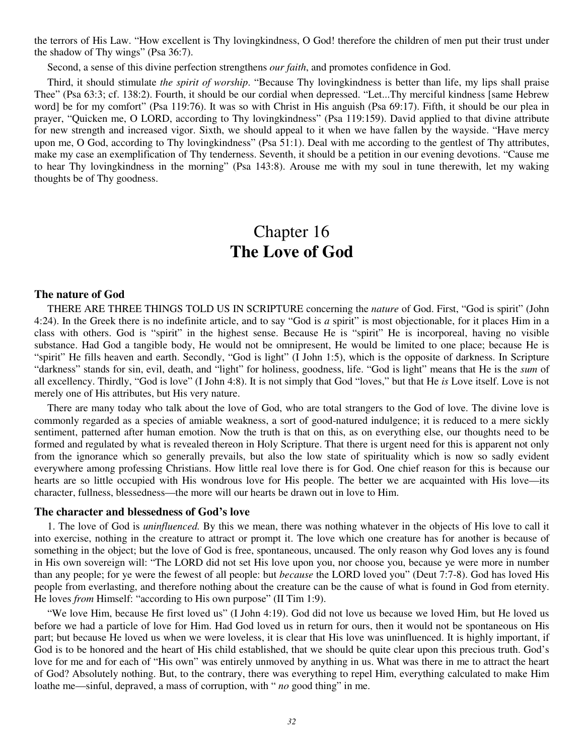the terrors of His Law. "How excellent is Thy lovingkindness, O God! therefore the children of men put their trust under the shadow of Thy wings" (Psa 36:7).

Second, a sense of this divine perfection strengthens *our faith*, and promotes confidence in God.

Third, it should stimulate *the spirit of worship*. "Because Thy lovingkindness is better than life, my lips shall praise Thee" (Psa 63:3; cf. 138:2). Fourth, it should be our cordial when depressed. "Let...Thy merciful kindness [same Hebrew word] be for my comfort" (Psa 119:76). It was so with Christ in His anguish (Psa 69:17). Fifth, it should be our plea in prayer, "Quicken me, O LORD, according to Thy lovingkindness" (Psa 119:159). David applied to that divine attribute for new strength and increased vigor. Sixth, we should appeal to it when we have fallen by the wayside. "Have mercy upon me, O God, according to Thy lovingkindness" (Psa 51:1). Deal with me according to the gentlest of Thy attributes, make my case an exemplification of Thy tenderness. Seventh, it should be a petition in our evening devotions. "Cause me to hear Thy lovingkindness in the morning" (Psa 143:8). Arouse me with my soul in tune therewith, let my waking thoughts be of Thy goodness.

# Chapter 16 **The Love of God**

#### **The nature of God**

THERE ARE THREE THINGS TOLD US IN SCRIPTURE concerning the *nature* of God. First, "God is spirit" (John 4:24). In the Greek there is no indefinite article, and to say "God is *a* spirit" is most objectionable, for it places Him in a class with others. God is "spirit" in the highest sense. Because He is "spirit" He is incorporeal, having no visible substance. Had God a tangible body, He would not be omnipresent, He would be limited to one place; because He is "spirit" He fills heaven and earth. Secondly, "God is light" (I John 1:5), which is the opposite of darkness. In Scripture "darkness" stands for sin, evil, death, and "light" for holiness, goodness, life. "God is light" means that He is the *sum* of all excellency. Thirdly, "God is love" (I John 4:8). It is not simply that God "loves," but that He *is* Love itself. Love is not merely one of His attributes, but His very nature.

There are many today who talk about the love of God, who are total strangers to the God of love. The divine love is commonly regarded as a species of amiable weakness, a sort of good-natured indulgence; it is reduced to a mere sickly sentiment, patterned after human emotion. Now the truth is that on this, as on everything else, our thoughts need to be formed and regulated by what is revealed thereon in Holy Scripture. That there is urgent need for this is apparent not only from the ignorance which so generally prevails, but also the low state of spirituality which is now so sadly evident everywhere among professing Christians. How little real love there is for God. One chief reason for this is because our hearts are so little occupied with His wondrous love for His people. The better we are acquainted with His love—its character, fullness, blessedness—the more will our hearts be drawn out in love to Him.

#### **The character and blessedness of God's love**

1. The love of God is *uninfluenced.* By this we mean, there was nothing whatever in the objects of His love to call it into exercise, nothing in the creature to attract or prompt it. The love which one creature has for another is because of something in the object; but the love of God is free, spontaneous, uncaused. The only reason why God loves any is found in His own sovereign will: "The LORD did not set His love upon you, nor choose you, because ye were more in number than any people; for ye were the fewest of all people: but *because* the LORD loved you" (Deut 7:7-8). God has loved His people from everlasting, and therefore nothing about the creature can be the cause of what is found in God from eternity. He loves *from* Himself: "according to His own purpose" (II Tim 1:9).

"We love Him, because He first loved us" (I John 4:19). God did not love us because we loved Him, but He loved us before we had a particle of love for Him. Had God loved us in return for ours, then it would not be spontaneous on His part; but because He loved us when we were loveless, it is clear that His love was uninfluenced. It is highly important, if God is to be honored and the heart of His child established, that we should be quite clear upon this precious truth. God's love for me and for each of "His own" was entirely unmoved by anything in us. What was there in me to attract the heart of God? Absolutely nothing. But, to the contrary, there was everything to repel Him, everything calculated to make Him loathe me—sinful, depraved, a mass of corruption, with " *no* good thing" in me.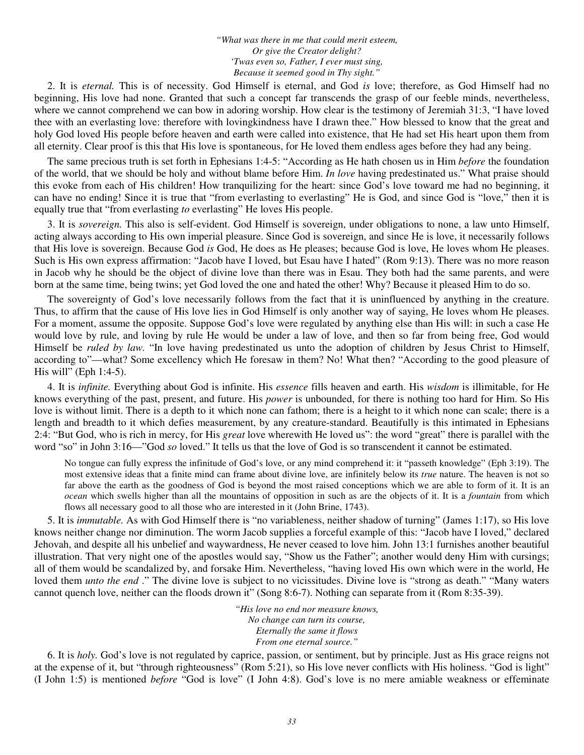*"What was there in me that could merit esteem, Or give the Creator delight? 'Twas even so, Father, I ever must sing, Because it seemed good in Thy sight."* 

2. It is *eternal.* This is of necessity. God Himself is eternal, and God *is* love; therefore, as God Himself had no beginning, His love had none. Granted that such a concept far transcends the grasp of our feeble minds, nevertheless, where we cannot comprehend we can bow in adoring worship. How clear is the testimony of Jeremiah 31:3, "I have loved thee with an everlasting love: therefore with lovingkindness have I drawn thee." How blessed to know that the great and holy God loved His people before heaven and earth were called into existence, that He had set His heart upon them from all eternity. Clear proof is this that His love is spontaneous, for He loved them endless ages before they had any being.

The same precious truth is set forth in Ephesians 1:4-5: "According as He hath chosen us in Him *before* the foundation of the world, that we should be holy and without blame before Him. *In love* having predestinated us." What praise should this evoke from each of His children! How tranquilizing for the heart: since God's love toward me had no beginning, it can have no ending! Since it is true that "from everlasting to everlasting" He is God, and since God is "love," then it is equally true that "from everlasting *to* everlasting" He loves His people.

3. It is *sovereign.* This also is self-evident. God Himself is sovereign, under obligations to none, a law unto Himself, acting always according to His own imperial pleasure. Since God is sovereign, and since He is love, it necessarily follows that His love is sovereign. Because God *is* God, He does as He pleases; because God is love, He loves whom He pleases. Such is His own express affirmation: "Jacob have I loved, but Esau have I hated" (Rom 9:13). There was no more reason in Jacob why he should be the object of divine love than there was in Esau. They both had the same parents, and were born at the same time, being twins; yet God loved the one and hated the other! Why? Because it pleased Him to do so.

The sovereignty of God's love necessarily follows from the fact that it is uninfluenced by anything in the creature. Thus, to affirm that the cause of His love lies in God Himself is only another way of saying, He loves whom He pleases. For a moment, assume the opposite. Suppose God's love were regulated by anything else than His will: in such a case He would love by rule, and loving by rule He would be under a law of love, and then so far from being free, God would Himself be *ruled by law.* "In love having predestinated us unto the adoption of children by Jesus Christ to Himself, according to"—what? Some excellency which He foresaw in them? No! What then? "According to the good pleasure of His will" (Eph 1:4-5).

4. It is *infinite.* Everything about God is infinite. His *essence* fills heaven and earth. His *wisdom* is illimitable, for He knows everything of the past, present, and future. His *power* is unbounded, for there is nothing too hard for Him. So His love is without limit. There is a depth to it which none can fathom; there is a height to it which none can scale; there is a length and breadth to it which defies measurement, by any creature-standard. Beautifully is this intimated in Ephesians 2:4: "But God, who is rich in mercy, for His *great* love wherewith He loved us": the word "great" there is parallel with the word "so" in John 3:16—"God *so* loved." It tells us that the love of God is so transcendent it cannot be estimated.

No tongue can fully express the infinitude of God's love, or any mind comprehend it: it "passeth knowledge" (Eph 3:19). The most extensive ideas that a finite mind can frame about divine love, are infinitely below its *true* nature. The heaven is not so far above the earth as the goodness of God is beyond the most raised conceptions which we are able to form of it. It is an *ocean* which swells higher than all the mountains of opposition in such as are the objects of it. It is a *fountain* from which flows all necessary good to all those who are interested in it (John Brine, 1743).

5. It is *immutable.* As with God Himself there is "no variableness, neither shadow of turning" (James 1:17), so His love knows neither change nor diminution. The worm Jacob supplies a forceful example of this: "Jacob have I loved," declared Jehovah, and despite all his unbelief and waywardness, He never ceased to love him. John 13:1 furnishes another beautiful illustration. That very night one of the apostles would say, "Show us the Father"; another would deny Him with cursings; all of them would be scandalized by, and forsake Him. Nevertheless, "having loved His own which were in the world, He loved them *unto the end* ." The divine love is subject to no vicissitudes. Divine love is "strong as death." "Many waters cannot quench love, neither can the floods drown it" (Song 8:6-7). Nothing can separate from it (Rom 8:35-39).

> *"His love no end nor measure knows, No change can turn its course, Eternally the same it flows From one eternal source."*

6. It is *holy.* God's love is not regulated by caprice, passion, or sentiment, but by principle. Just as His grace reigns not at the expense of it, but "through righteousness" (Rom 5:21), so His love never conflicts with His holiness. "God is light" (I John 1:5) is mentioned *before* "God is love" (I John 4:8). God's love is no mere amiable weakness or effeminate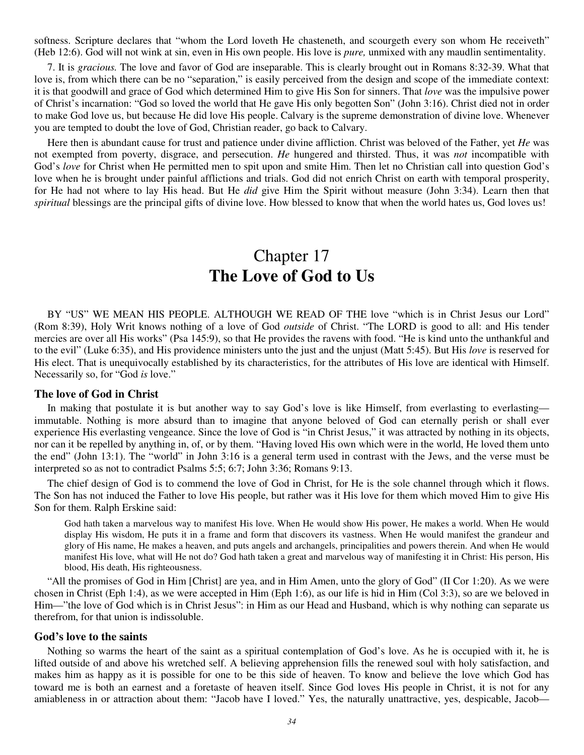softness. Scripture declares that "whom the Lord loveth He chasteneth, and scourgeth every son whom He receiveth" (Heb 12:6). God will not wink at sin, even in His own people. His love is *pure,* unmixed with any maudlin sentimentality.

7. It is *gracious.* The love and favor of God are inseparable. This is clearly brought out in Romans 8:32-39. What that love is, from which there can be no "separation," is easily perceived from the design and scope of the immediate context: it is that goodwill and grace of God which determined Him to give His Son for sinners. That *love* was the impulsive power of Christ's incarnation: "God so loved the world that He gave His only begotten Son" (John 3:16). Christ died not in order to make God love us, but because He did love His people. Calvary is the supreme demonstration of divine love. Whenever you are tempted to doubt the love of God, Christian reader, go back to Calvary.

Here then is abundant cause for trust and patience under divine affliction. Christ was beloved of the Father, yet *He* was not exempted from poverty, disgrace, and persecution. *He* hungered and thirsted. Thus, it was *not* incompatible with God's *love* for Christ when He permitted men to spit upon and smite Him. Then let no Christian call into question God's love when he is brought under painful afflictions and trials. God did not enrich Christ on earth with temporal prosperity, for He had not where to lay His head. But He *did* give Him the Spirit without measure (John 3:34). Learn then that *spiritual* blessings are the principal gifts of divine love. How blessed to know that when the world hates us, God loves us!

# Chapter 17 **The Love of God to Us**

BY "US" WE MEAN HIS PEOPLE. ALTHOUGH WE READ OF THE love "which is in Christ Jesus our Lord" (Rom 8:39), Holy Writ knows nothing of a love of God *outside* of Christ. "The LORD is good to all: and His tender mercies are over all His works" (Psa 145:9), so that He provides the ravens with food. "He is kind unto the unthankful and to the evil" (Luke 6:35), and His providence ministers unto the just and the unjust (Matt 5:45). But His *love* is reserved for His elect. That is unequivocally established by its characteristics, for the attributes of His love are identical with Himself. Necessarily so, for "God *is* love."

### **The love of God in Christ**

In making that postulate it is but another way to say God's love is like Himself, from everlasting to everlasting immutable. Nothing is more absurd than to imagine that anyone beloved of God can eternally perish or shall ever experience His everlasting vengeance. Since the love of God is "in Christ Jesus," it was attracted by nothing in its objects, nor can it be repelled by anything in, of, or by them. "Having loved His own which were in the world, He loved them unto the end" (John 13:1). The "world" in John 3:16 is a general term used in contrast with the Jews, and the verse must be interpreted so as not to contradict Psalms 5:5; 6:7; John 3:36; Romans 9:13.

The chief design of God is to commend the love of God in Christ, for He is the sole channel through which it flows. The Son has not induced the Father to love His people, but rather was it His love for them which moved Him to give His Son for them. Ralph Erskine said:

God hath taken a marvelous way to manifest His love. When He would show His power, He makes a world. When He would display His wisdom, He puts it in a frame and form that discovers its vastness. When He would manifest the grandeur and glory of His name, He makes a heaven, and puts angels and archangels, principalities and powers therein. And when He would manifest His love, what will He not do? God hath taken a great and marvelous way of manifesting it in Christ: His person, His blood, His death, His righteousness.

"All the promises of God in Him [Christ] are yea, and in Him Amen, unto the glory of God" (II Cor 1:20). As we were chosen in Christ (Eph 1:4), as we were accepted in Him (Eph 1:6), as our life is hid in Him (Col 3:3), so are we beloved in Him—"the love of God which is in Christ Jesus": in Him as our Head and Husband, which is why nothing can separate us therefrom, for that union is indissoluble.

#### **God's love to the saints**

Nothing so warms the heart of the saint as a spiritual contemplation of God's love. As he is occupied with it, he is lifted outside of and above his wretched self. A believing apprehension fills the renewed soul with holy satisfaction, and makes him as happy as it is possible for one to be this side of heaven. To know and believe the love which God has toward me is both an earnest and a foretaste of heaven itself. Since God loves His people in Christ, it is not for any amiableness in or attraction about them: "Jacob have I loved." Yes, the naturally unattractive, yes, despicable, Jacob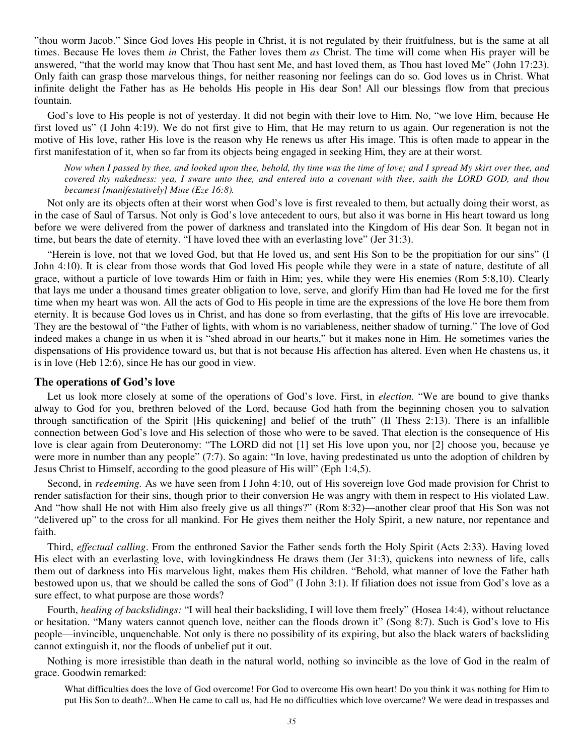"thou worm Jacob." Since God loves His people in Christ, it is not regulated by their fruitfulness, but is the same at all times. Because He loves them *in* Christ, the Father loves them *as* Christ. The time will come when His prayer will be answered, "that the world may know that Thou hast sent Me, and hast loved them, as Thou hast loved Me" (John 17:23). Only faith can grasp those marvelous things, for neither reasoning nor feelings can do so. God loves us in Christ. What infinite delight the Father has as He beholds His people in His dear Son! All our blessings flow from that precious fountain.

God's love to His people is not of yesterday. It did not begin with their love to Him. No, "we love Him, because He first loved us" (I John 4:19). We do not first give to Him, that He may return to us again. Our regeneration is not the motive of His love, rather His love is the reason why He renews us after His image. This is often made to appear in the first manifestation of it, when so far from its objects being engaged in seeking Him, they are at their worst.

*Now when I passed by thee, and looked upon thee, behold, thy time was the time of love; and I spread My skirt over thee, and covered thy nakedness: yea, I sware unto thee, and entered into a covenant with thee, saith the LORD GOD, and thou becamest [manifestatively] Mine (Eze 16:8).* 

Not only are its objects often at their worst when God's love is first revealed to them, but actually doing their worst, as in the case of Saul of Tarsus. Not only is God's love antecedent to ours, but also it was borne in His heart toward us long before we were delivered from the power of darkness and translated into the Kingdom of His dear Son. It began not in time, but bears the date of eternity. "I have loved thee with an everlasting love" (Jer 31:3).

"Herein is love, not that we loved God, but that He loved us, and sent His Son to be the propitiation for our sins" (I John 4:10). It is clear from those words that God loved His people while they were in a state of nature, destitute of all grace, without a particle of love towards Him or faith in Him; yes, while they were His enemies (Rom 5:8,10). Clearly that lays me under a thousand times greater obligation to love, serve, and glorify Him than had He loved me for the first time when my heart was won. All the acts of God to His people in time are the expressions of the love He bore them from eternity. It is because God loves us in Christ, and has done so from everlasting, that the gifts of His love are irrevocable. They are the bestowal of "the Father of lights, with whom is no variableness, neither shadow of turning." The love of God indeed makes a change in us when it is "shed abroad in our hearts," but it makes none in Him. He sometimes varies the dispensations of His providence toward us, but that is not because His affection has altered. Even when He chastens us, it is in love (Heb 12:6), since He has our good in view.

#### **The operations of God's love**

Let us look more closely at some of the operations of God's love. First, in *election.* "We are bound to give thanks alway to God for you, brethren beloved of the Lord, because God hath from the beginning chosen you to salvation through sanctification of the Spirit [His quickening] and belief of the truth" (II Thess 2:13). There is an infallible connection between God's love and His selection of those who were to be saved. That election is the consequence of His love is clear again from Deuteronomy: "The LORD did not [1] set His love upon you, nor [2] choose you, because ye were more in number than any people" (7:7). So again: "In love, having predestinated us unto the adoption of children by Jesus Christ to Himself, according to the good pleasure of His will" (Eph 1:4,5).

Second, in *redeeming.* As we have seen from I John 4:10, out of His sovereign love God made provision for Christ to render satisfaction for their sins, though prior to their conversion He was angry with them in respect to His violated Law. And "how shall He not with Him also freely give us all things?" (Rom 8:32)—another clear proof that His Son was not "delivered up" to the cross for all mankind. For He gives them neither the Holy Spirit, a new nature, nor repentance and faith.

Third, *effectual calling*. From the enthroned Savior the Father sends forth the Holy Spirit (Acts 2:33). Having loved His elect with an everlasting love, with loving kindness He draws them (Jer 31:3), quickens into newness of life, calls them out of darkness into His marvelous light, makes them His children. "Behold, what manner of love the Father hath bestowed upon us, that we should be called the sons of God" (I John 3:1). If filiation does not issue from God's love as a sure effect, to what purpose are those words?

Fourth, *healing of backslidings:* "I will heal their backsliding, I will love them freely" (Hosea 14:4), without reluctance or hesitation. "Many waters cannot quench love, neither can the floods drown it" (Song 8:7). Such is God's love to His people—invincible, unquenchable. Not only is there no possibility of its expiring, but also the black waters of backsliding cannot extinguish it, nor the floods of unbelief put it out.

Nothing is more irresistible than death in the natural world, nothing so invincible as the love of God in the realm of grace. Goodwin remarked:

What difficulties does the love of God overcome! For God to overcome His own heart! Do you think it was nothing for Him to put His Son to death?...When He came to call us, had He no difficulties which love overcame? We were dead in trespasses and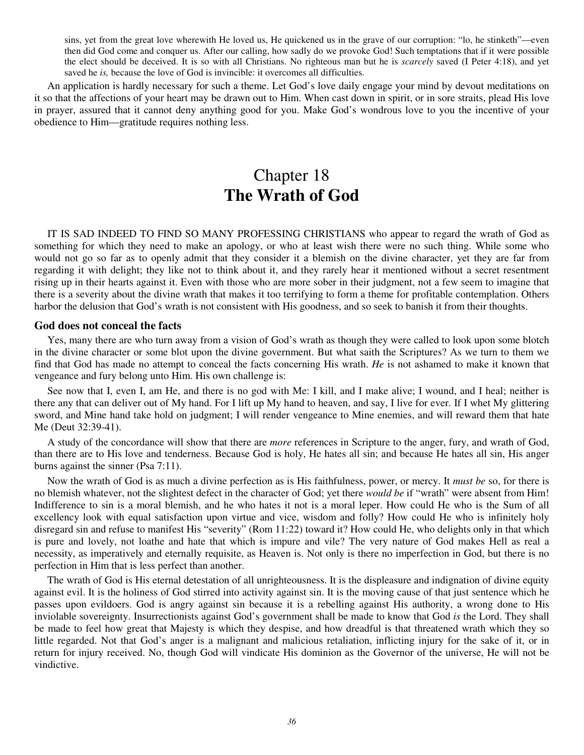sins, yet from the great love wherewith He loved us, He quickened us in the grave of our corruption: "lo, he stinketh"—even then did God come and conquer us. After our calling, how sadly do we provoke God! Such temptations that if it were possible the elect should be deceived. It is so with all Christians. No righteous man but he is *scarcely* saved (I Peter 4:18), and yet saved he *is,* because the love of God is invincible: it overcomes all difficulties.

An application is hardly necessary for such a theme. Let God's love daily engage your mind by devout meditations on it so that the affections of your heart may be drawn out to Him. When cast down in spirit, or in sore straits, plead His love in prayer, assured that it cannot deny anything good for you. Make God's wondrous love to you the incentive of your obedience to Him—gratitude requires nothing less.

# Chapter 18 **The Wrath of God**

IT IS SAD INDEED TO FIND SO MANY PROFESSING CHRISTIANS who appear to regard the wrath of God as something for which they need to make an apology, or who at least wish there were no such thing. While some who would not go so far as to openly admit that they consider it a blemish on the divine character, yet they are far from regarding it with delight; they like not to think about it, and they rarely hear it mentioned without a secret resentment rising up in their hearts against it. Even with those who are more sober in their judgment, not a few seem to imagine that there is a severity about the divine wrath that makes it too terrifying to form a theme for profitable contemplation. Others harbor the delusion that God's wrath is not consistent with His goodness, and so seek to banish it from their thoughts.

#### **God does not conceal the facts**

Yes, many there are who turn away from a vision of God's wrath as though they were called to look upon some blotch in the divine character or some blot upon the divine government. But what saith the Scriptures? As we turn to them we find that God has made no attempt to conceal the facts concerning His wrath. *He* is not ashamed to make it known that vengeance and fury belong unto Him. His own challenge is:

See now that I, even I, am He, and there is no god with Me: I kill, and I make alive; I wound, and I heal; neither is there any that can deliver out of My hand. For I lift up My hand to heaven, and say, I live for ever. If I whet My glittering sword, and Mine hand take hold on judgment; I will render vengeance to Mine enemies, and will reward them that hate Me (Deut 32:39-41).

A study of the concordance will show that there are *more* references in Scripture to the anger, fury, and wrath of God, than there are to His love and tenderness. Because God is holy, He hates all sin; and because He hates all sin, His anger burns against the sinner (Psa 7:11).

Now the wrath of God is as much a divine perfection as is His faithfulness, power, or mercy. It *must be* so, for there is no blemish whatever, not the slightest defect in the character of God; yet there *would be* if "wrath" were absent from Him! Indifference to sin is a moral blemish, and he who hates it not is a moral leper. How could He who is the Sum of all excellency look with equal satisfaction upon virtue and vice, wisdom and folly? How could He who is infinitely holy disregard sin and refuse to manifest His "severity" (Rom 11:22) toward it? How could He, who delights only in that which is pure and lovely, not loathe and hate that which is impure and vile? The very nature of God makes Hell as real a necessity, as imperatively and eternally requisite, as Heaven is. Not only is there no imperfection in God, but there is no perfection in Him that is less perfect than another.

The wrath of God is His eternal detestation of all unrighteousness. It is the displeasure and indignation of divine equity against evil. It is the holiness of God stirred into activity against sin. It is the moving cause of that just sentence which he passes upon evildoers. God is angry against sin because it is a rebelling against His authority, a wrong done to His inviolable sovereignty. Insurrectionists against God's government shall be made to know that God *is* the Lord. They shall be made to feel how great that Majesty is which they despise, and how dreadful is that threatened wrath which they so little regarded. Not that God's anger is a malignant and malicious retaliation, inflicting injury for the sake of it, or in return for injury received. No, though God will vindicate His dominion as the Governor of the universe, He will not be vindictive.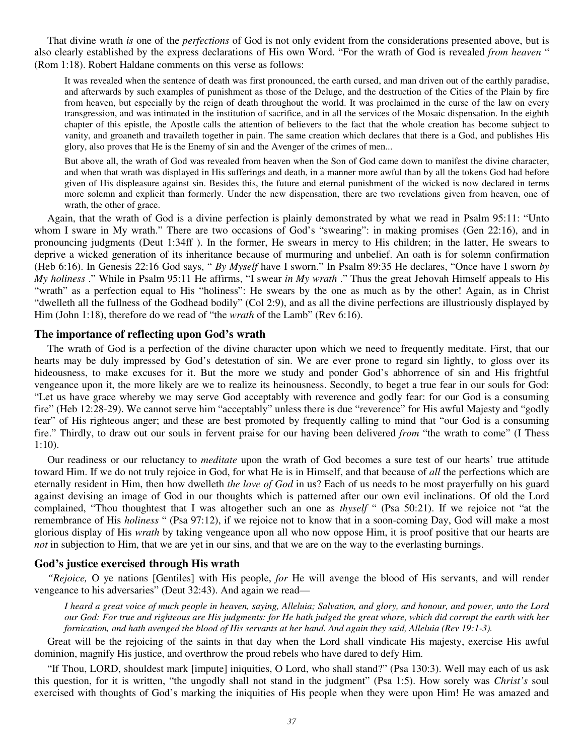That divine wrath *is* one of the *perfections* of God is not only evident from the considerations presented above, but is also clearly established by the express declarations of His own Word. "For the wrath of God is revealed *from heaven* " (Rom 1:18). Robert Haldane comments on this verse as follows:

It was revealed when the sentence of death was first pronounced, the earth cursed, and man driven out of the earthly paradise, and afterwards by such examples of punishment as those of the Deluge, and the destruction of the Cities of the Plain by fire from heaven, but especially by the reign of death throughout the world. It was proclaimed in the curse of the law on every transgression, and was intimated in the institution of sacrifice, and in all the services of the Mosaic dispensation. In the eighth chapter of this epistle, the Apostle calls the attention of believers to the fact that the whole creation has become subject to vanity, and groaneth and travaileth together in pain. The same creation which declares that there is a God, and publishes His glory, also proves that He is the Enemy of sin and the Avenger of the crimes of men...

But above all, the wrath of God was revealed from heaven when the Son of God came down to manifest the divine character, and when that wrath was displayed in His sufferings and death, in a manner more awful than by all the tokens God had before given of His displeasure against sin. Besides this, the future and eternal punishment of the wicked is now declared in terms more solemn and explicit than formerly. Under the new dispensation, there are two revelations given from heaven, one of wrath, the other of grace.

Again, that the wrath of God is a divine perfection is plainly demonstrated by what we read in Psalm 95:11: "Unto whom I sware in My wrath." There are two occasions of God's "swearing": in making promises (Gen 22:16), and in pronouncing judgments (Deut 1:34ff ). In the former, He swears in mercy to His children; in the latter, He swears to deprive a wicked generation of its inheritance because of murmuring and unbelief. An oath is for solemn confirmation (Heb 6:16). In Genesis 22:16 God says, " *By Myself* have I sworn." In Psalm 89:35 He declares, "Once have I sworn *by My holiness* ." While in Psalm 95:11 He affirms, "I swear *in My wrath* ." Thus the great Jehovah Himself appeals to His "wrath" as a perfection equal to His "holiness": He swears by the one as much as by the other! Again, as in Christ "dwelleth all the fullness of the Godhead bodily" (Col 2:9), and as all the divine perfections are illustriously displayed by Him (John 1:18), therefore do we read of "the *wrath* of the Lamb" (Rev 6:16).

### **The importance of reflecting upon God's wrath**

The wrath of God is a perfection of the divine character upon which we need to frequently meditate. First, that our hearts may be duly impressed by God's detestation of sin. We are ever prone to regard sin lightly, to gloss over its hideousness, to make excuses for it. But the more we study and ponder God's abhorrence of sin and His frightful vengeance upon it, the more likely are we to realize its heinousness. Secondly, to beget a true fear in our souls for God: "Let us have grace whereby we may serve God acceptably with reverence and godly fear: for our God is a consuming fire" (Heb 12:28-29). We cannot serve him "acceptably" unless there is due "reverence" for His awful Majesty and "godly fear" of His righteous anger; and these are best promoted by frequently calling to mind that "our God is a consuming fire." Thirdly, to draw out our souls in fervent praise for our having been delivered *from* "the wrath to come" (I Thess 1:10).

Our readiness or our reluctancy to *meditate* upon the wrath of God becomes a sure test of our hearts' true attitude toward Him. If we do not truly rejoice in God, for what He is in Himself, and that because of *all* the perfections which are eternally resident in Him, then how dwelleth *the love of God* in us? Each of us needs to be most prayerfully on his guard against devising an image of God in our thoughts which is patterned after our own evil inclinations. Of old the Lord complained, "Thou thoughtest that I was altogether such an one as *thyself* " (Psa 50:21). If we rejoice not "at the remembrance of His *holiness* " (Psa 97:12), if we rejoice not to know that in a soon-coming Day, God will make a most glorious display of His *wrath* by taking vengeance upon all who now oppose Him, it is proof positive that our hearts are *not* in subjection to Him, that we are yet in our sins, and that we are on the way to the everlasting burnings.

#### **God's justice exercised through His wrath**

*"Rejoice,* O ye nations [Gentiles] with His people, *for* He will avenge the blood of His servants, and will render vengeance to his adversaries" (Deut 32:43). And again we read—

*I heard a great voice of much people in heaven, saying, Alleluia; Salvation, and glory, and honour, and power, unto the Lord our God: For true and righteous are His judgments: for He hath judged the great whore, which did corrupt the earth with her fornication, and hath avenged the blood of His servants at her hand. And again they said, Alleluia (Rev 19:1-3).* 

Great will be the rejoicing of the saints in that day when the Lord shall vindicate His majesty, exercise His awful dominion, magnify His justice, and overthrow the proud rebels who have dared to defy Him.

"If Thou, LORD, shouldest mark [impute] iniquities, O Lord, who shall stand?" (Psa 130:3). Well may each of us ask this question, for it is written, "the ungodly shall not stand in the judgment" (Psa 1:5). How sorely was *Christ's* soul exercised with thoughts of God's marking the iniquities of His people when they were upon Him! He was amazed and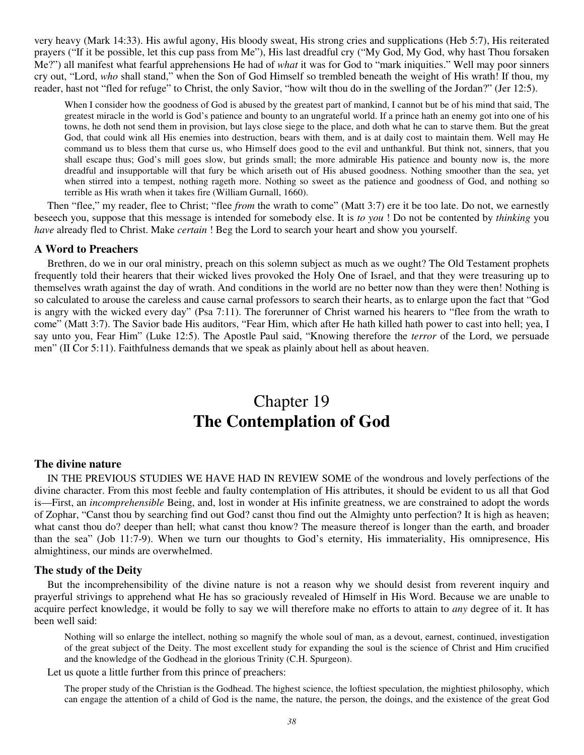very heavy (Mark 14:33). His awful agony, His bloody sweat, His strong cries and supplications (Heb 5:7), His reiterated prayers ("If it be possible, let this cup pass from Me"), His last dreadful cry ("My God, My God, why hast Thou forsaken Me?") all manifest what fearful apprehensions He had of *what* it was for God to "mark iniquities." Well may poor sinners cry out, "Lord, *who* shall stand," when the Son of God Himself so trembled beneath the weight of His wrath! If thou, my reader, hast not "fled for refuge" to Christ, the only Savior, "how wilt thou do in the swelling of the Jordan?" (Jer 12:5).

When I consider how the goodness of God is abused by the greatest part of mankind, I cannot but be of his mind that said, The greatest miracle in the world is God's patience and bounty to an ungrateful world. If a prince hath an enemy got into one of his towns, he doth not send them in provision, but lays close siege to the place, and doth what he can to starve them. But the great God, that could wink all His enemies into destruction, bears with them, and is at daily cost to maintain them. Well may He command us to bless them that curse us, who Himself does good to the evil and unthankful. But think not, sinners, that you shall escape thus; God's mill goes slow, but grinds small; the more admirable His patience and bounty now is, the more dreadful and insupportable will that fury be which ariseth out of His abused goodness. Nothing smoother than the sea, yet when stirred into a tempest, nothing rageth more. Nothing so sweet as the patience and goodness of God, and nothing so terrible as His wrath when it takes fire (William Gurnall, 1660).

Then "flee," my reader, flee to Christ; "flee *from* the wrath to come" (Matt 3:7) ere it be too late. Do not, we earnestly beseech you, suppose that this message is intended for somebody else. It is *to you* ! Do not be contented by *thinking* you *have* already fled to Christ. Make *certain* ! Beg the Lord to search your heart and show you yourself.

#### **A Word to Preachers**

Brethren, do we in our oral ministry, preach on this solemn subject as much as we ought? The Old Testament prophets frequently told their hearers that their wicked lives provoked the Holy One of Israel, and that they were treasuring up to themselves wrath against the day of wrath. And conditions in the world are no better now than they were then! Nothing is so calculated to arouse the careless and cause carnal professors to search their hearts, as to enlarge upon the fact that "God is angry with the wicked every day" (Psa 7:11). The forerunner of Christ warned his hearers to "flee from the wrath to come" (Matt 3:7). The Savior bade His auditors, "Fear Him, which after He hath killed hath power to cast into hell; yea, I say unto you, Fear Him" (Luke 12:5). The Apostle Paul said, "Knowing therefore the *terror* of the Lord, we persuade men" (II Cor 5:11). Faithfulness demands that we speak as plainly about hell as about heaven.

# Chapter 19 **The Contemplation of God**

### **The divine nature**

IN THE PREVIOUS STUDIES WE HAVE HAD IN REVIEW SOME of the wondrous and lovely perfections of the divine character. From this most feeble and faulty contemplation of His attributes, it should be evident to us all that God is—First, an *incomprehensible* Being, and, lost in wonder at His infinite greatness, we are constrained to adopt the words of Zophar, "Canst thou by searching find out God? canst thou find out the Almighty unto perfection? It is high as heaven; what canst thou do? deeper than hell; what canst thou know? The measure thereof is longer than the earth, and broader than the sea" (Job 11:7-9). When we turn our thoughts to God's eternity, His immateriality, His omnipresence, His almightiness, our minds are overwhelmed.

#### **The study of the Deity**

But the incomprehensibility of the divine nature is not a reason why we should desist from reverent inquiry and prayerful strivings to apprehend what He has so graciously revealed of Himself in His Word. Because we are unable to acquire perfect knowledge, it would be folly to say we will therefore make no efforts to attain to *any* degree of it. It has been well said:

Nothing will so enlarge the intellect, nothing so magnify the whole soul of man, as a devout, earnest, continued, investigation of the great subject of the Deity. The most excellent study for expanding the soul is the science of Christ and Him crucified and the knowledge of the Godhead in the glorious Trinity (C.H. Spurgeon).

Let us quote a little further from this prince of preachers:

The proper study of the Christian is the Godhead. The highest science, the loftiest speculation, the mightiest philosophy, which can engage the attention of a child of God is the name, the nature, the person, the doings, and the existence of the great God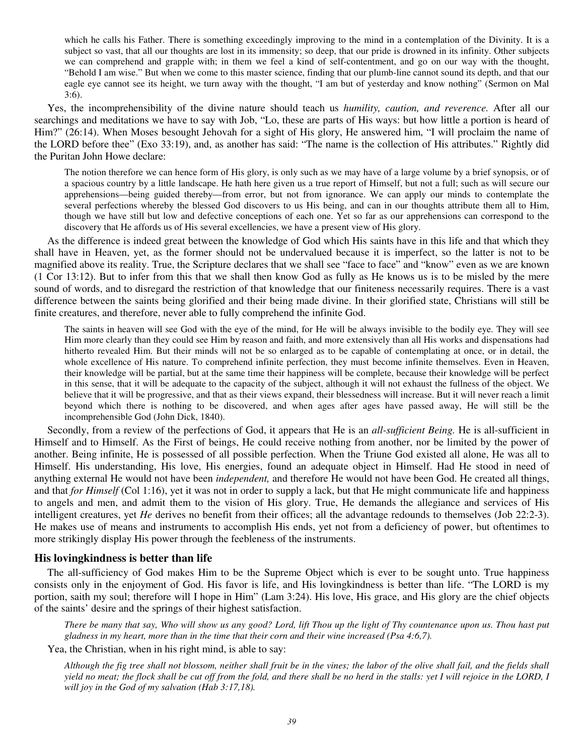which he calls his Father. There is something exceedingly improving to the mind in a contemplation of the Divinity. It is a subject so vast, that all our thoughts are lost in its immensity; so deep, that our pride is drowned in its infinity. Other subjects we can comprehend and grapple with; in them we feel a kind of self-contentment, and go on our way with the thought, "Behold I am wise." But when we come to this master science, finding that our plumb-line cannot sound its depth, and that our eagle eye cannot see its height, we turn away with the thought, "I am but of yesterday and know nothing" (Sermon on Mal 3:6).

Yes, the incomprehensibility of the divine nature should teach us *humility, caution, and reverence.* After all our searchings and meditations we have to say with Job, "Lo, these are parts of His ways: but how little a portion is heard of Him?" (26:14). When Moses besought Jehovah for a sight of His glory, He answered him, "I will proclaim the name of the LORD before thee" (Exo 33:19), and, as another has said: "The name is the collection of His attributes." Rightly did the Puritan John Howe declare:

The notion therefore we can hence form of His glory, is only such as we may have of a large volume by a brief synopsis, or of a spacious country by a little landscape. He hath here given us a true report of Himself, but not a full; such as will secure our apprehensions—being guided thereby—from error, but not from ignorance. We can apply our minds to contemplate the several perfections whereby the blessed God discovers to us His being, and can in our thoughts attribute them all to Him, though we have still but low and defective conceptions of each one. Yet so far as our apprehensions can correspond to the discovery that He affords us of His several excellencies, we have a present view of His glory.

As the difference is indeed great between the knowledge of God which His saints have in this life and that which they shall have in Heaven, yet, as the former should not be undervalued because it is imperfect, so the latter is not to be magnified above its reality. True, the Scripture declares that we shall see "face to face" and "know" even as we are known (1 Cor 13:12). But to infer from this that we shall then know God as fully as He knows us is to be misled by the mere sound of words, and to disregard the restriction of that knowledge that our finiteness necessarily requires. There is a vast difference between the saints being glorified and their being made divine. In their glorified state, Christians will still be finite creatures, and therefore, never able to fully comprehend the infinite God.

The saints in heaven will see God with the eye of the mind, for He will be always invisible to the bodily eye. They will see Him more clearly than they could see Him by reason and faith, and more extensively than all His works and dispensations had hitherto revealed Him. But their minds will not be so enlarged as to be capable of contemplating at once, or in detail, the whole excellence of His nature. To comprehend infinite perfection, they must become infinite themselves. Even in Heaven, their knowledge will be partial, but at the same time their happiness will be complete, because their knowledge will be perfect in this sense, that it will be adequate to the capacity of the subject, although it will not exhaust the fullness of the object. We believe that it will be progressive, and that as their views expand, their blessedness will increase. But it will never reach a limit beyond which there is nothing to be discovered, and when ages after ages have passed away, He will still be the incomprehensible God (John Dick, 1840).

Secondly, from a review of the perfections of God, it appears that He is an *all-sufficient Being.* He is all-sufficient in Himself and to Himself. As the First of beings, He could receive nothing from another, nor be limited by the power of another. Being infinite, He is possessed of all possible perfection. When the Triune God existed all alone, He was all to Himself. His understanding, His love, His energies, found an adequate object in Himself. Had He stood in need of anything external He would not have been *independent,* and therefore He would not have been God. He created all things, and that *for Himself* (Col 1:16), yet it was not in order to supply a lack, but that He might communicate life and happiness to angels and men, and admit them to the vision of His glory. True, He demands the allegiance and services of His intelligent creatures, yet *He* derives no benefit from their offices; all the advantage redounds to themselves (Job 22:2-3). He makes use of means and instruments to accomplish His ends, yet not from a deficiency of power, but oftentimes to more strikingly display His power through the feebleness of the instruments.

### **His lovingkindness is better than life**

The all-sufficiency of God makes Him to be the Supreme Object which is ever to be sought unto. True happiness consists only in the enjoyment of God. His favor is life, and His lovingkindness is better than life. "The LORD is my portion, saith my soul; therefore will I hope in Him" (Lam 3:24). His love, His grace, and His glory are the chief objects of the saints' desire and the springs of their highest satisfaction.

*There be many that say, Who will show us any good? Lord, lift Thou up the light of Thy countenance upon us. Thou hast put gladness in my heart, more than in the time that their corn and their wine increased (Psa 4:6,7).* 

Yea, the Christian, when in his right mind, is able to say:

*Although the fig tree shall not blossom, neither shall fruit be in the vines; the labor of the olive shall fail, and the fields shall yield no meat; the flock shall be cut off from the fold, and there shall be no herd in the stalls: yet I will rejoice in the LORD, I will joy in the God of my salvation (Hab 3:17,18).*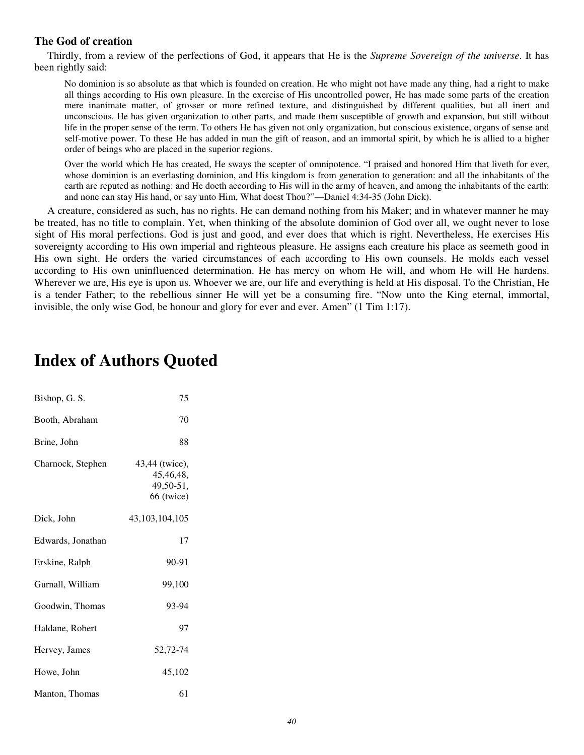## **The God of creation**

Thirdly, from a review of the perfections of God, it appears that He is the *Supreme Sovereign of the universe*. It has been rightly said:

No dominion is so absolute as that which is founded on creation. He who might not have made any thing, had a right to make all things according to His own pleasure. In the exercise of His uncontrolled power, He has made some parts of the creation mere inanimate matter, of grosser or more refined texture, and distinguished by different qualities, but all inert and unconscious. He has given organization to other parts, and made them susceptible of growth and expansion, but still without life in the proper sense of the term. To others He has given not only organization, but conscious existence, organs of sense and self-motive power. To these He has added in man the gift of reason, and an immortal spirit, by which he is allied to a higher order of beings who are placed in the superior regions.

Over the world which He has created, He sways the scepter of omnipotence. "I praised and honored Him that liveth for ever, whose dominion is an everlasting dominion, and His kingdom is from generation to generation: and all the inhabitants of the earth are reputed as nothing: and He doeth according to His will in the army of heaven, and among the inhabitants of the earth: and none can stay His hand, or say unto Him, What doest Thou?"—Daniel 4:34-35 (John Dick).

A creature, considered as such, has no rights. He can demand nothing from his Maker; and in whatever manner he may be treated, has no title to complain. Yet, when thinking of the absolute dominion of God over all, we ought never to lose sight of His moral perfections. God is just and good, and ever does that which is right. Nevertheless, He exercises His sovereignty according to His own imperial and righteous pleasure. He assigns each creature his place as seemeth good in His own sight. He orders the varied circumstances of each according to His own counsels. He molds each vessel according to His own uninfluenced determination. He has mercy on whom He will, and whom He will He hardens. Wherever we are, His eye is upon us. Whoever we are, our life and everything is held at His disposal. To the Christian, He is a tender Father; to the rebellious sinner He will yet be a consuming fire. "Now unto the King eternal, immortal, invisible, the only wise God, be honour and glory for ever and ever. Amen" (1 Tim 1:17).

# **Index of Authors Quoted**

| Bishop, G. S.     | 75                                                       |
|-------------------|----------------------------------------------------------|
| Booth, Abraham    | 70                                                       |
| Brine, John       | 88                                                       |
| Charnock, Stephen | 43,44 (twice),<br>45, 46, 48,<br>49.50-51.<br>66 (twice) |
| Dick, John        | 43, 103, 104, 105                                        |
| Edwards, Jonathan | 17                                                       |
| Erskine, Ralph    | $90 - 91$                                                |
| Gurnall, William  | 99,100                                                   |
| Goodwin, Thomas   | 93-94                                                    |
| Haldane, Robert   | 97                                                       |
| Hervey, James     | 52,72-74                                                 |
| Howe, John        | 45,102                                                   |
| Manton, Thomas    | 61                                                       |